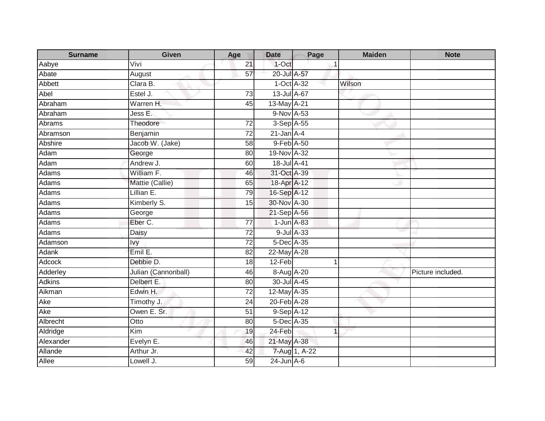| <b>Surname</b> | <b>Given</b>        | Age             | <b>Date</b>      | Page           | <b>Maiden</b> | <b>Note</b>       |
|----------------|---------------------|-----------------|------------------|----------------|---------------|-------------------|
| Aabye          | Vivi                | 21              | 1-Oct            |                |               |                   |
| Abate          | August              | 57              | 20-Jul A-57      |                |               |                   |
| Abbett         | Clara B.            |                 | 1-Oct A-32       |                | Wilson        |                   |
| Abel           | Estel J.            | $\overline{73}$ | 13-Jul A-67      |                |               |                   |
| Abraham        | Warren H.           | 45              | 13-May A-21      |                |               |                   |
| Abraham        | Jess E.             |                 | 9-Nov A-53       |                |               |                   |
| Abrams         | Theodore            | 72              | 3-Sep A-55       |                |               |                   |
| Abramson       | Benjamin            | 72              | $21$ -Jan $A-4$  |                |               |                   |
| Abshire        | Jacob W. (Jake)     | $\overline{58}$ | 9-Feb A-50       |                |               |                   |
| Adam           | George              | 80              | 19-Nov A-32      |                |               |                   |
| Adam           | Andrew J.           | 60              | 18-Jul A-41      |                |               |                   |
| Adams          | William F.          | 46              | 31-Oct A-39      |                |               |                   |
| Adams          | Mattie (Callie)     | 65              | 18-Apr A-12      |                |               |                   |
| <b>Adams</b>   | Lillian E.          | 79              | 16-Sep A-12      |                |               |                   |
| Adams          | Kimberly S.         | 15              | 30-Nov A-30      |                |               |                   |
| Adams          | George              |                 | 21-Sep A-56      |                |               |                   |
| Adams          | Eber C.             | 77              | $1$ -Jun $A$ -83 |                |               |                   |
| Adams          | Daisy               | 72              |                  | 9-Jul A-33     |               |                   |
| Adamson        | lvy                 | 72              | 5-Dec A-35       |                |               |                   |
| Adank          | Emil E.             | 82              | 22-May A-28      |                |               |                   |
| Adcock         | Debbie D.           | $\overline{18}$ | 12-Feb           | 1              |               |                   |
| Adderley       | Julian (Cannonball) | 46              | 8-Aug A-20       |                |               | Picture included. |
| <b>Adkins</b>  | Delbert E.          | 80              | 30-Jul A-45      |                |               |                   |
| Aikman         | Edwin H.            | $\overline{72}$ | 12-May A-35      |                |               |                   |
| Ake            | Timothy J.          | 24              | 20-Feb A-28      |                |               |                   |
| Ake            | Owen E. Sr.         | $\overline{51}$ | 9-Sep A-12       |                |               |                   |
| Albrecht       | Otto                | 80              | 5-Dec A-35       |                |               |                   |
| Aldridge       | Kim                 | 19              | 24-Feb           | $\overline{1}$ |               |                   |
| Alexander      | Evelyn E.           | 46              | 21-May A-38      |                |               |                   |
| Allande        | Arthur Jr.          | 42              |                  | 7-Aug 1, A-22  |               |                   |
| Allee          | Lowell J.           | 59              | $24$ -Jun $A-6$  |                |               |                   |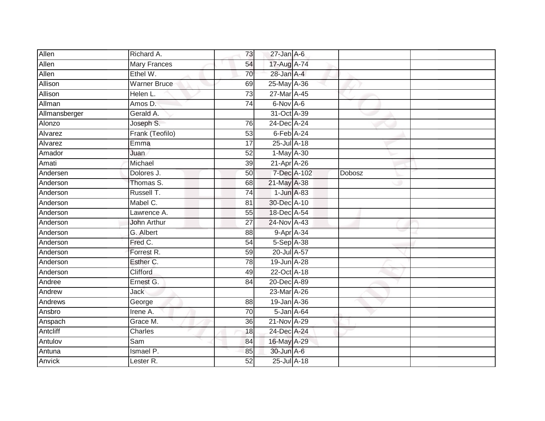| Allen         | Richard A.           | 73              | $27$ -Jan A-6    |        |  |
|---------------|----------------------|-----------------|------------------|--------|--|
| Allen         | <b>Mary Frances</b>  | 54              | 17-Aug A-74      |        |  |
| Allen         | $E$ thel W.          | 70              | $28 - Jan$ A-4   |        |  |
| Allison       | <b>Warner Bruce</b>  | 69              | 25-May A-36      |        |  |
| Allison       | Helen L.             | $\overline{73}$ | 27-Mar A-45      |        |  |
| Allman        | Amos D.              | 74              | 6-Nov A-6        |        |  |
| Allmansberger | Gerald A.            |                 | 31-Oct A-39      |        |  |
| Alonzo        | Joseph S.            | 76              | 24-Dec A-24      |        |  |
| Alvarez       | Frank (Teofilo)      | 53              | 6-Feb A-24       |        |  |
| Alvarez       | Emma                 | 17              | 25-Jul A-18      |        |  |
| Amador        | Juan                 | 52              | $1$ -May $A$ -30 |        |  |
| Amati         | Michael              | 39              | 21-Apr A-26      |        |  |
| Andersen      | Dolores J.           | 50              | 7-Dec A-102      | Dobosz |  |
| Anderson      | Thomas S.            | 68              | 21-May A-38      |        |  |
| Anderson      | Russell T.           | $\overline{74}$ | $1$ -Jun $A-83$  |        |  |
| Anderson      | Mabel C.             | 81              | 30-Dec A-10      |        |  |
| Anderson      | Lawrence A.          | $\overline{55}$ | 18-Dec A-54      |        |  |
| Anderson      | <b>John Arthur</b>   | 27              | 24-Nov A-43      |        |  |
| Anderson      | G. Albert            | 88              | 9-Apr A-34       |        |  |
| Anderson      | Fred C.              | 54              | 5-Sep A-38       |        |  |
| Anderson      | Forrest R.           | 59              | 20-Jul A-57      |        |  |
| Anderson      | Esther C.            | 78              | 19-Jun A-28      |        |  |
| Anderson      | Clifford             | 49              | 22-Oct A-18      |        |  |
| Andree        | Ernest G.            | 84              | 20-Dec A-89      |        |  |
| Andrew        | <b>Jack</b>          |                 | 23-Mar A-26      |        |  |
| Andrews       | George               | 88              | 19-Jan A-36      |        |  |
| Ansbro        | Irene A.             | 70              | 5-Jan A-64       |        |  |
| Anspach       | Grace M.             | 36              | 21-Nov A-29      |        |  |
| Antcliff      | Charles              | 18              | 24-Dec A-24      |        |  |
| Antulov       | Sam                  | 84              | 16-May A-29      |        |  |
| Antuna        | Ismael P.            | 85              | 30-Jun A-6       |        |  |
| Anvick        | Lester <sub>R.</sub> | 52              | 25-Jul A-18      |        |  |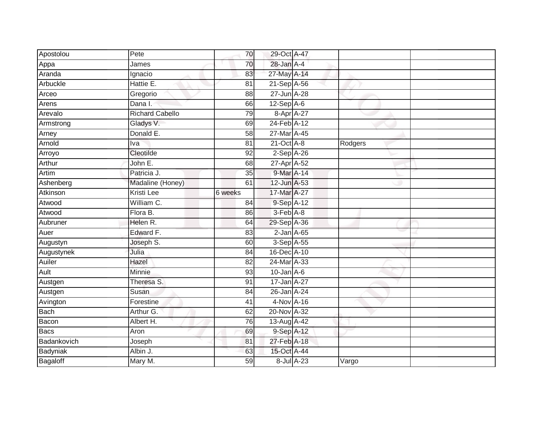| Apostolou   | Pete                   | 70              | 29-Oct A-47      |            |                            |  |
|-------------|------------------------|-----------------|------------------|------------|----------------------------|--|
| Appa        | James                  | 70              | 28-Jan A-4       |            |                            |  |
| Aranda      | Ignacio                | 83              | 27-May A-14      |            |                            |  |
| Arbuckle    | Hattie E.              | 81              | 21-Sep A-56      |            |                            |  |
| Arceo       | Gregorio               | 88              | 27-Jun A-28      |            |                            |  |
| Arens       | Dana I.                | 66              | $12-Sep$ A-6     |            |                            |  |
| Arevalo     | <b>Richard Cabello</b> | 79              | 8-Apr A-27       |            |                            |  |
| Armstrong   | Gladys V.              | 69              | 24-Feb A-12      |            |                            |  |
| Arney       | Donald E.              | 58              | 27-Mar A-45      |            |                            |  |
| Arnold      | Iva                    | $\overline{81}$ | $21$ -Oct $A-8$  |            | Rodgers                    |  |
| Arroyo      | Cleotilde              | 92              | $2-Sep$ A-26     |            |                            |  |
| Arthur      | John E.                | 68              | 27-Apr A-52      |            |                            |  |
| Artim       | Patricia J.            | 35              | 9-Mar A-14       |            |                            |  |
| Ashenberg   | Madaline (Honey)       | 61              | 12-Jun A-53      |            |                            |  |
| Atkinson    | <b>Kristi Lee</b>      | 6 weeks         | 17-Mar A-27      |            |                            |  |
| Atwood      | William C.             | 84              | 9-Sep A-12       |            |                            |  |
| Atwood      | Flora B.               | 86              | $3-Feb$ $A-8$    |            |                            |  |
| Aubruner    | Helen R.               | 64              | 29-Sep A-36      |            |                            |  |
| Auer        | Edward F.              | 83              | $2$ -Jan $A$ -65 |            |                            |  |
| Augustyn    | Joseph S.              | 60              | $3-Sep$ $A-55$   |            |                            |  |
| Augustynek  | Julia                  | 84              | 16-Dec A-10      |            |                            |  |
| Auiler      | Hazel                  | $\overline{82}$ | 24-Mar A-33      |            |                            |  |
| Ault        | Minnie                 | 93              | $10$ -Jan $A$ -6 |            |                            |  |
| Austgen     | Theresa S.             | 91              | 17-Jan A-27      |            |                            |  |
| Austgen     | Susan                  | 84              | 26-Jan A-24      |            |                            |  |
| Avington    | Forestine              | 41              | 4-Nov A-16       |            |                            |  |
| Bach        | Arthur G.              | 62              | 20-Nov A-32      |            |                            |  |
| Bacon       | Albert H.              | 76              | 13-Aug A-42      |            |                            |  |
| Bacs        | Aron                   | 69              | 9-Sep A-12       |            |                            |  |
| Badankovich | Joseph                 | 81              | 27-Feb A-18      |            |                            |  |
| Badyniak    | Albin J.               | 63              | 15-Oct A-44      |            |                            |  |
| Bagaloff    | Mary M.                | 59              |                  | 8-Jul A-23 | $\overline{\text{V}}$ argo |  |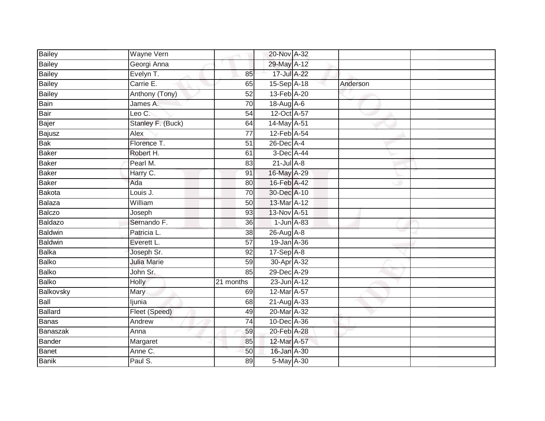| <b>Bailey</b> | Wayne Vern        |                 | 20-Nov A-32      |          |  |
|---------------|-------------------|-----------------|------------------|----------|--|
| <b>Bailey</b> | Georgi Anna       |                 | 29-May A-12      |          |  |
| Bailey        | Evelyn T.         | 85              | 17-Jul A-22      |          |  |
| <b>Bailey</b> | Carrie E.         | 65              | 15-Sep A-18      | Anderson |  |
| <b>Bailey</b> | Anthony (Tony)    | 52              | 13-Feb A-20      |          |  |
| Bain          | James A.          | 70              | 18-Aug A-6       |          |  |
| Bair          | Leo C.            | 54              | 12-Oct A-57      |          |  |
| Bajer         | Stanley F. (Buck) | 64              | 14-May A-51      |          |  |
| Bajusz        | Alex              | 77              | 12-Feb A-54      |          |  |
| Bak           | Florence T.       | $\overline{51}$ | 26-Dec A-4       |          |  |
| Baker         | Robert H.         | 61              | 3-Dec A-44       |          |  |
| Baker         | Pearl M.          | 83              | $21$ -Jul $A-8$  |          |  |
| Baker         | Harry C.          | 91              | 16-May A-29      |          |  |
| <b>Baker</b>  | Ada               | 80              | 16-Feb A-42      |          |  |
| Bakota        | Louis J.          | $\overline{70}$ | 30-Dec A-10      |          |  |
| Balaza        | William           | 50              | 13-Mar A-12      |          |  |
| <b>Balczo</b> | Joseph            | 93              | 13-Nov A-51      |          |  |
| Baldazo       | Sernando F.       | 36              | $1$ -Jun $A$ -83 |          |  |
| Baldwin       | Patricia L.       | 38              | 26-Aug A-8       |          |  |
| Baldwin       | Everett L.        | 57              | 19-Jan A-36      |          |  |
| <b>Balka</b>  | Joseph Sr.        | 92              | $17-Sep$ A-8     |          |  |
| Balko         | Julia Marie       | 59              | 30-Apr A-32      |          |  |
| <b>Balko</b>  | John Sr.          | 85              | 29-Dec A-29      |          |  |
| Balko         | <b>Holly</b>      | 21 months       | 23-Jun A-12      |          |  |
| Balkovsky     | Mary              | 69              | 12-Mar A-57      |          |  |
| Ball          | ljunia            | 68              | $21-AugA-33$     |          |  |
| Ballard       | Fleet (Speed)     | 49              | 20-Mar A-32      |          |  |
| Banas         | Andrew            | 74              | 10-Dec A-36      |          |  |
| Banaszak      | Anna              | 59              | 20-Feb A-28      |          |  |
| <b>Bander</b> | Margaret          | 85              | 12-Mar A-57      |          |  |
| Banet         | Anne C.           | 50              | 16-Jan A-30      |          |  |
| <b>Banik</b>  | Paul S.           | 89              | 5-May A-30       |          |  |
|               |                   |                 |                  |          |  |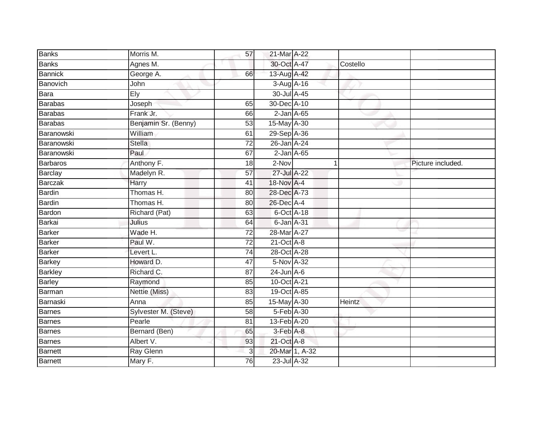| <b>Banks</b>   | Morris M.            | 57              | 21-Mar A-22                 |                |          |                   |
|----------------|----------------------|-----------------|-----------------------------|----------------|----------|-------------------|
| <b>Banks</b>   | Agnes M.             |                 | 30-Oct A-47                 |                | Costello |                   |
| <b>Bannick</b> | George A.            | 66              | 13-Aug A-42                 |                |          |                   |
| Banovich       | John                 |                 | 3-Aug A-16                  |                |          |                   |
| Bara           | Ely                  |                 | 30-Jul A-45                 |                |          |                   |
| <b>Barabas</b> | Joseph               | 65              | 30-Dec A-10                 |                |          |                   |
| Barabas        | Frank Jr.            | 66              | $2$ -Jan $A$ -65            |                |          |                   |
| Barabas        | Benjamin Sr. (Benny) | 53              | 15-May A-30                 |                |          |                   |
| Baranowski     | William              | 61              | 29-Sep A-36                 |                |          |                   |
| Baranowski     | <b>Stella</b>        | $\overline{72}$ | 26-Jan A-24                 |                |          |                   |
| Baranowski     | Paul                 | 67              | $2$ -Jan $A$ -65            |                |          |                   |
| Barbaros       | Anthony F.           | $\overline{18}$ | 2-Nov                       |                |          | Picture included. |
| <b>Barclay</b> | Madelyn R.           | 57              | 27-Jul A-22                 |                |          |                   |
| <b>Barczak</b> | Harry                | 41              | 18-Nov A-4                  |                |          |                   |
| <b>Bardin</b>  | Thomas H.            | 80              | 28-Dec A-73                 |                |          |                   |
| Bardin         | Thomas H.            | 80              | 26-Dec A-4                  |                |          |                   |
| Bardon         | Richard (Pat)        | 63              | $6$ -Oct $\overline{A}$ -18 |                |          |                   |
| Barkai         | Julius               | 64              | 6-Jan A-31                  |                |          |                   |
| Barker         | Wade H.              | $\overline{72}$ | 28-Mar A-27                 |                |          |                   |
| Barker         | Paul W.              | $\overline{72}$ | $21$ -Oct $A-8$             |                |          |                   |
| <b>Barker</b>  | Levert L.            | 74              | 28-Oct A-28                 |                |          |                   |
| <b>Barkey</b>  | Howard D.            | $\overline{47}$ | 5-Nov A-32                  |                |          |                   |
| <b>Barkley</b> | Richard C.           | 87              | $24$ -Jun $A-6$             |                |          |                   |
| <b>Barley</b>  | Raymond              | 85              | 10-Oct A-21                 |                |          |                   |
| Barman         | Nettie (Miss)        | 83              | 19-Oct A-85                 |                |          |                   |
| Barnaski       | Anna                 | 85              | 15-May A-30                 |                | Heintz   |                   |
| <b>Barnes</b>  | Sylvester M. (Steve) | $\overline{58}$ | 5-Feb A-30                  |                |          |                   |
| <b>Barnes</b>  | Pearle               | 81              | 13-Feb A-20                 |                |          |                   |
| Barnes         | Bernard (Ben)        | 65              | 3-Feb A-8                   |                |          |                   |
| Barnes         | Albert V.            | 93              | 21-Oct A-8                  |                |          |                   |
| Barnett        | Ray Glenn            | 3               |                             | 20-Mar 1, A-32 |          |                   |
| <b>Barnett</b> | Mary F.              | 76              | 23-Jul A-32                 |                |          |                   |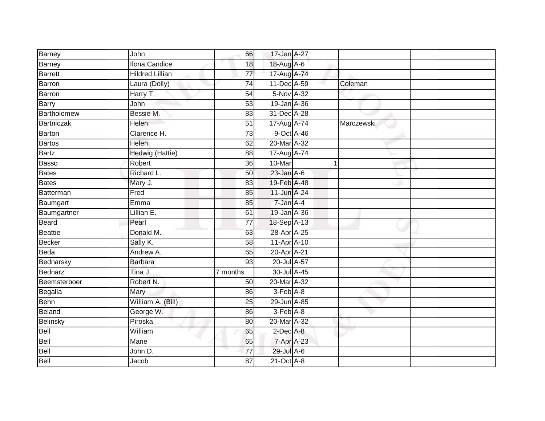| Barney         | John                   | 66              | 17-Jan A-27     |             |  |
|----------------|------------------------|-----------------|-----------------|-------------|--|
| Barney         | <b>Ilona Candice</b>   | 18              | 18-Aug A-6      |             |  |
| <b>Barrett</b> | <b>Hildred Lillian</b> | $\overline{77}$ | 17-Aug A-74     |             |  |
| Barron         | Laura (Dolly)          | 74              | 11-Dec A-59     | Coleman     |  |
| Barron         | Harry T.               | $\overline{54}$ | 5-Nov A-32      |             |  |
| Barry          | John                   | 53              | 19-Jan A-36     |             |  |
| Bartholomew    | Bessie M.              | 83              | 31-Dec A-28     |             |  |
| Bartniczak     | Helen                  | 51              | 17-Aug A-74     | Marczewski  |  |
| Barton         | Clarence H.            | 73              | 9-Oct A-46      |             |  |
| Bartos         | <b>Helen</b>           | 62              | 20-Mar A-32     |             |  |
| Bartz          | Hedwig (Hattie)        | 88              | 17-Aug A-74     |             |  |
| Basso          | Robert                 | 36              | 10-Mar          | $\mathbf 1$ |  |
| Bates          | Richard L.             | 50              | $23$ -Jan $A-6$ |             |  |
| Bates          | Mary J.                | 83              | 19-Feb A-48     |             |  |
| Batterman      | Fred                   | 85              | 11-Jun A-24     |             |  |
| Baumgart       | Emma                   | 85              | $7$ -Jan $A-4$  |             |  |
| Baumgartner    | Lillian E.             | 61              | 19-Jan A-36     |             |  |
| Beard          | Pearl                  | 77              | 18-Sep A-13     |             |  |
| Beattie        | Donald M.              | 63              | 28-Apr A-25     |             |  |
| Becker         | Sally K.               | 58              | 11-Apr A-10     |             |  |
| Beda           | Andrew A.              | 65              | 20-Apr A-21     |             |  |
| Bednarsky      | <b>Barbara</b>         | 93              | 20-Jul A-57     |             |  |
| Bednarz        | Tina J.                | 7 months        | 30-Jul A-45     |             |  |
| Beemsterboer   | Robert N.              | 50              | 20-Mar A-32     |             |  |
| Begalla        | Mary                   | 86              | 3-Feb A-8       |             |  |
| <b>Behn</b>    | William A. (Bill)      | 25              | 29-Jun A-85     |             |  |
| Beland         | George W.              | 86              | 3-Feb A-8       |             |  |
| Belinsky       | Piroska                | 80              | 20-Mar A-32     |             |  |
| Bell           | William                | 65              | 2-Dec A-8       |             |  |
| Bell           | Marie                  | 65              | 7-Apr A-23      |             |  |
| Bell           | John D.                | $\overline{77}$ | 29-Jul A-6      |             |  |
| Bell           | Jacob                  | $\overline{87}$ | $21$ -Oct $A-8$ |             |  |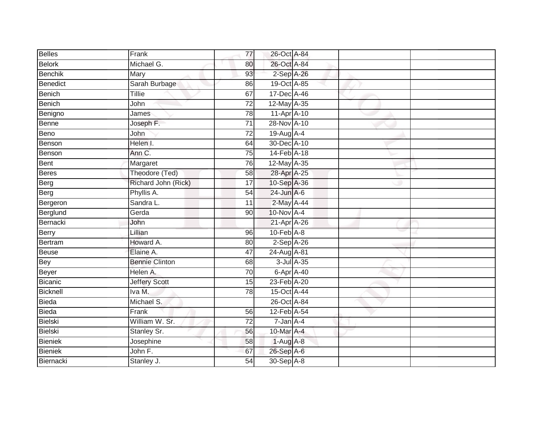| <b>Belles</b>  | Frank                 | 77              | 26-Oct A-84     |            |  |
|----------------|-----------------------|-----------------|-----------------|------------|--|
| <b>Belork</b>  | Michael G.            | 80              | 26-Oct A-84     |            |  |
| <b>Benchik</b> | Mary                  | 93              | $2-$ Sep $A-26$ |            |  |
| Benedict       | Sarah Burbage         | 86              | 19-Oct A-85     |            |  |
| Benich         | <b>Tillie</b>         | 67              | 17-Dec A-46     |            |  |
| Benich         | John                  | $\overline{72}$ | 12-May A-35     |            |  |
| Benigno        | James                 | 78              | 11-Apr A-10     |            |  |
| Benne          | Joseph F.             | 71              | 28-Nov A-10     |            |  |
| Beno           | John                  | $\overline{72}$ | 19-Aug A-4      |            |  |
| Benson         | Helen I.              | 64              | 30-Dec A-10     |            |  |
| Benson         | Ann C.                | 75              | 14-Feb A-18     |            |  |
| Bent           | Margaret              | 76              | 12-May A-35     |            |  |
| <b>Beres</b>   | Theodore (Ted)        | 58              | 28-Apr A-25     |            |  |
| Berg           | Richard John (Rick)   | 17              | 10-Sep A-36     |            |  |
| Berg           | Phyllis A.            | $\overline{54}$ | $24$ -Jun A-6   |            |  |
| Bergeron       | Sandra L.             | 11              | 2-May A-44      |            |  |
| Berglund       | Gerda                 | 90              | $10$ -Nov $A-4$ |            |  |
| Bernacki       | John                  |                 | 21-Apr A-26     |            |  |
| Berry          | Lillian               | 96              | 10-Feb A-8      |            |  |
| Bertram        | Howard A.             | 80              | $2-Sep$ A-26    |            |  |
| Beuse          | Elaine A.             | 47              | 24-Aug A-81     |            |  |
| Bey            | <b>Bennie Clinton</b> | 68              |                 | 3-Jul A-35 |  |
| Beyer          | Helen A.              | 70              | 6-Apr A-40      |            |  |
| Bicanic        | <b>Jeffery Scott</b>  | 15              | 23-Feb A-20     |            |  |
| Bicknell       | Iva M.                | 78              | 15-Oct A-44     |            |  |
| Bieda          | Michael S.            |                 | 26-Oct A-84     |            |  |
| Bieda          | Frank                 | 56              | 12-Feb A-54     |            |  |
| Bielski        | William W. Sr.        | 72              | $7 - Jan A - 4$ |            |  |
| Bielski        | Stanley Sr.           | 56              | 10-Mar A-4      |            |  |
| Bieniek        | Josephine             | 58              | $1-Aug$ A-8     |            |  |
| Bieniek        | John F.               | 67              | 26-Sep A-6      |            |  |
| Biernacki      | Stanley J.            | 54              | 30-Sep A-8      |            |  |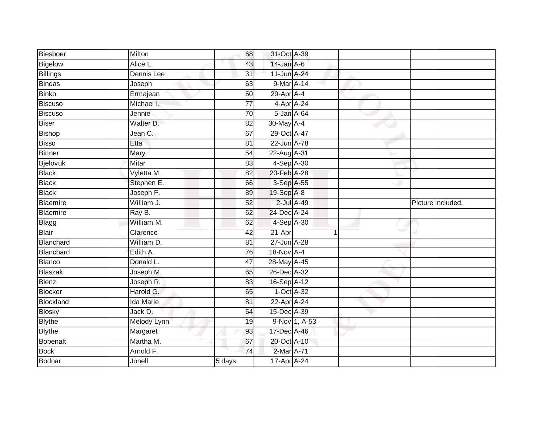| Biesboer        | Milton           | 68              | 31-Oct A-39 |               |                   |
|-----------------|------------------|-----------------|-------------|---------------|-------------------|
| Bigelow         | Alice L.         | 43              | 14-Jan A-6  |               |                   |
| <b>Billings</b> | Dennis Lee       | $\overline{31}$ | 11-Jun A-24 |               |                   |
| <b>Bindas</b>   | Joseph           | 63              | 9-Mar A-14  |               |                   |
| Binko           | Ermajean         | 50              | 29-Apr A-4  |               |                   |
| <b>Biscuso</b>  | Michael I.       | $\overline{77}$ | 4-Apr A-24  |               |                   |
| <b>Biscuso</b>  | Jennie           | $\overline{70}$ | 5-Jan A-64  |               |                   |
| Biser           | Walter D.        | 82              | 30-May A-4  |               |                   |
| Bishop          | Jean C.          | 67              | 29-Oct A-47 |               |                   |
| <b>Bisso</b>    | Etta             | 81              | 22-Jun A-78 |               |                   |
| <b>Bittner</b>  | Mary             | 54              | 22-Aug A-31 |               |                   |
| Bjelovuk        | Mitar            | 83              | 4-Sep A-30  |               |                   |
| <b>Black</b>    | Vyletta M.       | 82              | 20-Feb A-28 |               |                   |
| <b>Black</b>    | Stephen E.       | 66              | 3-Sep A-55  |               |                   |
| <b>Black</b>    | Joseph F.        | 89              | 19-Sep A-8  |               |                   |
| Blaemire        | William J.       | 52              | 2-Jul A-49  |               | Picture included. |
| Blaemire        | Ray B.           | 62              | 24-Dec A-24 |               |                   |
| <b>Blagg</b>    | William M.       | 62              | 4-Sep A-30  |               |                   |
| Blair           | Clarence         | 42              | 21-Apr      |               |                   |
| Blanchard       | William D.       | $\overline{81}$ | 27-Jun A-28 |               |                   |
| Blanchard       | Edith A.         | 76              | 18-Nov A-4  |               |                   |
| <b>Blanco</b>   | Donald L.        | 47              | 28-May A-45 |               |                   |
| Blaszak         | Joseph M.        | 65              | 26-Dec A-32 |               |                   |
| Blenz           | Joseph R.        | 83              | 16-Sep A-12 |               |                   |
| Blocker         | Harold G.        | 65              | 1-Oct A-32  |               |                   |
| Blockland       | <b>Ida Marie</b> | 81              | 22-Apr A-24 |               |                   |
| <b>Blosky</b>   | Jack D.          | 54              | 15-Dec A-39 |               |                   |
| <b>Blythe</b>   | Melody Lynn      | 19              |             | 9-Nov 1, A-53 |                   |
| <b>Blythe</b>   | Margaret         | 93              | 17-Dec A-46 |               |                   |
| Bobenalt        | Martha M.        | 67              | 20-Oct A-10 |               |                   |
| <b>Bock</b>     | Arnold F.        | $\overline{74}$ | 2-Mar A-71  |               |                   |
| Bodnar          | Jonell           | 5 days          | 17-Apr A-24 |               |                   |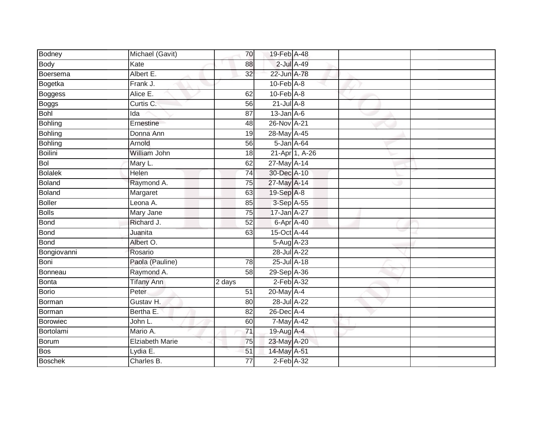| Bodney         | Michael (Gavit)        | 70              | 19-Feb A-48      |                |  |
|----------------|------------------------|-----------------|------------------|----------------|--|
| <b>Body</b>    | Kate                   | 88              | 2-Jul A-49       |                |  |
| Boersema       | Albert E.              | 32              | 22-Jun A-78      |                |  |
| Bogetka        | Frank J.               |                 | $10$ -Feb $A$ -8 |                |  |
| Boggess        | Alice E.               | 62              | $10-Feb$ $A-8$   |                |  |
| <b>Boggs</b>   | Curtis C.              | 56              | $21$ -Jul $A-8$  |                |  |
| Bohl           | Ida                    | 87              | $13$ -Jan $A$ -6 |                |  |
| <b>Bohling</b> | Ernestine              | 48              | 26-Nov A-21      |                |  |
| <b>Bohling</b> | Donna Ann              | 19              | 28-May A-45      |                |  |
| <b>Bohling</b> | Arnold                 | 56              | 5-Jan A-64       |                |  |
| <b>Boilini</b> | William John           | 18              |                  | 21-Apr 1, A-26 |  |
| <b>Bol</b>     | Mary L.                | 62              | 27-May A-14      |                |  |
| <b>Bolalek</b> | Helen                  | 74              | 30-Dec A-10      |                |  |
| <b>Boland</b>  | Raymond A.             | 75              | 27-May A-14      |                |  |
| <b>Boland</b>  | Margaret               | 63              | 19-Sep A-8       |                |  |
| <b>Boller</b>  | Leona A.               | 85              | 3-Sep A-55       |                |  |
| <b>Bolls</b>   | Mary Jane              | $\overline{75}$ | 17-Jan A-27      |                |  |
| <b>Bond</b>    | Richard J.             | 52              | 6-Apr A-40       |                |  |
| <b>Bond</b>    | Juanita                | 63              | 15-Oct A-44      |                |  |
| <b>Bond</b>    | Albert O.              |                 | 5-Aug A-23       |                |  |
| Bongiovanni    | Rosario                |                 | 28-Jul A-22      |                |  |
| Boni           | Paola (Pauline)        | 78              | 25-Jul A-18      |                |  |
| Bonneau        | Raymond A.             | 58              | 29-Sep A-36      |                |  |
| <b>Bonta</b>   | <b>Tifany Ann</b>      | 2 days          | $2$ -Feb $A-32$  |                |  |
| <b>Borio</b>   | Peter                  | 51              | 20-May A-4       |                |  |
| Borman         | Gustav H.              | 80              | 28-Jul A-22      |                |  |
| Borman         | Bertha E.              | 82              | 26-Dec A-4       |                |  |
| Borowiec       | John L.                | 60              | 7-May A-42       |                |  |
| Bortolami      | Mario A.               | 71              | 19-Aug A-4       |                |  |
| <b>Borum</b>   | <b>Elziabeth Marie</b> | 75              | 23-May A-20      |                |  |
| <b>Bos</b>     | Lydia E.               | 51              | 14-May A-51      |                |  |
| <b>Boschek</b> | Charles B.             | $\overline{77}$ | $2$ -Feb $A-32$  |                |  |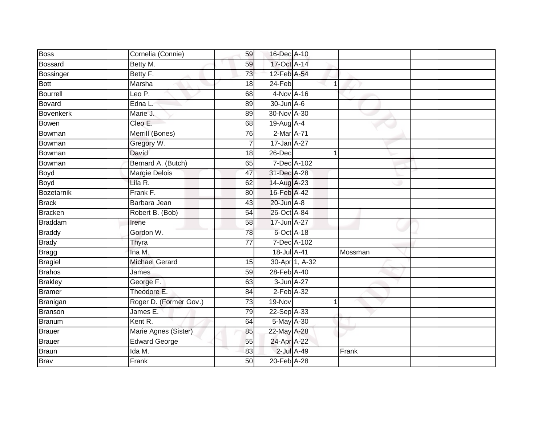| <b>Boss</b>      | Cornelia (Connie)      | 59              | 16-Dec A-10      |                |         |  |
|------------------|------------------------|-----------------|------------------|----------------|---------|--|
| Bossard          | Betty M.               | 59              | 17-Oct A-14      |                |         |  |
| Bossinger        | Betty F.               | 73              | 12-Feb A-54      |                |         |  |
| <b>Bott</b>      | Marsha                 | 18              | 24-Feb           |                |         |  |
| <b>Bourrell</b>  | Leo P.                 | 68              | 4-Nov A-16       |                |         |  |
| Bovard           | Edna L.                | 89              | 30-Jun A-6       |                |         |  |
| <b>Bovenkerk</b> | Marie J.               | 89              | 30-Nov A-30      |                |         |  |
| <b>Bowen</b>     | Cleo E.                | 68              | 19-Aug A-4       |                |         |  |
| Bowman           | Merrill (Bones)        | 76              | 2-Mar A-71       |                |         |  |
| Bowman           | Gregory W.             | $\overline{7}$  | 17-Jan A-27      |                |         |  |
| Bowman           | David                  | 18              | 26-Dec           |                |         |  |
| Bowman           | Bernard A. (Butch)     | 65              |                  | 7-Dec A-102    |         |  |
| Boyd             | <b>Margie Delois</b>   | 47              | 31-Dec A-28      |                |         |  |
| <b>Boyd</b>      | Lila R.                | 62              | 14-Aug A-23      |                |         |  |
| Bozetarnik       | Frank F.               | 80              | 16-Feb A-42      |                |         |  |
| <b>Brack</b>     | Barbara Jean           | 43              | $20$ -Jun $A-8$  |                |         |  |
| Bracken          | Robert B. (Bob)        | $\overline{54}$ | 26-Oct A-84      |                |         |  |
| <b>Braddam</b>   | Irene                  | 58              | 17-Jun A-27      |                |         |  |
| <b>Braddy</b>    | Gordon W.              | 78              | 6-Oct A-18       |                |         |  |
| <b>Brady</b>     | Thyra                  | $\overline{77}$ |                  | 7-Dec A-102    |         |  |
| Bragg            | Ina M.                 |                 | 18-Jul A-41      |                | Mossman |  |
| <b>Bragiel</b>   | <b>Michael Gerard</b>  | 15              |                  | 30-Apr 1, A-32 |         |  |
| <b>Brahos</b>    | James                  | 59              | 28-Feb A-40      |                |         |  |
| <b>Brakley</b>   | George F.              | 63              | 3-Jun A-27       |                |         |  |
| Bramer           | Theodore E.            | 84              | $2$ -Feb $A-32$  |                |         |  |
| Branigan         | Roger D. (Former Gov.) | $\overline{73}$ | 19-Nov           |                | 1       |  |
| Branson          | James E.               | 79              | 22-Sep A-33      |                |         |  |
| Branum           | Kent R.                | 64              | $5$ -May $A$ -30 |                |         |  |
| Brauer           | Marie Agnes (Sister)   | 85              | 22-May A-28      |                |         |  |
| Brauer           | <b>Edward George</b>   | 55              | 24-Apr A-22      |                |         |  |
| Braun            | Ida M.                 | 83              |                  | 2-Jul A-49     | Frank   |  |
| <b>Brav</b>      | Frank                  | 50              | 20-Feb A-28      |                |         |  |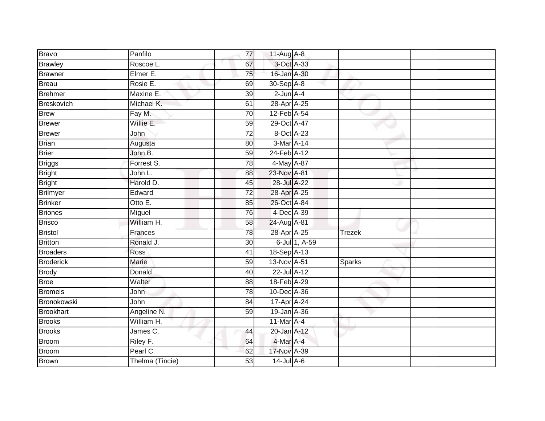| <b>Bravo</b>     | Panfilo         | 77              | $11$ -Aug $A$ -8 |               |               |  |
|------------------|-----------------|-----------------|------------------|---------------|---------------|--|
| <b>Brawley</b>   | Roscoe L.       | 67              | 3-Oct A-33       |               |               |  |
| <b>Brawner</b>   | Elmer E.        | 75              | 16-Jan A-30      |               |               |  |
| Breau            | Rosie E.        | 69              | 30-Sep A-8       |               |               |  |
| <b>Brehmer</b>   | Maxine E.       | $\overline{39}$ | $2$ -Jun $A-4$   |               |               |  |
| Breskovich       | Michael K.      | 61              | 28-Apr A-25      |               |               |  |
| <b>Brew</b>      | Fay M.          | 70              | 12-Feb A-54      |               |               |  |
| <b>Brewer</b>    | Willie E.       | 59              | 29-Oct A-47      |               |               |  |
| <b>Brewer</b>    | John            | $\overline{72}$ | 8-Oct A-23       |               |               |  |
| <b>Brian</b>     | Augusta         | 80              | 3-Mar A-14       |               |               |  |
| <b>Brier</b>     | John B.         | 59              | 24-Feb A-12      |               |               |  |
| Briggs           | Forrest S.      | 78              | 4-May A-87       |               |               |  |
| <b>Bright</b>    | John L.         | 88              | 23-Nov A-81      |               |               |  |
| Bright           | Harold D.       | 45              | 28-Jul A-22      |               |               |  |
| Brilmyer         | Edward          | $\overline{72}$ | 28-Apr A-25      |               |               |  |
| <b>Brinker</b>   | Otto E.         | 85              | 26-Oct A-84      |               |               |  |
| <b>Briones</b>   | Miguel          | 76              | 4-Dec A-39       |               |               |  |
| <b>Brisco</b>    | William H.      | 58              | 24-Aug A-81      |               |               |  |
| <b>Bristol</b>   | Frances         | 78              | 28-Apr A-25      |               | <b>Trezek</b> |  |
| Britton          | Ronald J.       | 30              |                  | 6-Jul 1, A-59 |               |  |
| <b>Broaders</b>  | Ross            | 41              | 18-Sep A-13      |               |               |  |
| <b>Broderick</b> | Marie           | 59              | 13-Nov A-51      |               | <b>Sparks</b> |  |
| <b>Brody</b>     | Donald          | 40              | 22-Jul A-12      |               |               |  |
| <b>Broe</b>      | Walter          | 88              | 18-Feb A-29      |               |               |  |
| <b>Bromels</b>   | John            | 78              | 10-Dec A-36      |               |               |  |
| Bronokowski      | John            | 84              | 17-Apr A-24      |               |               |  |
| Brookhart        | Angeline N.     | 59              | 19-Jan A-36      |               |               |  |
| <b>Brooks</b>    | William H.      |                 | 11-Mar $A-4$     |               |               |  |
| <b>Brooks</b>    | James C.        | 44              | 20-Jan A-12      |               |               |  |
| Broom            | Riley F.        | 64              | 4-Mar A-4        |               |               |  |
| Broom            | Pearl C.        | 62              | 17-Nov A-39      |               |               |  |
| Brown            | Thelma (Tincie) | 53              | $14$ -Jul A-6    |               |               |  |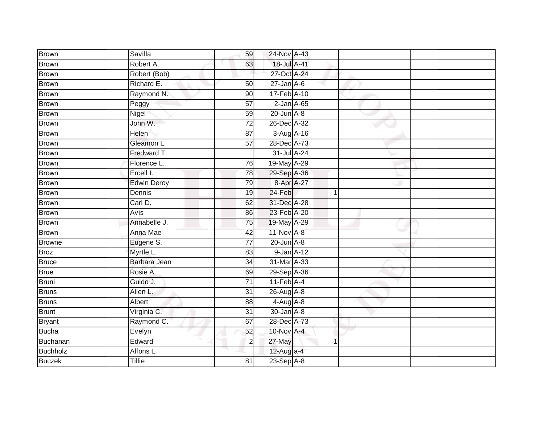| <b>Brown</b>    | Savilla       | 59              | 24-Nov A-43      |   |  |
|-----------------|---------------|-----------------|------------------|---|--|
| Brown           | Robert A.     | 63              | 18-Jul A-41      |   |  |
| <b>Brown</b>    | Robert (Bob)  |                 | 27-Oct A-24      |   |  |
| Brown           | Richard E.    | 50              | $27$ -Jan $A$ -6 |   |  |
| <b>Brown</b>    | Raymond N.    | 90              | 17-Feb A-10      |   |  |
| Brown           | Peggy         | 57              | $2$ -Jan $A$ -65 |   |  |
| Brown           | Nigel         | 59              | $20$ -Jun $A-8$  |   |  |
| <b>Brown</b>    | John W.       | $\overline{72}$ | 26-Dec A-32      |   |  |
| <b>Brown</b>    | Helen         | 87              | 3-Aug A-16       |   |  |
| Brown           | Gleamon L.    | $\overline{57}$ | 28-Dec A-73      |   |  |
| <b>Brown</b>    | Fredward T.   |                 | 31-Jul A-24      |   |  |
| Brown           | Florence L.   | 76              | 19-May A-29      |   |  |
| Brown           | Ercell I.     | 78              | 29-Sep A-36      |   |  |
| <b>Brown</b>    | Edwin Deroy   | 79              | 8-Apr A-27       |   |  |
| <b>Brown</b>    | Dennis        | 19              | 24-Feb           | 1 |  |
| Brown           | Carl D.       | 62              | 31-Dec A-28      |   |  |
| Brown           | Avis          | 86              | 23-Feb A-20      |   |  |
| <b>Brown</b>    | Annabelle J.  | 75              | 19-May A-29      |   |  |
| Brown           | Anna Mae      | 42              | 11-Nov A-8       |   |  |
| Browne          | Eugene S.     | $\overline{77}$ | $20$ -Jun $A-8$  |   |  |
| <b>Broz</b>     | Myrtle L.     | 83              | $9$ -Jan $A-12$  |   |  |
| Bruce           | Barbara Jean  | $\overline{34}$ | 31-Mar A-33      |   |  |
| <b>Brue</b>     | Rosie A.      | 69              | 29-Sep A-36      |   |  |
| Bruni           | Guido J.      | $\overline{71}$ | $11$ -Feb $A$ -4 |   |  |
| <b>Bruns</b>    | Allen L.      | 31              | 26-Aug A-8       |   |  |
| Bruns           | Albert        | 88              | $4-Aug$ $A-8$    |   |  |
| <b>Brunt</b>    | Virginia C.   | $\overline{31}$ | 30-Jan A-8       |   |  |
| <b>Bryant</b>   | Raymond C.    | 67              | 28-Dec A-73      |   |  |
| <b>Bucha</b>    | Evelyn        | 52              | 10-Nov A-4       |   |  |
| Buchanan        | Edward        | $\overline{2}$  | 27-May           | 1 |  |
| <b>Buchholz</b> | Alfons L.     |                 | 12-Aug $a-4$     |   |  |
| <b>Buczek</b>   | <b>Tillie</b> | 81              | 23-Sep A-8       |   |  |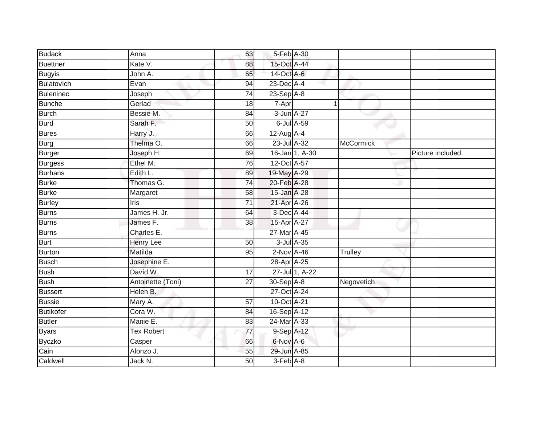| <b>Budack</b>    | Anna              | 63              | 5-Feb A-30       |                |                  |                   |
|------------------|-------------------|-----------------|------------------|----------------|------------------|-------------------|
| <b>Buettner</b>  | Kate V.           | 88              | 15-Oct A-44      |                |                  |                   |
| <b>Bugyis</b>    | John A.           | 65              | 14-Oct A-6       |                |                  |                   |
| Bulatovich       | Evan              | 94              | 23-Dec A-4       |                |                  |                   |
| <b>Buleninec</b> | Joseph            | $\overline{74}$ | $23-Sep$ A-8     |                |                  |                   |
| <b>Bunche</b>    | Gerlad            | 18              | 7-Apr            |                | 1                |                   |
| <b>Burch</b>     | Bessie M.         | 84              | 3-Jun A-27       |                |                  |                   |
| <b>Burd</b>      | Sarah F.          | 50              | 6-Jul A-59       |                |                  |                   |
| <b>Bures</b>     | Harry J.          | 66              | $12$ -Aug $A$ -4 |                |                  |                   |
| <b>Burg</b>      | Thelma O.         | 66              | 23-Jul A-32      |                | <b>McCormick</b> |                   |
| <b>Burger</b>    | Joseph H.         | 69              |                  | 16-Jan 1, A-30 |                  | Picture included. |
| <b>Burgess</b>   | Ethel M.          | 76              | 12-Oct A-57      |                |                  |                   |
| <b>Burhans</b>   | Edith L.          | 89              | 19-May A-29      |                |                  |                   |
| <b>Burke</b>     | Thomas G.         | $\overline{74}$ | 20-Feb A-28      |                |                  |                   |
| <b>Burke</b>     | Margaret          | $\overline{58}$ | 15-Jan A-28      |                |                  |                   |
| <b>Burley</b>    | <b>Iris</b>       | 71              | 21-Apr A-26      |                |                  |                   |
| <b>Burns</b>     | James H. Jr.      | 64              | 3-Dec A-44       |                |                  |                   |
| <b>Burns</b>     | James F.          | 38              | 15-Apr A-27      |                |                  |                   |
| <b>Burns</b>     | Charles E.        |                 | 27-Mar A-45      |                |                  |                   |
| <b>Burt</b>      | <b>Henry Lee</b>  | $\overline{50}$ | 3-Jul A-35       |                |                  |                   |
| <b>Burton</b>    | Matilda           | 95              | $2-Nov$ A-46     |                | Trulley          |                   |
| <b>Busch</b>     | Josephine E.      |                 | 28-Apr A-25      |                |                  |                   |
| <b>Bush</b>      | David W.          | $\overline{17}$ |                  | 27-Jul 1, A-22 |                  |                   |
| <b>Bush</b>      | Antoinette (Toni) | 27              | 30-Sep A-8       |                | Negovetich       |                   |
| <b>Bussert</b>   | Helen B.          |                 | 27-Oct A-24      |                |                  |                   |
| <b>Bussie</b>    | Mary A.           | 57              | 10-Oct A-21      |                |                  |                   |
| <b>Butikofer</b> | Cora W.           | 84              | 16-Sep A-12      |                |                  |                   |
| <b>Butler</b>    | Manie E.          | 83              | 24-Mar A-33      |                |                  |                   |
| <b>Byars</b>     | <b>Tex Robert</b> | 77              | 9-Sep A-12       |                |                  |                   |
| <b>Byczko</b>    | Casper            | 66              | 6-Nov A-6        |                |                  |                   |
| Cain             | Alonzo J.         | 55              | 29-Jun A-85      |                |                  |                   |
| Caldwell         | Jack N.           | $\overline{50}$ | $3-Feb$ $A-8$    |                |                  |                   |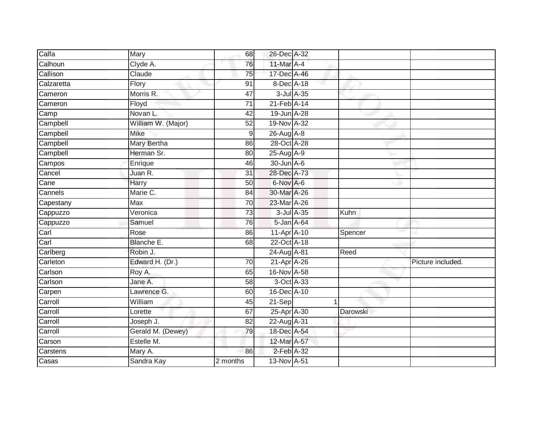| Calfa      | Mary               | 68              | 26-Dec A-32      |            |          |                   |
|------------|--------------------|-----------------|------------------|------------|----------|-------------------|
| Calhoun    | Clyde A.           | 76              | 11-Mar A-4       |            |          |                   |
| Callison   | Claude             | 75              | 17-Dec A-46      |            |          |                   |
| Calzaretta | Flory              | 91              | 8-Dec A-18       |            |          |                   |
| Cameron    | Morris R.          | $\overline{47}$ |                  | 3-Jul A-35 |          |                   |
| Cameron    | Floyd              | $\overline{71}$ | 21-Feb A-14      |            |          |                   |
| Camp       | Novan L.           | 42              | 19-Jun A-28      |            |          |                   |
| Campbell   | William W. (Major) | 52              | 19-Nov A-32      |            |          |                   |
| Campbell   | Mike               | 9               | 26-Aug A-8       |            |          |                   |
| Campbell   | Mary Bertha        | 86              | 28-Oct A-28      |            |          |                   |
| Campbell   | Herman Sr.         | 80              | 25-Aug A-9       |            |          |                   |
| Campos     | Enrique            | 46              | 30-Jun A-6       |            |          |                   |
| Cancel     | Juan R.            | 31              | 28-Dec A-73      |            |          |                   |
| Cane       | Harry              | 50              | 6-Nov A-6        |            |          |                   |
| Cannels    | Marie C.           | $\overline{84}$ | 30-Mar A-26      |            |          |                   |
| Capestany  | Max                | 70              | 23-Mar A-26      |            |          |                   |
| Cappuzzo   | Veronica           | 73              |                  | 3-Jul A-35 | Kuhn     |                   |
| Cappuzzo   | Samuel             | 76              | $5$ -Jan $A$ -64 |            |          |                   |
| Carl       | Rose               | 86              | 11-Apr A-10      |            | Spencer  |                   |
| Carl       | Blanche E.         | $\overline{68}$ | 22-Oct A-18      |            |          |                   |
| Carlberg   | Robin J.           |                 | 24-Aug A-81      |            | Reed     |                   |
| Carleton   | Edward H. (Dr.)    | $\overline{70}$ | 21-Apr A-26      |            |          | Picture included. |
| Carlson    | Roy A.             | 65              | 16-Nov A-58      |            |          |                   |
| Carlson    | Jane A.            | 58              | 3-Oct A-33       |            |          |                   |
| Carpen     | Lawrence G.        | 60              | 16-Dec A-10      |            |          |                   |
| Carroll    | William            | 45              | 21-Sep           |            |          |                   |
| Carroll    | Lorette            | 67              | 25-Apr A-30      |            | Darowski |                   |
| Carroll    | Joseph J.          | 82              | 22-Aug A-31      |            |          |                   |
| Carroll    | Gerald M. (Dewey)  | 79              | 18-Dec A-54      |            |          |                   |
| Carson     | Estelle M.         |                 | 12-Mar A-57      |            |          |                   |
| Carstens   | Mary A.            | 86              | 2-Feb A-32       |            |          |                   |
| Casas      | Sandra Kay         | 2 months        | 13-Nov A-51      |            |          |                   |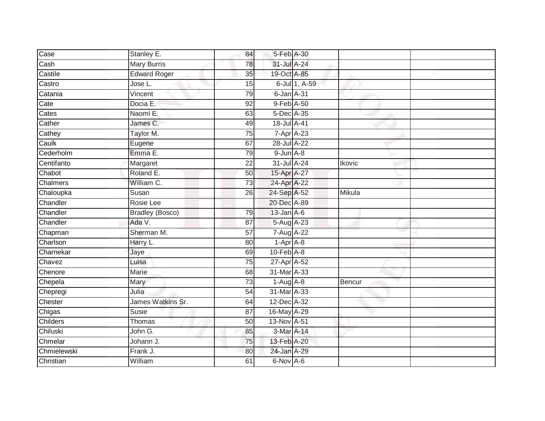| Case        | Stanley E.          | 84              | 5-Feb A-30       |        |  |
|-------------|---------------------|-----------------|------------------|--------|--|
| Cash        | <b>Mary Burris</b>  | 78              | 31-Jul A-24      |        |  |
| Castile     | <b>Edward Roger</b> | $\overline{35}$ | 19-Oct A-85      |        |  |
| Castro      | Jose L.             | 15              | 6-Jul 1, A-59    |        |  |
| Catania     | Vincent             | 79              | 6-Jan A-31       |        |  |
| Cate        | Docia E.            | 92              | 9-Feb A-50       |        |  |
| Cates       | Naomi E.            | 63              | 5-Dec A-35       |        |  |
| Cather      | James C.            | 49              | 18-Jul A-41      |        |  |
| Cathey      | Taylor M.           | 75              | $7-Apr$ A-23     |        |  |
| Caulk       | Eugene              | 67              | 28-Jul A-22      |        |  |
| Cederholm   | Emma E.             | 79              | $9$ -Jun $A - 8$ |        |  |
| Centifanto  | Margaret            | 22              | 31-Jul A-24      | Ikovic |  |
| Chabot      | Roland E.           | 50              | 15-Apr A-27      |        |  |
| Chalmers    | William C.          | 73              | 24-Apr A-22      |        |  |
| Chaloupka   | Susan               | $\overline{26}$ | 24-Sep A-52      | Mikula |  |
| Chandler    | Rosie Lee           |                 | 20-Dec A-89      |        |  |
| Chandler    | Bradley (Bosco)     | 79              | $13$ -Jan $A-6$  |        |  |
| Chandler    | Ada V.              | 87              | 5-Aug A-23       |        |  |
| Chapman     | Sherman M.          | 57              | 7-Aug A-22       |        |  |
| Charlson    | Harry L.            | 80              | $1-Apr$ A-8      |        |  |
| Charnekar   | Jaye                | 69              | $10$ -Feb $A-8$  |        |  |
| Chavez      | Luisa               | $\overline{75}$ | 27-Apr A-52      |        |  |
| Chenore     | Marie               | 68              | 31-Mar A-33      |        |  |
| Chepela     | Mary                | $\overline{73}$ | $1-Aug$ $A-8$    | Bencur |  |
| Chepregi    | Julia               | 54              | 31-Mar A-33      |        |  |
| Chester     | James Watkins Sr.   | 64              | 12-Dec A-32      |        |  |
| Chigas      | Susie               | 87              | 16-May A-29      |        |  |
| Childers    | <b>Thomas</b>       | 50              | 13-Nov A-51      |        |  |
| Chiluski    | John G.             | 85              | 3-Mar A-14       |        |  |
| Chmelar     | Johann J.           | 75              | 13-Feb A-20      |        |  |
| Chmielewski | Frank J.            | 80              | 24-Jan A-29      |        |  |
| Christian   | William             | 61              | 6-Nov A-6        |        |  |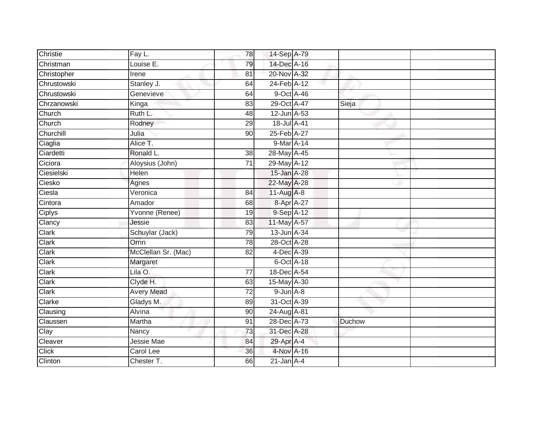| Christie                  | Fay L.              | 78              | 14-Sep A-79      |        |
|---------------------------|---------------------|-----------------|------------------|--------|
| Christman                 | Louise E.           | 79              | 14-Dec A-16      |        |
| Christopher               | Irene               | 81              | 20-Nov A-32      |        |
| Chrustowski               | Stanley J.          | 64              | 24-Feb A-12      |        |
| Chrustowski               | Genevieve           | 64              | 9-Oct A-46       |        |
| Chrzanowski               | Kinga               | 83              | 29-Oct A-47      | Sieja  |
| Church                    | Ruth L.             | 48              | 12-Jun A-53      |        |
| Church                    | Rodney              | 29              | 18-Jul A-41      |        |
| Churchill                 | Julia               | 90              | 25-Feb A-27      |        |
| Ciaglia                   | Alice T.            |                 | 9-Mar A-14       |        |
| Ciardetti                 | Ronald L.           | 38              | 28-May A-45      |        |
| Ciciora                   | Aloysius (John)     | 71              | 29-May A-12      |        |
| Ciesielski                | Helen               |                 | $15$ -Jan $A-28$ |        |
| Ciesko                    | Agnes               |                 | 22-May A-28      |        |
| Ciesla                    | Veronica            | $\overline{84}$ | 11-Aug A-8       |        |
| Cintora                   | Amador              | 68              | 8-Apr A-27       |        |
| Ciplys                    | Yvonne (Renee)      | 19              | 9-Sep A-12       |        |
| Clancy                    | Jessie              | 83              | 11-May A-57      |        |
| Clark                     | Schuylar (Jack)     | 79              | 13-Jun A-34      |        |
| Clark                     | Orrin               | 78              | 28-Oct A-28      |        |
| Clark                     | McClellan Sr. (Mac) | 82              | 4-Dec A-39       |        |
| Clark                     | Margaret            |                 | 6-Oct A-18       |        |
| Clark                     | Lila O.             | $\overline{77}$ | 18-Dec A-54      |        |
| Clark                     | Clyde H.            | 63              | 15-May A-30      |        |
| $\overline{\text{Clark}}$ | <b>Avery Mead</b>   | 72              | $9$ -Jun $A-8$   |        |
| Clarke                    | Gladys M.           | 89              | 31-Oct A-39      |        |
| Clausing                  | Alvina              | 90              | 24-Aug A-81      |        |
| Claussen                  | Martha              | 91              | 28-Dec A-73      | Duchow |
| Clay                      | Nancy               | 73              | 31-Dec A-28      |        |
| Cleaver                   | Jessie Mae          | 84              | 29-Apr A-4       |        |
| <b>Click</b>              | Carol Lee           | 36              | 4-Nov A-16       |        |
| Clinton                   | Chester T.          | 66              | $21$ -Jan $A-4$  |        |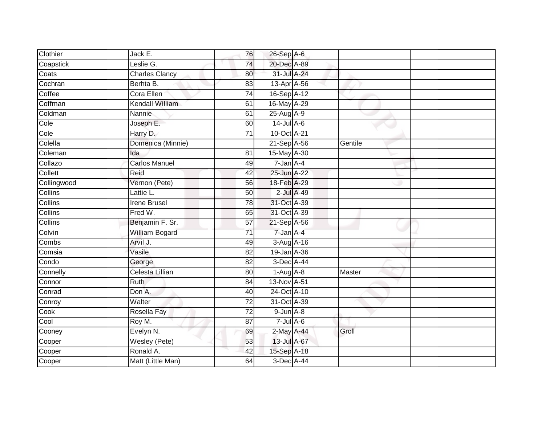| Clothier       | Jack E.               | 76              | $26$ -Sep $A$ -6  |                  |         |  |
|----------------|-----------------------|-----------------|-------------------|------------------|---------|--|
| Coapstick      | Leslie G.             | $\overline{74}$ | 20-Dec A-89       |                  |         |  |
| Coats          | <b>Charles Clancy</b> | 80              | 31-Jul A-24       |                  |         |  |
| Cochran        | Berhta B.             | 83              | 13-Apr A-56       |                  |         |  |
| Coffee         | Cora Ellen            | $\overline{74}$ | 16-Sep A-12       |                  |         |  |
| Coffman        | Kendall William       | 61              | 16-May A-29       |                  |         |  |
| Coldman        | Nannie                | 61              | 25-Aug A-9        |                  |         |  |
| Cole           | Joseph E.             | 60              | $14$ -Jul A-6     |                  |         |  |
| Cole           | Harry D.              | $\overline{71}$ | 10-Oct A-21       |                  |         |  |
| Colella        | Domenica (Minnie)     |                 | 21-Sep A-56       |                  | Gentile |  |
| Coleman        | Ida                   | 81              | 15-May A-30       |                  |         |  |
| Collazo        | <b>Carlos Manuel</b>  | 49              | 7-Jan A-4         |                  |         |  |
| Collett        | Reid                  | 42              | 25-Jun A-22       |                  |         |  |
| Collingwood    | Vernon (Pete)         | 56              | 18-Feb A-29       |                  |         |  |
| <b>Collins</b> | Lattie L.             | $\overline{50}$ |                   | $2$ -Jul $A$ -49 |         |  |
| Collins        | <b>Irene Brusel</b>   | 78              | 31-Oct A-39       |                  |         |  |
| Collins        | Fred W.               | 65              | 31-Oct A-39       |                  |         |  |
| <b>Collins</b> | Benjamin F. Sr.       | 57              | $21-Sep$ A-56     |                  |         |  |
| Colvin         | <b>William Bogard</b> | 71              | 7-Jan A-4         |                  |         |  |
| Combs          | Arvil J.              | 49              | 3-Aug A-16        |                  |         |  |
| Comsia         | Vasile                | 82              | 19-Jan A-36       |                  |         |  |
| Condo          | George                | $\overline{82}$ | 3-Dec A-44        |                  |         |  |
| Connelly       | Celesta Lillian       | 80              | $1-Aug$ $A-8$     |                  | Master  |  |
| Connor         | <b>Ruth</b>           | 84              | 13-Nov A-51       |                  |         |  |
| Conrad         | Don A.                | 40              | 24-Oct A-10       |                  |         |  |
| Conroy         | Walter                | $\overline{72}$ | 31-Oct A-39       |                  |         |  |
| Cook           | Rosella Fay           | $\overline{72}$ | $9$ -Jun $A - 8$  |                  |         |  |
| Cool           | Roy M.                | 87              | $7 -$ Jul $A - 6$ |                  |         |  |
| Cooney         | Evelyn N.             | 69              | 2-May A-44        |                  | Groll   |  |
| Cooper         | Wesley (Pete)         | 53              | 13-Jul A-67       |                  |         |  |
| Cooper         | Ronald A.             | 42              | 15-Sep A-18       |                  |         |  |
| Cooper         | Matt (Little Man)     | 64              | 3-Dec A-44        |                  |         |  |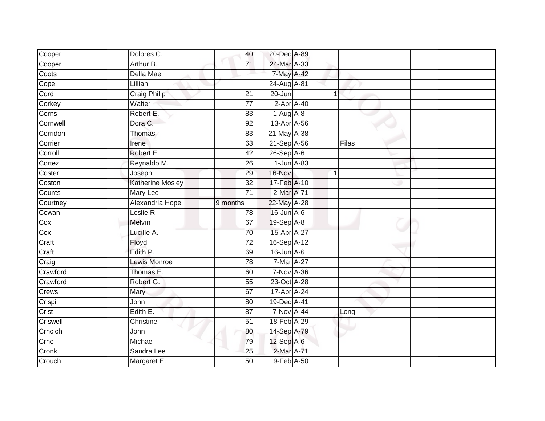| Cooper                   | Dolores C.              | 40              | 20-Dec A-89            |       |  |
|--------------------------|-------------------------|-----------------|------------------------|-------|--|
| Cooper                   | Arthur B.               | $\overline{71}$ | 24-Mar A-33            |       |  |
| Coots                    | Della Mae               |                 | 7-May A-42             |       |  |
| Cope                     | Lillian                 |                 | 24-Aug A-81            |       |  |
| Cord                     | <b>Craig Philip</b>     | 21              | 20-Jun                 |       |  |
| Corkey                   | Walter                  | $\overline{77}$ | $2-AprA-40$            |       |  |
| Corns                    | Robert E.               | 83              | $1-Aug$ $A-8$          |       |  |
| Cornwell                 | Dora C.                 | $\overline{92}$ | 13-Apr <sub>A-56</sub> |       |  |
| Corridon                 | Thomas                  | 83              | 21-May A-38            |       |  |
| Corrier                  | Irene                   | 63              | 21-Sep A-56            | Filas |  |
| Corroll                  | Robert E.               | 42              | $26-Sep$ A-6           |       |  |
| Cortez                   | Reynaldo M.             | $\overline{26}$ | $1$ -Jun $A$ -83       |       |  |
| Coster                   | Joseph                  | 29              | 16-Nov                 | 1     |  |
| Coston                   | <b>Katherine Mosley</b> | $\overline{32}$ | 17-Feb A-10            |       |  |
| Counts                   | <b>Mary Lee</b>         | $\overline{71}$ | 2-Mar A-71             |       |  |
| Courtney                 | Alexandria Hope         | 9 months        | 22-May A-28            |       |  |
| Cowan                    | Leslie R.               | 78              | $16$ -Jun $A$ -6       |       |  |
| Cox                      | Melvin                  | 67              | 19-Sep A-8             |       |  |
| Cox                      | Lucille A.              | 70              | 15-Apr A-27            |       |  |
| Craft                    | Floyd                   | $\overline{72}$ | 16-Sep A-12            |       |  |
| Craft                    | Edith P.                | 69              | $16$ -Jun $A$ -6       |       |  |
| Craig                    | <b>Lewis Monroe</b>     | 78              | 7-Mar A-27             |       |  |
| Crawford                 | Thomas E.               | 60              | 7-Nov A-36             |       |  |
| Crawford                 | Robert G.               | 55              | 23-Oct A-28            |       |  |
| Crews                    | Mary                    | 67              | 17-Apr A-24            |       |  |
| Crispi                   | John                    | 80              | 19-Dec A-41            |       |  |
| Crist                    | Edith E.                | $\overline{87}$ | 7-Nov A-44             | Long  |  |
| Criswell                 | Christine               | 51              | 18-Feb A-29            |       |  |
| Crncich                  | John                    | 80              | 14-Sep A-79            |       |  |
| $\overline{\text{Crne}}$ | Michael                 | 79              | 12-Sep A-6             |       |  |
| Cronk                    | Sandra Lee              | 25              | 2-Mar A-71             |       |  |
| Crouch                   | Margaret E.             | 50              | 9-Feb A-50             |       |  |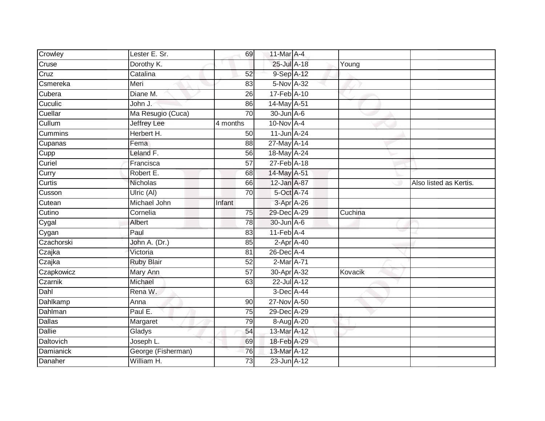| Crowley       | Lester E. Sr.      | 69              | 11-Mar A-4                  |         |                        |
|---------------|--------------------|-----------------|-----------------------------|---------|------------------------|
| Cruse         | Dorothy K.         |                 | $25$ -Jul A-18              | Young   |                        |
| Cruz          | Catalina           | 52              | 9-Sep A-12                  |         |                        |
| Csmereka      | Meri               | 83              | 5-Nov A-32                  |         |                        |
| Cubera        | Diane M.           | $\overline{26}$ | 17-Feb A-10                 |         |                        |
| Cuculic       | John J.            | 86              | 14-May A-51                 |         |                        |
| Cuellar       | Ma Resugio (Cuca)  | 70              | $30$ -Jun $A$ -6            |         |                        |
| Cullum        | <b>Jeffrey Lee</b> | 4 months        | $10$ -Nov $A-4$             |         |                        |
| Cummins       | Herbert H.         | 50              | 11-Jun A-24                 |         |                        |
| Cupanas       | Fema               | $\overline{88}$ | 27-May A-14                 |         |                        |
| Cupp          | Leland F.          | 56              | 18-May A-24                 |         |                        |
| Curiel        | Francisca          | $\overline{57}$ | 27-Feb A-18                 |         |                        |
| Curry         | Robert E.          | 68              | 14-May A-51                 |         |                        |
| Curtis        | Nicholas           | 66              | 12-Jan A-87                 |         | Also listed as Kertis. |
| Cusson        | Ulric (Al)         | 70              | 5-Oct A-74                  |         |                        |
| Cutean        | Michael John       | Infant          | 3-Apr A-26                  |         |                        |
| Cutino        | Cornelia           | 75              | 29-Dec A-29                 | Cuchina |                        |
| Cygal         | Albert             | 78              | 30-Jun A-6                  |         |                        |
| Cygan         | Paul               | 83              | $11-FebA-4$                 |         |                        |
| Czachorski    | John A. (Dr.)      | 85              | $2$ -Apr $A$ -40            |         |                        |
| Czajka        | Victoria           | 81              | 26-Dec A-4                  |         |                        |
| Czajka        | <b>Ruby Blair</b>  | 52              | $2$ -Mar $\overline{A}$ -71 |         |                        |
| Czapkowicz    | Mary Ann           | 57              | 30-Apr A-32                 | Kovacik |                        |
| Czarnik       | Michael            | 63              | 22-Jul A-12                 |         |                        |
| Dahl          | Rena W.            |                 | 3-Dec A-44                  |         |                        |
| Dahlkamp      | Anna               | 90              | 27-Nov A-50                 |         |                        |
| Dahlman       | Paul E.            | $\overline{75}$ | 29-Dec A-29                 |         |                        |
| Dallas        | Margaret           | 79              | 8-Aug A-20                  |         |                        |
| <b>Dallie</b> | Gladys             | 54              | 13-Mar A-12                 |         |                        |
| Daltovich     | Joseph L.          | 69              | 18-Feb A-29                 |         |                        |
| Damianick     | George (Fisherman) | $\overline{76}$ | 13-Mar A-12                 |         |                        |
| Danaher       | William H.         | 73              | 23-Jun A-12                 |         |                        |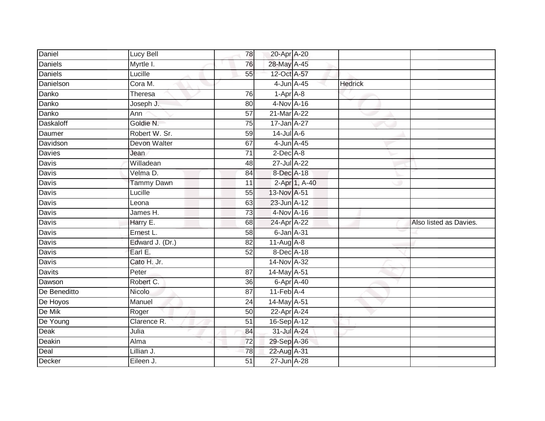| Daniel           | Lucy Bell           | 78              | 20-Apr A-20            |               |                |                        |
|------------------|---------------------|-----------------|------------------------|---------------|----------------|------------------------|
| Daniels          | Myrtle I.           | 76              | 28-May A-45            |               |                |                        |
| <b>Daniels</b>   | Lucille             | 55              | 12-Oct A-57            |               |                |                        |
| Danielson        | Cora M.             |                 | 4-Jun A-45             |               | <b>Hedrick</b> |                        |
| Danko            | Theresa             | 76              | $1-AprA-8$             |               |                |                        |
| Danko            | Joseph J.           | 80              | 4-Nov A-16             |               |                |                        |
| Danko            | Ann                 | $\overline{57}$ | 21-Mar A-22            |               |                |                        |
| <b>Daskaloff</b> | Goldie N.           | 75              | 17-Jan A-27            |               |                |                        |
| Daumer           | Robert W. Sr.       | 59              | $14$ -Jul A-6          |               |                |                        |
| Davidson         | <b>Devon Walter</b> | 67              | 4-Jun A-45             |               |                |                        |
| <b>Davies</b>    | Jean                | 71              | $2$ -Dec $A$ -8        |               |                |                        |
| Davis            | Willadean           | 48              | 27-Jul A-22            |               |                |                        |
| Davis            | Velma D.            | 84              | 8-Dec A-18             |               |                |                        |
| Davis            | <b>Tammy Dawn</b>   | 11              |                        | 2-Apr 1, A-40 |                |                        |
| Davis            | Lucille             | 55              | 13-Nov A-51            |               |                |                        |
| Davis            | Leona               | 63              | 23-Jun A-12            |               |                |                        |
| <b>Davis</b>     | James H.            | $\overline{73}$ | 4-Nov A-16             |               |                |                        |
| Davis            | Harry E.            | 68              | 24-Apr <sup>A-22</sup> |               |                | Also listed as Davies. |
| Davis            | Ernest L.           | 58              | 6-Jan A-31             |               |                |                        |
| <b>Davis</b>     | Edward J. (Dr.)     | $\overline{82}$ | $11-Aug$ A-8           |               |                |                        |
| Davis            | Earl E.             | 52              | 8-Dec A-18             |               |                |                        |
| Davis            | Cato H. Jr.         |                 | 14-Nov A-32            |               |                |                        |
| Davits           | Peter               | 87              | 14-May A-51            |               |                |                        |
| Dawson           | Robert C.           | 36              | 6-Apr A-40             |               |                |                        |
| De Beneditto     | Nicolo              | 87              | $11-Feb$ A-4           |               |                |                        |
| De Hoyos         | Manuel              | 24              | 14-May A-51            |               |                |                        |
| De Mik           | Roger               | 50              | 22-Apr A-24            |               |                |                        |
| De Young         | Clarence R.         | 51              | 16-Sep A-12            |               |                |                        |
| Deak             | Julia               | 84              | 31-Jul A-24            |               |                |                        |
| Deakin           | Alma                | $\overline{72}$ | 29-Sep A-36            |               |                |                        |
| Deal             | Lillian J.          | 78              | 22-Aug A-31            |               |                |                        |
| <b>Decker</b>    | Eileen J.           | $\overline{51}$ | 27-Jun A-28            |               |                |                        |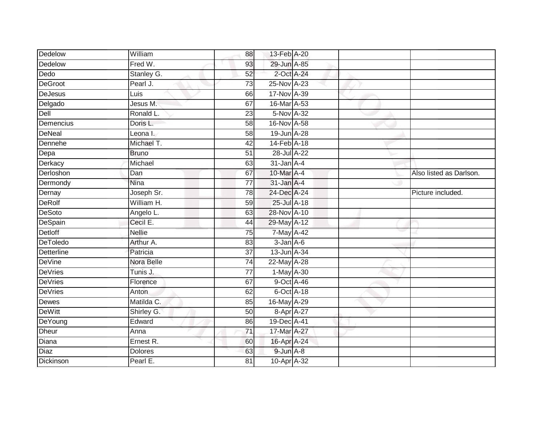| Dedelow         | William        | 88              | 13-Feb A-20      |                         |
|-----------------|----------------|-----------------|------------------|-------------------------|
| Dedelow         | Fred W.        | 93              | 29-Jun A-85      |                         |
| Dedo            | Stanley G.     | 52              | 2-Oct A-24       |                         |
| DeGroot         | Pearl J.       | 73              | 25-Nov A-23      |                         |
| DeJesus         | Luis           | 66              | 17-Nov A-39      |                         |
| Delgado         | Jesus M.       | 67              | 16-Mar A-53      |                         |
| Dell            | Ronald L.      | 23              | 5-Nov A-32       |                         |
| Demencius       | Doris L.       | 58              | 16-Nov A-58      |                         |
| <b>DeNeal</b>   | Leona I.       | 58              | 19-Jun A-28      |                         |
| Dennehe         | Michael T.     | 42              | 14-Feb A-18      |                         |
| Depa            | <b>Bruno</b>   | 51              | 28-Jul A-22      |                         |
| Derkacy         | Michael        | 63              | $31$ -Jan $A-4$  |                         |
| Derloshon       | Dan            | 67              | 10-Mar A-4       | Also listed as Darlson. |
| Dermondy        | <b>Nina</b>    | 77              | $31$ -Jan $A-4$  |                         |
| Dernay          | Joseph Sr.     | 78              | 24-Dec A-24      | Picture included.       |
| <b>DeRolf</b>   | William H.     | 59              | 25-Jul A-18      |                         |
| DeSoto          | Angelo L.      | 63              | 28-Nov A-10      |                         |
| DeSpain         | Cecil E.       | 44              | 29-May A-12      |                         |
| <b>Detloff</b>  | <b>Nellie</b>  | 75              | 7-May A-42       |                         |
| <b>DeToledo</b> | Arthur A.      | 83              | $3$ -Jan $A$ -6  |                         |
| Detterline      | Patricia       | $\overline{37}$ | 13-Jun A-34      |                         |
| <b>DeVine</b>   | Nora Belle     | 74              | 22-May A-28      |                         |
| <b>DeVries</b>  | Tunis J.       | 77              | $1-May$ A-30     |                         |
| <b>DeVries</b>  | Florence       | 67              | 9-Oct A-46       |                         |
| DeVries         | Anton          | 62              | $6$ -Oct $A$ -18 |                         |
| Dewes           | Matilda C.     | 85              | 16-May A-29      |                         |
| <b>DeWitt</b>   | Shirley G.     | 50              | 8-Apr A-27       |                         |
| DeYoung         | Edward         | 86              | 19-Dec A-41      |                         |
| Dheur           | Anna           | 71              | 17-Mar A-27      |                         |
| Diana           | Ernest R.      | 60              | 16-Apr A-24      |                         |
| Diaz            | <b>Dolores</b> | 63              | $9$ -Jun $A-8$   |                         |
| Dickinson       | Pearl E.       | $\overline{81}$ | 10-Apr A-32      |                         |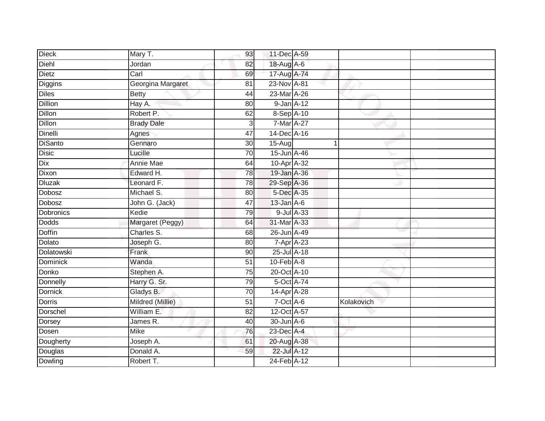| <b>Dieck</b>    | Mary T.           | 93              | 11-Dec A-59      |            |  |
|-----------------|-------------------|-----------------|------------------|------------|--|
| Diehl           | Jordan            | 82              | 18-Aug A-6       |            |  |
| Dietz           | Carl              | 69              | 17-Aug A-74      |            |  |
| Diggins         | Georgina Margaret | 81              | 23-Nov A-81      |            |  |
| <b>Diles</b>    | <b>Betty</b>      | 44              | 23-Mar A-26      |            |  |
| Dillion         | Hay A.            | 80              | 9-Jan A-12       |            |  |
| <b>Dillon</b>   | Robert P.         | 62              | 8-Sep A-10       |            |  |
| Dillon          | <b>Brady Dale</b> | 3               | 7-Mar A-27       |            |  |
| Dinelli         | Agnes             | 47              | 14-Dec A-16      |            |  |
| <b>DiSanto</b>  | Gennaro           | 30              | $15-Aug$         |            |  |
| <b>Disic</b>    | Lucille           | 70              | 15-Jun A-46      |            |  |
| Dix             | Annie Mae         | 64              | 10-Apr A-32      |            |  |
| Dixon           | Edward H.         | 78              | 19-Jan A-36      |            |  |
| <b>Dluzak</b>   | Leonard F.        | 78              | 29-Sep A-36      |            |  |
| Dobosz          | Michael S.        | $\overline{80}$ | 5-Dec A-35       |            |  |
| Dobosz          | John G. (Jack)    | 47              | $13$ -Jan $A$ -6 |            |  |
| Dobronics       | Kedie             | 79              | 9-Jul A-33       |            |  |
| Dodds           | Margaret (Peggy)  | 64              | 31-Mar A-33      |            |  |
| Doffin          | Charles S.        | 68              | 26-Jun A-49      |            |  |
| Dolato          | Joseph G.         | 80              | $7 - Apr$ $A-23$ |            |  |
| Dolatowski      | Frank             | 90              | 25-Jul A-18      |            |  |
| <b>Dominick</b> | Wanda             | $\overline{51}$ | $10$ -Feb $A$ -8 |            |  |
| Donko           | Stephen A.        | 75              | 20-Oct A-10      |            |  |
| Donnelly        | Harry G. Sr.      | 79              | 5-Oct A-74       |            |  |
| <b>Dornick</b>  | Gladys B.         | 70              | 14-Apr A-28      |            |  |
| <b>Dorris</b>   | Mildred (Millie)  | 51              | 7-Oct A-6        | Kolakovich |  |
| Dorschel        | William E.        | 82              | 12-Oct A-57      |            |  |
| Dorsey          | James R.          | 40              | 30-Jun A-6       |            |  |
| Dosen           | <b>Mike</b>       | 76              | 23-Dec A-4       |            |  |
| Dougherty       | Joseph A.         | 61              | 20-Aug A-38      |            |  |
| Douglas         | Donald A.         | 59              | 22-Jul A-12      |            |  |
| Dowling         | Robert T.         |                 | 24-Feb A-12      |            |  |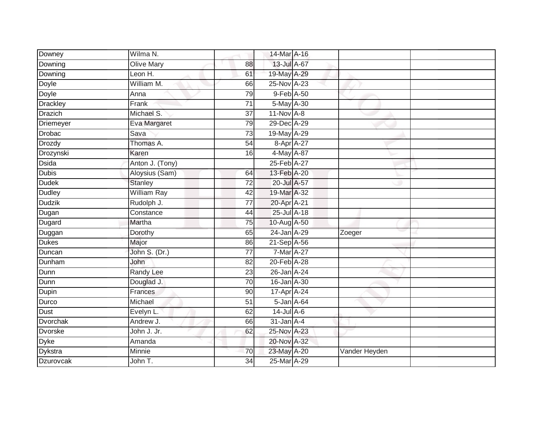| Downey           | Wilma N.           |                 | 14-Mar A-16      |               |
|------------------|--------------------|-----------------|------------------|---------------|
| Downing          | <b>Olive Mary</b>  | 88              | 13-Jul A-67      |               |
| Downing          | Leon H.            | 61              | 19-May A-29      |               |
| Doyle            | William M.         | 66              | 25-Nov A-23      |               |
| <b>Doyle</b>     | Anna               | 79              | 9-Feb A-50       |               |
| <b>Drackley</b>  | Frank              | 71              | 5-May A-30       |               |
| <b>Drazich</b>   | Michael S.         | 37              | 11-Nov A-8       |               |
| <b>Driemeyer</b> | Eva Margaret       | 79              | 29-Dec A-29      |               |
| <b>Drobac</b>    | Sava               | 73              | 19-May A-29      |               |
| Drozdy           | Thomas A.          | 54              | 8-Apr A-27       |               |
| Drozynski        | Karen              | 16              | 4-May A-87       |               |
| <b>Dsida</b>     | Anton J. (Tony)    |                 | 25-Feb A-27      |               |
| <b>Dubis</b>     | Aloysius (Sam)     | 64              | 13-Feb A-20      |               |
| <b>Dudek</b>     | <b>Stanley</b>     | 72              | 20-Jul A-57      |               |
| <b>Dudley</b>    | <b>William Ray</b> | 42              | 19-Mar A-32      |               |
| <b>Dudzik</b>    | Rudolph J.         | 77              | 20-Apr A-21      |               |
| Dugan            | Constance          | 44              | 25-Jul A-18      |               |
| Dugard           | Martha             | 75              | 10-Aug A-50      |               |
| Duggan           | Dorothy            | 65              | 24-Jan A-29      | Zoeger        |
| <b>Dukes</b>     | Major              | 86              | 21-Sep A-56      |               |
| Duncan           | John S. (Dr.)      | $\overline{77}$ | 7-Mar A-27       |               |
| Dunham           | John               | 82              | 20-Feb A-28      |               |
| Dunn             | Randy Lee          | 23              | 26-Jan A-24      |               |
| Dunn             | Douglad J.         | 70              | 16-Jan A-30      |               |
| Dupin            | Frances            | 90              | 17-Apr A-24      |               |
| Durco            | Michael            | 51              | 5-Jan A-64       |               |
| <b>Dust</b>      | Evelyn L.          | 62              | $14$ -Jul $A$ -6 |               |
| Dvorchak         | Andrew J.          | 66              | $31$ -Jan $A-4$  |               |
| <b>Dvorske</b>   | John J. Jr.        | 62              | 25-Nov A-23      |               |
| <b>Dyke</b>      | Amanda             |                 | 20-Nov A-32      |               |
| Dykstra          | Minnie             | 70              | 23-May A-20      | Vander Heyden |
| <b>Dzurovcak</b> | John T.            | $\overline{34}$ | 25-Mar A-29      |               |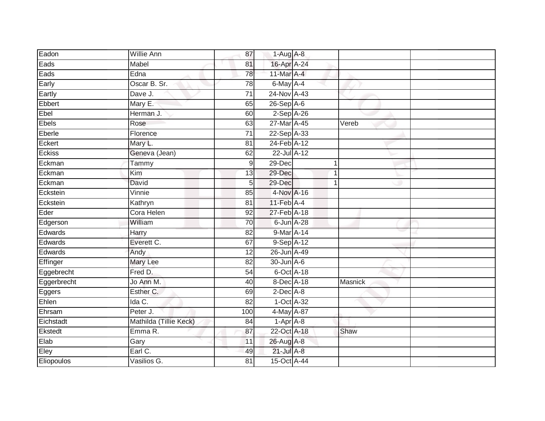| Eadon       | <b>Willie Ann</b>      | 87              | $1-Aug$ A-8      |         |  |
|-------------|------------------------|-----------------|------------------|---------|--|
| Eads        | Mabel                  | 81              | 16-Apr A-24      |         |  |
| Eads        | Edna                   | $\overline{78}$ | 11-Mar A-4       |         |  |
| Early       | Oscar B. Sr.           | 78              | 6-May A-4        |         |  |
| Eartly      | Dave J.                | $\overline{71}$ | 24-Nov A-43      |         |  |
| Ebbert      | Mary E.                | 65              | $26-Sep$ A-6     |         |  |
| Ebel        | Herman J.              | 60              | $2-Sep$ A-26     |         |  |
| Ebels       | Rose                   | 63              | 27-Mar A-45      | Vereb   |  |
| Eberle      | Florence               | $\overline{71}$ | 22-Sep A-33      |         |  |
| Eckert      | Mary L.                | 81              | 24-Feb A-12      |         |  |
| Eckiss      | Geneva (Jean)          | 62              | 22-Jul A-12      |         |  |
| Eckman      | Tammy                  | $\overline{9}$  | 29-Dec           |         |  |
| Eckman      | Kim                    | 13              | 29-Dec           |         |  |
| Eckman      | David                  | 5 <sub>l</sub>  | 29-Dec           |         |  |
| Eckstein    | Vinnie                 | 85              | 4-Nov A-16       |         |  |
| Eckstein    | Kathryn                | $\overline{81}$ | $11$ -Feb $A$ -4 |         |  |
| Eder        | Cora Helen             | 92              | 27-Feb A-18      |         |  |
| Edgerson    | William                | 70              | 6-Jun A-28       |         |  |
| Edwards     | Harry                  | 82              | 9-Mar A-14       |         |  |
| Edwards     | Everett C.             | 67              | 9-Sep A-12       |         |  |
| Edwards     | Andy                   | 12              | 26-Jun A-49      |         |  |
| Effinger    | <b>Mary Lee</b>        | 82              | 30-Jun A-6       |         |  |
| Eggebrecht  | Fred D.                | 54              | 6-Oct A-18       |         |  |
| Eggerbrecht | Jo Ann M.              | 40              | 8-Dec A-18       | Masnick |  |
| Eggers      | Esther C.              | 69              | $2$ -Dec $A-8$   |         |  |
| Ehlen       | Ida C.                 | $\overline{82}$ | 1-Oct A-32       |         |  |
| Ehrsam      | Peter J.               | 100             | 4-May A-87       |         |  |
| Eichstadt   | Mathilda (Tillie Keck) | 84              | $1-AprA-8$       |         |  |
| Ekstedt     | Emma R.                | 87              | 22-Oct A-18      | Shaw    |  |
| Elab        | Gary                   | 11              | 26-Aug A-8       |         |  |
| Eley        | Earl C.                | 49              | 21-Jul A-8       |         |  |
| Eliopoulos  | Vasilios G.            | 81              | 15-Oct A-44      |         |  |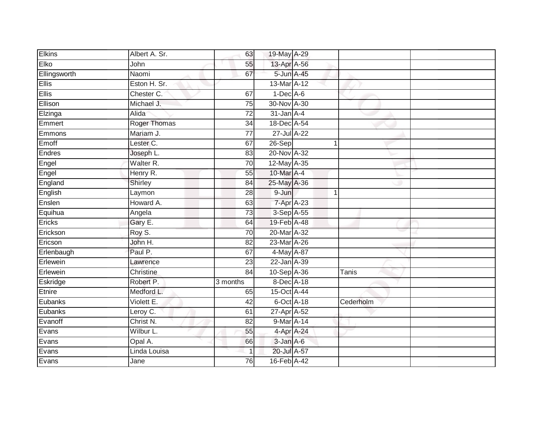| <b>Elkins</b> | Albert A. Sr.       | 63              | 19-May A-29                 |  |           |  |  |
|---------------|---------------------|-----------------|-----------------------------|--|-----------|--|--|
| Elko          | John                | 55              | 13-Apr A-56                 |  |           |  |  |
| Ellingsworth  | Naomi               | 67              | 5-Jun A-45                  |  |           |  |  |
| Ellis         | Eston H. Sr.        |                 | 13-Mar A-12                 |  |           |  |  |
| <b>Ellis</b>  | Chester C.          | 67              | $1-Dec$ A-6                 |  |           |  |  |
| Ellison       | Michael J.          | 75              | 30-Nov A-30                 |  |           |  |  |
| Elzinga       | Alida               | 72              | $31$ -Jan $A-4$             |  |           |  |  |
| Emmert        | <b>Roger Thomas</b> | 34              | 18-Dec A-54                 |  |           |  |  |
| Emmons        | Mariam J.           | $\overline{77}$ | 27-Jul A-22                 |  |           |  |  |
| Emoff         | Lester C.           | 67              | $26-Sep$                    |  |           |  |  |
| Endres        | Joseph L.           | 83              | 20-Nov A-32                 |  |           |  |  |
| Engel         | Walter R.           | $\overline{70}$ | 12-May A-35                 |  |           |  |  |
| Engel         | Henry R.            | 55              | 10-Mar A-4                  |  |           |  |  |
| England       | Shirley             | 84              | 25-May A-36                 |  |           |  |  |
| English       | Laymon              | 28              | 9-Jun                       |  |           |  |  |
| Enslen        | Howard A.           | 63              | 7-Apr A-23                  |  |           |  |  |
| Equihua       | Angela              | $\overline{73}$ | 3-Sep A-55                  |  |           |  |  |
| Ericks        | Gary E.             | 64              | 19-Feb A-48                 |  |           |  |  |
| Erickson      | Roy S.              | 70              | 20-Mar A-32                 |  |           |  |  |
| Ericson       | John H.             | 82              | 23-Mar A-26                 |  |           |  |  |
| Erlenbaugh    | Paul P.             | 67              | 4-May A-87                  |  |           |  |  |
| Erlewein      | Lawrence            | $\overline{23}$ | 22-Jan A-39                 |  |           |  |  |
| Erlewein      | Christine           | 84              | 10-Sep A-36                 |  | Tanis     |  |  |
| Eskridge      | Robert P.           | 3 months        | 8-Dec A-18                  |  |           |  |  |
| Etnire        | Medford L.          | 65              | 15-Oct A-44                 |  |           |  |  |
| Eubanks       | Violett E.          | 42              | $6$ -Oct $\overline{A}$ -18 |  | Cederholm |  |  |
| Eubanks       | Leroy C.            | 61              | 27-Apr A-52                 |  |           |  |  |
| Evanoff       | Christ N.           | 82              | 9-Mar A-14                  |  |           |  |  |
| Evans         | Wilbur L.           | 55              | 4-Apr A-24                  |  |           |  |  |
| Evans         | Opal A.             | 66              | 3-Jan A-6                   |  |           |  |  |
| Evans         | Linda Louisa        |                 | 20-Jul A-57                 |  |           |  |  |
| Evans         | Jane                | 76              | 16-Feb A-42                 |  |           |  |  |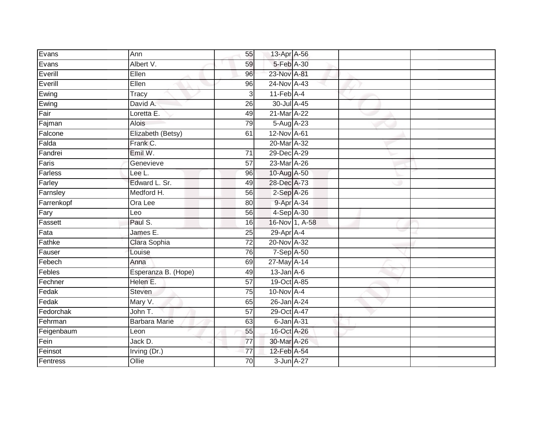| Evans      | Ann                  | 55              | 13-Apr A-56      |                |  |
|------------|----------------------|-----------------|------------------|----------------|--|
| Evans      | Albert V.            | 59              | 5-Feb A-30       |                |  |
| Everill    | Ellen                | 96              | 23-Nov A-81      |                |  |
| Everill    | Ellen                | 96              | 24-Nov A-43      |                |  |
| Ewing      | Tracy                | 3               | $11$ -Feb $A$ -4 |                |  |
| Ewing      | David A.             | 26              | 30-Jul A-45      |                |  |
| Fair       | Loretta E.           | 49              | 21-Mar A-22      |                |  |
| Fajman     | Alois                | 79              | 5-Aug A-23       |                |  |
| Falcone    | Elizabeth (Betsy)    | 61              | 12-Nov A-61      |                |  |
| Falda      | Frank C.             |                 | 20-Mar A-32      |                |  |
| Fandrei    | Emil W.              | 71              | 29-Dec A-29      |                |  |
| Faris      | Genevieve            | $\overline{57}$ | 23-Mar A-26      |                |  |
| Farless    | Lee L.               | 96              | 10-Aug A-50      |                |  |
| Farley     | Edward L. Sr.        | 49              | 28-Dec A-73      |                |  |
| Farnsley   | Medford H.           | 56              | $2-Sep$ A-26     |                |  |
| Farrenkopf | Ora Lee              | 80              | 9-Apr A-34       |                |  |
| Fary       | Leo                  | 56              | 4-Sep A-30       |                |  |
| Fassett    | Paul S.              | 16              |                  | 16-Nov 1, A-58 |  |
| Fata       | James E.             | 25              | 29-Apr A-4       |                |  |
| Fathke     | Clara Sophia         | 72              | 20-Nov A-32      |                |  |
| Fauser     | Louise               | 76              | 7-Sep A-50       |                |  |
| Febech     | Anna                 | 69              | 27-May A-14      |                |  |
| Febles     | Esperanza B. (Hope)  | 49              | $13$ -Jan $A-6$  |                |  |
| Fechner    | Helen E.             | 57              | 19-Oct A-85      |                |  |
| Fedak      | Steven               | $\overline{75}$ | 10-Nov A-4       |                |  |
| Fedak      | Mary V.              | 65              | 26-Jan A-24      |                |  |
| Fedorchak  | John T.              | 57              | 29-Oct A-47      |                |  |
| Fehrman    | <b>Barbara Marie</b> | 63              | 6-Jan A-31       |                |  |
| Feigenbaum | Leon                 | 55              | 16-Oct A-26      |                |  |
| Fein       | Jack D.              | 77              | 30-Mar A-26      |                |  |
| Feinsot    | Irving (Dr.)         | 77              | 12-Feb A-54      |                |  |
| Fentress   | Ollie                | $\overline{70}$ | 3-Jun A-27       |                |  |
|            |                      |                 |                  |                |  |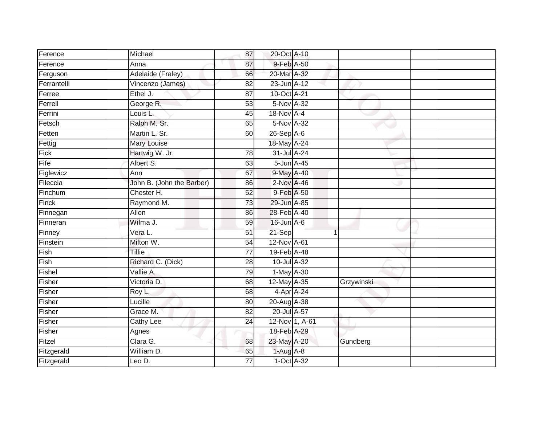| Ference     | Michael                   | 87              | 20-Oct A-10      |            |
|-------------|---------------------------|-----------------|------------------|------------|
| Ference     | Anna                      | 87              | 9-Feb A-50       |            |
| Ferguson    | Adelaide (Fraley)         | 66              | 20-Mar A-32      |            |
| Ferrantelli | Vincenzo (James)          | 82              | 23-Jun A-12      |            |
| Ferree      | Ethel J.                  | $\overline{87}$ | 10-Oct A-21      |            |
| Ferrell     | George R.                 | 53              | 5-Nov A-32       |            |
| Ferrini     | Louis L.                  | 45              | $18-Nov$ A-4     |            |
| Fetsch      | Ralph M. Sr.              | 65              | 5-Nov A-32       |            |
| Fetten      | Martin L. Sr.             | 60              | $26-Sep$ A-6     |            |
| Fettig      | Mary Louise               |                 | 18-May A-24      |            |
| Fick        | Hartwig W. Jr.            | 78              | 31-Jul A-24      |            |
| Fife        | Albert S.                 | 63              | 5-Jun A-45       |            |
| Figlewicz   | Ann                       | 67              | 9-May A-40       |            |
| Fileccia    | John B. (John the Barber) | 86              | $2-Nov A-46$     |            |
| Finchum     | Chester H.                | 52              | 9-Feb A-50       |            |
| Finck       | Raymond M.                | 73              | 29-Jun A-85      |            |
| Finnegan    | Allen                     | 86              | 28-Feb A-40      |            |
| Finneran    | Wilma J.                  | 59              | $16$ -Jun $A$ -6 |            |
| Finney      | Vera L.                   | 51              | 21-Sep           |            |
| Finstein    | Milton W.                 | 54              | 12-Nov A-61      |            |
| Fish        | Tillie                    | 77              | 19-Feb A-48      |            |
| Fish        | Richard C. (Dick)         | 28              | 10-Jul A-32      |            |
| Fishel      | Vallie A.                 | 79              | $1$ -May $A$ -30 |            |
| Fisher      | Victoria D.               | 68              | 12-May A-35      | Grzywinski |
| Fisher      | Roy L.                    | 68              | 4-Apr A-24       |            |
| Fisher      | Lucille                   | 80              | 20-Aug A-38      |            |
| Fisher      | Grace M.                  | 82              | 20-Jul A-57      |            |
| Fisher      | Cathy Lee                 | 24              | 12-Nov 1, A-61   |            |
| Fisher      | Agnes                     |                 | 18-Feb A-29      |            |
| Fitzel      | Clara G.                  | 68              | 23-May A-20      | Gundberg   |
| Fitzgerald  | William D.                | 65              | $1-Aug$ A-8      |            |
| Fitzgerald  | Leo $D$ .                 | $\overline{77}$ | $1-Oct$ $A-32$   |            |
|             |                           |                 |                  |            |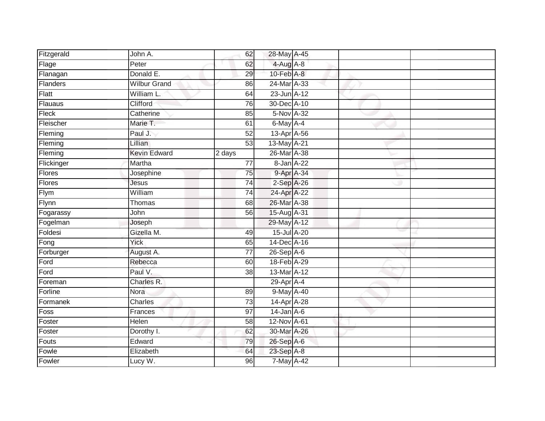| Fitzgerald    | John A.             | 62              | 28-May A-45              |  |  |
|---------------|---------------------|-----------------|--------------------------|--|--|
| Flage         | Peter               | 62              | $4$ -Aug A-8             |  |  |
| Flanagan      | Donald E.           | 29              | 10-Feb A-8               |  |  |
| Flanders      | <b>Wilbur Grand</b> | 86              | 24-Mar A-33              |  |  |
| Flatt         | William L.          | 64              | $23$ -Jun $A-12$         |  |  |
| Flauaus       | Clifford            | 76              | 30-Dec A-10              |  |  |
| Fleck         | Catherine           | 85              | 5-Nov A-32               |  |  |
| Fleischer     | Marie T.            | 61              | 6-May A-4                |  |  |
| Fleming       | Paul J.             | 52              | 13-Apr A-56              |  |  |
| Fleming       | Lillian             | 53              | 13-May A-21              |  |  |
| Fleming       | <b>Kevin Edward</b> | 2 days          | 26-Mar A-38              |  |  |
| Flickinger    | Martha              | 77              | 8-Jan A-22               |  |  |
| <b>Flores</b> | Josephine           | 75              | 9-Apr A-34               |  |  |
| Flores        | Jesus               | 74              | 2-Sep A-26               |  |  |
| Flym          | William             | 74              | 24-Apr A-22              |  |  |
| Flynn         | Thomas              | 68              | 26-Mar A-38              |  |  |
| Fogarassy     | John                | $\overline{56}$ | 15-Aug A-31              |  |  |
| Fogelman      | Joseph              |                 | 29-May A-12              |  |  |
| Foldesi       | Gizella M.          | 49              | 15-Jul A-20              |  |  |
| Fong          | Yick                | 65              | 14-Dec A-16              |  |  |
| Forburger     | August A.           | $\overline{77}$ | 26-Sep A-6               |  |  |
| Ford          | Rebecca             | 60              | 18-Feb A-29              |  |  |
| Ford          | Paul V.             | 38              | 13-Mar A-12              |  |  |
| Foreman       | Charles R.          |                 | 29-Apr A-4               |  |  |
| Forline       | Nora                | 89              | 9-May A-40               |  |  |
| Formanek      | Charles             | 73              | 14-Apr A-28              |  |  |
| Foss          | Frances             | 97              | $14$ -Jan $A-6$          |  |  |
| Foster        | Helen               | 58              | $12-Nov \overline{A}-61$ |  |  |
| Foster        | Dorothy I.          | 62              | 30-Mar A-26              |  |  |
| Fouts         | Edward              | 79              | 26-Sep A-6               |  |  |
| Fowle         | Elizabeth           | 64              | 23-Sep A-8               |  |  |
| Fowler        | Lucy W.             | $\overline{96}$ | $7$ -May $A$ -42         |  |  |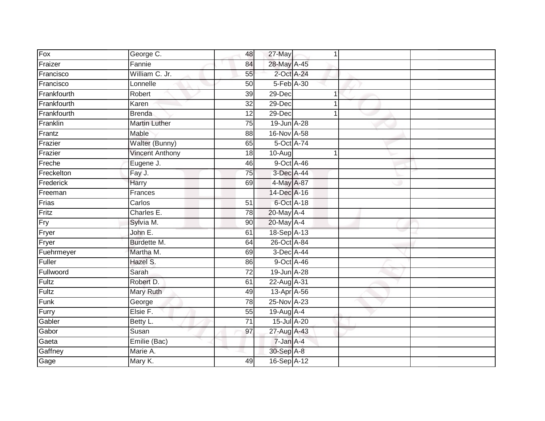| Fox         | George C.              | 48              | 27-May      |  |  |
|-------------|------------------------|-----------------|-------------|--|--|
| Fraizer     | Fannie                 | 84              | 28-May A-45 |  |  |
| Francisco   | William C. Jr.         | 55              | 2-Oct A-24  |  |  |
| Francisco   | Lonnelle               | 50              | 5-Feb A-30  |  |  |
| Frankfourth | Robert                 | 39              | 29-Dec      |  |  |
| Frankfourth | Karen                  | 32              | 29-Dec      |  |  |
| Frankfourth | <b>Brenda</b>          | 12              | $29$ -Dec   |  |  |
| Franklin    | <b>Martin Luther</b>   | $\overline{75}$ | 19-Jun A-28 |  |  |
| Frantz      | Mable                  | 88              | 16-Nov A-58 |  |  |
| Frazier     | Walter (Bunny)         | 65              | 5-Oct A-74  |  |  |
| Frazier     | <b>Vincent Anthony</b> | 18              | 10-Aug      |  |  |
| Freche      | Eugene J.              | 46              | 9-Oct A-46  |  |  |
| Freckelton  | Fay J.                 | 75              | 3-Dec A-44  |  |  |
| Frederick   | Harry                  | 69              | 4-May A-87  |  |  |
| Freeman     | Frances                |                 | 14-Dec A-16 |  |  |
| Frias       | Carlos                 | 51              | 6-Oct A-18  |  |  |
| Fritz       | Charles E.             | $\overline{78}$ | 20-May A-4  |  |  |
| Fry         | Sylvia M.              | 90              | 20-May A-4  |  |  |
| Fryer       | John E.                | 61              | 18-Sep A-13 |  |  |
| Fryer       | Burdette M.            | 64              | 26-Oct A-84 |  |  |
| Fuehrmeyer  | Martha M.              | 69              | 3-Dec A-44  |  |  |
| Fuller      | Hazel S.               | 86              | 9-Oct A-46  |  |  |
| Fullwoord   | Sarah                  | 72              | 19-Jun A-28 |  |  |
| Fultz       | Robert D.              | 61              | 22-Aug A-31 |  |  |
| Fultz       | <b>Mary Ruth</b>       | 49              | 13-Apr A-56 |  |  |
| Funk        | George                 | $\overline{78}$ | 25-Nov A-23 |  |  |
| Furry       | Elsie F.               | 55              | 19-Aug A-4  |  |  |
| Gabler      | Betty L.               | 71              | 15-Jul A-20 |  |  |
| Gabor       | Susan                  | 97              | 27-Aug A-43 |  |  |
| Gaeta       | Emilie (Bac)           |                 | 7-Jan A-4   |  |  |
| Gaffney     | Marie A.               |                 | 30-Sep A-8  |  |  |
| Gage        | Mary K.                | 49              | 16-Sep A-12 |  |  |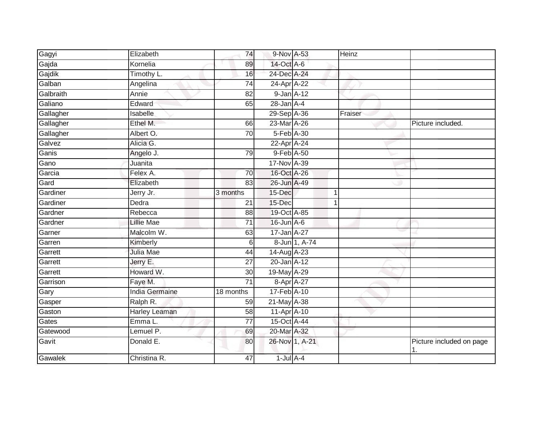| Gagyi     | Elizabeth            | 74              | 9-Nov A-53       |                | Heinz   |                                |
|-----------|----------------------|-----------------|------------------|----------------|---------|--------------------------------|
| Gajda     | Kornelia             | 89              | 14-Oct A-6       |                |         |                                |
| Gajdik    | Timothy L.           | 16              | 24-Dec A-24      |                |         |                                |
| Galban    | Angelina             | 74              | 24-Apr A-22      |                |         |                                |
| Galbraith | Annie                | $\overline{82}$ | 9-Jan A-12       |                |         |                                |
| Galiano   | Edward               | 65              | $28$ -Jan $A-4$  |                |         |                                |
| Gallagher | Isabelle             |                 | 29-Sep A-36      |                | Fraiser |                                |
| Gallagher | Ethel M.             | 66              | 23-Mar A-26      |                |         | Picture included.              |
| Gallagher | Albert O.            | 70              | 5-Feb A-30       |                |         |                                |
| Galvez    | Alicia G.            |                 | 22-Apr A-24      |                |         |                                |
| Ganis     | Angelo J.            | 79              | 9-Feb A-50       |                |         |                                |
| Gano      | Juanita              |                 | 17-Nov A-39      |                |         |                                |
| Garcia    | Felex A.             | 70              | 16-Oct A-26      |                |         |                                |
| Gard      | Elizabeth            | 83              | 26-Jun A-49      |                |         |                                |
| Gardiner  | Jerry Jr.            | 3 months        | 15-Dec           |                |         |                                |
| Gardiner  | Dedra                | 21              | 15-Dec           |                |         |                                |
| Gardner   | Rebecca              | $\overline{88}$ | 19-Oct A-85      |                |         |                                |
| Gardner   | <b>Lillie Mae</b>    | 71              | $16$ -Jun $A$ -6 |                |         |                                |
| Garner    | Malcolm W.           | 63              | 17-Jan A-27      |                |         |                                |
| Garren    | Kimberly             | $6 \mid$        |                  | 8-Jun 1, A-74  |         |                                |
| Garrett   | Julia Mae            | 44              | 14-Aug A-23      |                |         |                                |
| Garrett   | Jerry E.             | $\overline{27}$ | 20-Jan A-12      |                |         |                                |
| Garrett   | Howard W.            | 30              | 19-May A-29      |                |         |                                |
| Garrison  | Faye M.              | 71              | 8-Apr A-27       |                |         |                                |
| Gary      | India Germaine       | 18 months       | 17-Feb A-10      |                |         |                                |
| Gasper    | Ralph R.             | 59              | 21-May A-38      |                |         |                                |
| Gaston    | <b>Harley Leaman</b> | 58              | 11-Apr A-10      |                |         |                                |
| Gates     | Emma L.              | 77              | 15-Oct A-44      |                |         |                                |
| Gatewood  | Lemuel P.            | 69              | 20-Mar A-32      |                |         |                                |
| Gavit     | Donald E.            | 80              |                  | 26-Nov 1, A-21 |         | Picture included on page<br>1. |
| Gawalek   | Christina R.         | 47              | $1$ -Jul $A-4$   |                |         |                                |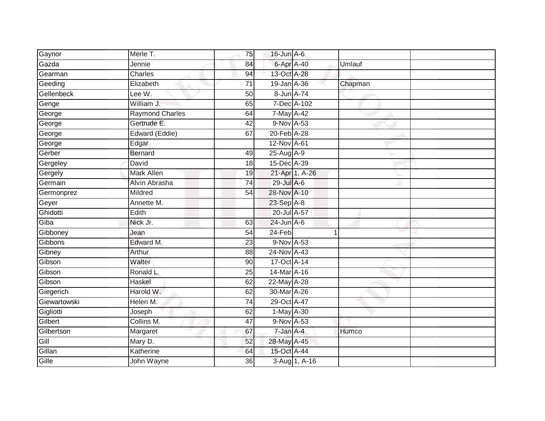| Gaynor       | Merle T.               | 75              | 16-Jun A-6       |                |         |  |
|--------------|------------------------|-----------------|------------------|----------------|---------|--|
| Gazda        | Jennie                 | 84              | 6-Apr A-40       |                | Umlauf  |  |
| Gearman      | Charles                | 94              | 13-Oct A-28      |                |         |  |
| Geeding      | Elizabeth              | 71              | 19-Jan A-36      |                | Chapman |  |
| Gellenbeck   | Lee W.                 | 50              | 8-Jun A-74       |                |         |  |
| Genge        | William J.             | 65              |                  | 7-Dec A-102    |         |  |
| George       | <b>Raymond Charles</b> | 64              | 7-May A-42       |                |         |  |
| George       | Gertrude E.            | 42              | 9-Nov A-53       |                |         |  |
| George       | Edward (Eddie)         | 67              | 20-Feb A-28      |                |         |  |
| George       | Edgar                  |                 | 12-Nov A-61      |                |         |  |
| Gerber       | <b>Bernard</b>         | 49              | $25$ -Aug $A$ -9 |                |         |  |
| Gergeley     | David                  | 18              | 15-Dec A-39      |                |         |  |
| Gergely      | <b>Mark Allen</b>      | 19              |                  | 21-Apr 1, A-26 |         |  |
| Germain      | Alvin Abrasha          | $\overline{74}$ | 29-Jul A-6       |                |         |  |
| Germonprez   | Mildred                | 54              | 28-Nov A-10      |                |         |  |
| Geyer        | Annette M.             |                 | 23-Sep A-8       |                |         |  |
| Ghidotti     | Edith                  |                 | 20-Jul A-57      |                |         |  |
| Giba         | Nick Jr.               | 63              | $24$ -Jun $A-6$  |                |         |  |
| Gibboney     | Jean                   | 54              | 24-Feb           |                |         |  |
| Gibbons      | Edward M.              | $\overline{23}$ | 9-Nov A-53       |                |         |  |
| Gibney       | Arthur                 | 88              | 24-Nov A-43      |                |         |  |
| Gibson       | Walter                 | 90              | 17-Oct A-14      |                |         |  |
| Gibson       | Ronald L.              | 25              | 14-Mar A-16      |                |         |  |
| Gibson       | Haskel                 | 62              | 22-May A-28      |                |         |  |
| Giegerich    | Harold W.              | 62              | 30-Mar A-26      |                |         |  |
| Giewartowski | Helen M.               | 74              | 29-Oct A-47      |                |         |  |
| Gigliotti    | Joseph                 | 62              | 1-May A-30       |                |         |  |
| Gilbert      | Collins M.             | 47              | 9-Nov A-53       |                |         |  |
| Gilbertson   | Margaret               | 67              | 7-Jan A-4        |                | Humco   |  |
| Gill         | Mary D.                | 52              | 28-May A-45      |                |         |  |
| Gillan       | Katherine              | 64              | 15-Oct A-44      |                |         |  |
| Gille        | John Wayne             | 36              |                  | 3-Aug 1, A-16  |         |  |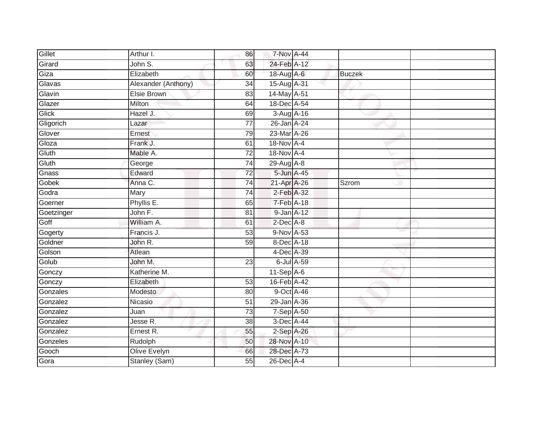| Gillet     | Arthur I.           | 86              | <b>7-Nov A-44</b> |               |  |
|------------|---------------------|-----------------|-------------------|---------------|--|
| Girard     | John S.             | 63              | 24-Feb A-12       |               |  |
| Giza       | Elizabeth           | 60              | 18-Aug A-6        | <b>Buczek</b> |  |
| Glavas     | Alexander (Anthony) | 34              | 15-Aug A-31       |               |  |
| Glavin     | <b>Elsie Brown</b>  | $\overline{83}$ | 14-May A-51       |               |  |
| Glazer     | Milton              | 64              | 18-Dec A-54       |               |  |
| Glick      | Hazel J.            | 69              | 3-Aug A-16        |               |  |
| Gligorich  | Lazar               | 77              | 26-Jan A-24       |               |  |
| Glover     | Ernest              | 79              | 23-Mar A-26       |               |  |
| Gloza      | Frank J.            | 61              | 18-Nov A-4        |               |  |
| Gluth      | Mable A.            | 72              | 18-Nov A-4        |               |  |
| Gluth      | George              | 74              | $29$ -Aug $A$ -8  |               |  |
| Gnass      | Edward              | 72              | $5$ -Jun $A$ -45  |               |  |
| Gobek      | Anna C.             | 74              | 21-Apr A-26       | Szrom         |  |
| Godra      | Mary                | $\overline{74}$ | 2-Feb A-32        |               |  |
| Goerner    | Phyllis E.          | 65              | 7-Feb A-18        |               |  |
| Goetzinger | John F.             | $\overline{81}$ | 9-Jan A-12        |               |  |
| Goff       | William A.          | 61              | $2$ -Dec $A$ -8   |               |  |
| Gogerty    | Francis J.          | 53              | 9-Nov A-53        |               |  |
| Goldner    | John R.             | $\overline{59}$ | 8-Dec A-18        |               |  |
| Golson     | Atlean              |                 | 4-Dec A-39        |               |  |
| Golub      | John M.             | 23              | 6-Jul A-59        |               |  |
| Gonczy     | Katherine M.        |                 | 11-Sep A-6        |               |  |
| Gonczy     | Elizabeth           | 53              | 16-Feb A-42       |               |  |
| Gonzales   | Modesto             | 80              | 9-Oct A-46        |               |  |
| Gonzalez   | Nicasio             | 51              | 29-Jan A-36       |               |  |
| Gonzalez   | Juan                | $\overline{73}$ | 7-Sep A-50        |               |  |
| Gonzalez   | Jesse R.            | 38              | 3-Dec A-44        |               |  |
| Gonzalez   | Ernest R.           | 55              | 2-Sep A-26        |               |  |
| Gonzeles   | Rudolph             | 50              | 28-Nov A-10       |               |  |
| Gooch      | Olive Evelyn        | 66              | 28-Dec A-73       |               |  |
| Gora       | Stanley (Sam)       | $\overline{55}$ | 26-Dec A-4        |               |  |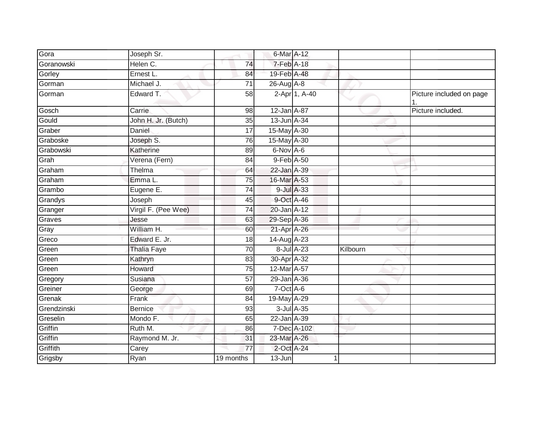| Gora        | Joseph Sr.          |                 | 6-Mar A-12        |               |          |                          |
|-------------|---------------------|-----------------|-------------------|---------------|----------|--------------------------|
| Goranowski  | Helen C.            | 74              | $7-Feb$ A-18      |               |          |                          |
| Gorley      | Ernest L.           | 84              | 19-Feb A-48       |               |          |                          |
| Gorman      | Michael J.          | 71              | 26-Aug A-8        |               |          |                          |
| Gorman      | Edward T.           | $\overline{58}$ |                   | 2-Apr 1, A-40 |          | Picture included on page |
| Gosch       | Carrie              | 98              | 12-Jan A-87       |               |          | Picture included.        |
| Gould       | John H. Jr. (Butch) | 35              | 13-Jun A-34       |               |          |                          |
| Graber      | Daniel              | $\overline{17}$ | 15-May A-30       |               |          |                          |
| Graboske    | Joseph S.           | 76              | 15-May A-30       |               |          |                          |
| Grabowski   | Katherine           | 89              | 6-Nov A-6         |               |          |                          |
| Grah        | Verena (Fern)       | 84              | 9-Feb A-50        |               |          |                          |
| Graham      | Thelma              | 64              | 22-Jan A-39       |               |          |                          |
| Graham      | Emma L.             | $\overline{75}$ | 16-Mar A-53       |               |          |                          |
| Grambo      | Eugene E.           | 74              | 9-Jul A-33        |               |          |                          |
| Grandys     | Joseph              | 45              | 9-Oct A-46        |               |          |                          |
| Granger     | Virgil F. (Pee Wee) | 74              | 20-Jan A-12       |               |          |                          |
| Graves      | Jesse               | 63              | 29-Sep A-36       |               |          |                          |
| Gray        | William H.          | 60              | 21-Apr A-26       |               |          |                          |
| Greco       | Edward E. Jr.       | 18              | $14$ -Aug $A$ -23 |               |          |                          |
| Green       | <b>Thalia Faye</b>  | $\overline{70}$ | 8-Jul A-23        |               | Kilbourn |                          |
| Green       | Kathryn             | 83              | 30-Apr A-32       |               |          |                          |
| Green       | Howard              | 75              | 12-Mar A-57       |               |          |                          |
| Gregory     | Susiana             | 57              | 29-Jan A-36       |               |          |                          |
| Greiner     | George              | 69              | 7-Oct A-6         |               |          |                          |
| Grenak      | Frank               | 84              | 19-May A-29       |               |          |                          |
| Grendzinski | <b>Bernice</b>      | 93              | $3$ -Jul $A$ -35  |               |          |                          |
| Greselin    | Mondo F.            | 65              | 22-Jan A-39       |               |          |                          |
| Griffin     | Ruth M.             | 86              |                   | 7-Dec A-102   |          |                          |
| Griffin     | Raymond M. Jr.      | 31              | 23-Mar A-26       |               |          |                          |
| Griffith    | Carey               | 77              | 2-Oct A-24        |               |          |                          |
| Grigsby     | Ryan                | 19 months       | 13-Jun            |               |          |                          |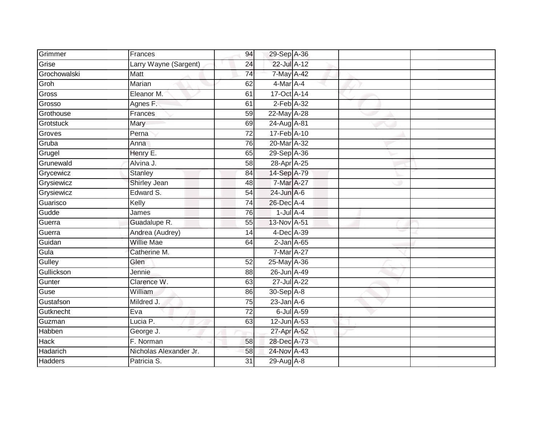| Grimmer        | Frances                | 94              | 29-Sep A-36            |            |  |
|----------------|------------------------|-----------------|------------------------|------------|--|
| Grise          | Larry Wayne (Sargent)  | $\overline{24}$ | 22-Jul A-12            |            |  |
| Grochowalski   | Matt                   | $\overline{74}$ | 7-May A-42             |            |  |
| Groh           | Marian                 | 62              | 4-Mar A-4              |            |  |
| <b>Gross</b>   | Eleanor M.             | 61              | 17-Oct A-14            |            |  |
| Grosso         | Agnes F.               | 61              | $2$ -Feb $A-32$        |            |  |
| Grothouse      | Frances                | 59              | 22-May A-28            |            |  |
| Grotstuck      | Mary                   | 69              | 24-Aug A-81            |            |  |
| Groves         | Perna                  | $\overline{72}$ | 17-Feb A-10            |            |  |
| Gruba          | Anna                   | 76              | 20-Mar A-32            |            |  |
| Grugel         | Henry E.               | 65              | 29-Sep A-36            |            |  |
| Grunewald      | Alvina J.              | 58              | 28-Apr A-25            |            |  |
| Grycewicz      | <b>Stanley</b>         | 84              | 14-Sep A-79            |            |  |
| Grysiewicz     | Shirley Jean           | 48              | 7-Mar A-27             |            |  |
| Grysiewicz     | Edward S.              | $\overline{54}$ | $24$ -Jun $A-6$        |            |  |
| Guarisco       | Kelly                  | 74              | 26-Dec A-4             |            |  |
| Gudde          | James                  | 76              | $1$ -Jul $A$ -4        |            |  |
| Guerra         | Guadalupe R.           | 55              | 13-Nov A-51            |            |  |
| Guerra         | Andrea (Audrey)        | 14              | 4-Dec A-39             |            |  |
| Guidan         | <b>Willie Mae</b>      | 64              | $2$ -Jan $A$ -65       |            |  |
| Gula           | Catherine M.           |                 | 7-Mar A-27             |            |  |
| Gulley         | Glen                   | $\overline{52}$ | 25-May A-36            |            |  |
| Gullickson     | Jennie                 | 88              | 26-Jun A-49            |            |  |
| Gunter         | Clarence W.            | 63              | 27-Jul A-22            |            |  |
| Guse           | William                | 86              | 30-Sep A-8             |            |  |
| Gustafson      | Mildred J.             | 75              | $23$ -Jan $A-6$        |            |  |
| Gutknecht      | Eva                    | $\overline{72}$ |                        | 6-Jul A-59 |  |
| Guzman         | Lucia P.               | 63              | 12-Jun A-53            |            |  |
| Habben         | George J.              |                 | 27-Apr <sub>A-52</sub> |            |  |
| Hack           | F. Norman              | 58              | 28-Dec A-73            |            |  |
| Hadarich       | Nicholas Alexander Jr. | 58              | 24-Nov A-43            |            |  |
| <b>Hadders</b> | Patricia S.            | 31              | 29-Aug A-8             |            |  |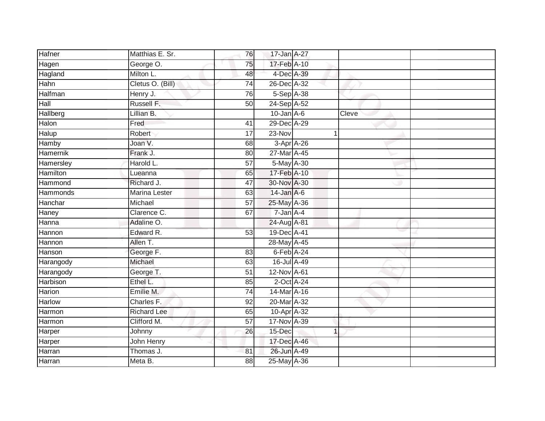| Hafner        | Matthias E. Sr.      | 76              | 17-Jan A-27     |   |       |  |
|---------------|----------------------|-----------------|-----------------|---|-------|--|
| Hagen         | George O.            | 75              | 17-Feb A-10     |   |       |  |
| Hagland       | Milton L.            | 48              | 4-Dec A-39      |   |       |  |
| Hahn          | Cletus O. (Bill)     | 74              | 26-Dec A-32     |   |       |  |
| Halfman       | Henry J.             | 76              | 5-Sep A-38      |   |       |  |
| Hall          | Russell F.           | 50              | 24-Sep A-52     |   |       |  |
| Hallberg      | Lillian B.           |                 | $10$ -Jan $A-6$ |   | Cleve |  |
| Halon         | Fred                 | 41              | 29-Dec A-29     |   |       |  |
| Halup         | Robert               | 17              | $23-Nov$        |   |       |  |
| Hamby         | Joan V.              | 68              | 3-Apr A-26      |   |       |  |
| Hamernik      | Frank J.             | 80              | 27-Mar A-45     |   |       |  |
| Hamersley     | Harold L.            | 57              | 5-May A-30      |   |       |  |
| Hamilton      | Lueanna              | 65              | 17-Feb A-10     |   |       |  |
| Hammond       | Richard J.           | 47              | 30-Nov A-30     |   |       |  |
| Hammonds      | <b>Marina Lester</b> | 63              | $14$ -Jan $A-6$ |   |       |  |
| Hanchar       | Michael              | 57              | 25-May A-36     |   |       |  |
| Haney         | Clarence C.          | 67              | $7 - Jan A - 4$ |   |       |  |
| Hanna         | Adaline O.           |                 | 24-Aug A-81     |   |       |  |
| Hannon        | Edward R.            | 53              | 19-Dec A-41     |   |       |  |
| Hannon        | Allen T.             |                 | 28-May A-45     |   |       |  |
| Hanson        | George F.            | 83              | 6-Feb A-24      |   |       |  |
| Harangody     | Michael              | 63              | 16-Jul A-49     |   |       |  |
| Harangody     | George T.            | 51              | 12-Nov A-61     |   |       |  |
| Harbison      | Ethel L.             | 85              | 2-Oct A-24      |   |       |  |
| Harion        | Emilie M.            | 74              | 14-Mar A-16     |   |       |  |
| <b>Harlow</b> | Charles F.           | 92              | 20-Mar A-32     |   |       |  |
| Harmon        | <b>Richard Lee</b>   | 65              | 10-Apr A-32     |   |       |  |
| Harmon        | Clifford M.          | $\overline{57}$ | 17-Nov A-39     |   |       |  |
| Harper        | Johnny               | 26              | 15-Dec          | 1 |       |  |
| Harper        | John Henry           |                 | 17-Dec A-46     |   |       |  |
| Harran        | Thomas J.            | 81              | 26-Jun A-49     |   |       |  |
| Harran        | Meta B.              | 88              | 25-May A-36     |   |       |  |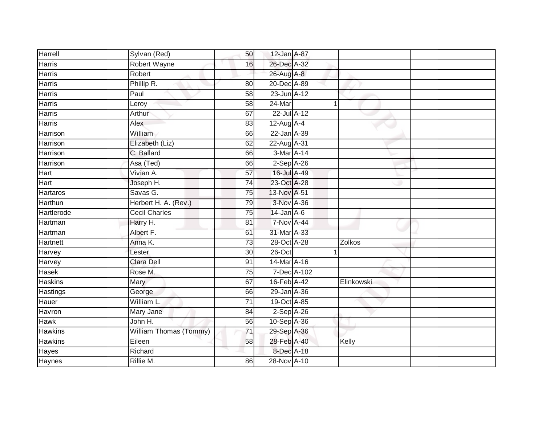| Harrell         | Sylvan (Red)                  | 50              | 12-Jan A-87       |             |            |  |
|-----------------|-------------------------------|-----------------|-------------------|-------------|------------|--|
| Harris          | Robert Wayne                  | 16              | 26-Dec A-32       |             |            |  |
| <b>Harris</b>   | Robert                        |                 | 26-Aug A-8        |             |            |  |
| Harris          | Phillip R.                    | 80              | 20-Dec A-89       |             |            |  |
| Harris          | Paul                          | $\overline{58}$ | $23$ -Jun $A-12$  |             |            |  |
| Harris          | Leroy                         | 58              | $24$ -Mar         | 1           |            |  |
| Harris          | Arthur                        | 67              | 22-Jul A-12       |             |            |  |
| Harris          | Alex                          | 83              | 12-Aug A-4        |             |            |  |
| Harrison        | William                       | 66              | 22-Jan A-39       |             |            |  |
| Harrison        | Elizabeth (Liz)               | 62              | 22-Aug A-31       |             |            |  |
| Harrison        | C. Ballard                    | 66              | 3-Mar A-14        |             |            |  |
| Harrison        | Asa (Ted)                     | 66              | $2-Sep$ A-26      |             |            |  |
| Hart            | Vivian A.                     | 57              | 16-Jul A-49       |             |            |  |
| Hart            | Joseph H.                     | 74              | 23-Oct A-28       |             |            |  |
| <b>Hartaros</b> | Savas G.                      | 75              | 13-Nov A-51       |             |            |  |
| Harthun         | Herbert H. A. (Rev.)          | 79              | 3-Nov A-36        |             |            |  |
| Hartlerode      | <b>Cecil Charles</b>          | $\overline{75}$ | $14$ -Jan $A$ -6  |             |            |  |
| Hartman         | Harry H.                      | 81              | <b>7-Nov A-44</b> |             |            |  |
| Hartman         | Albert F.                     | 61              | 31-Mar A-33       |             |            |  |
| Hartnett        | Anna K.                       | 73              | 28-Oct A-28       |             | Zolkos     |  |
| Harvey          | Lester                        | 30              | 26-Oct            | 1           |            |  |
| Harvey          | <b>Clara Dell</b>             | 91              | 14-Mar A-16       |             |            |  |
| Hasek           | Rose M.                       | 75              |                   | 7-Dec A-102 |            |  |
| Haskins         | Mary                          | 67              | 16-Feb A-42       |             | Elinkowski |  |
| Hastings        | George                        | 66              | 29-Jan A-36       |             |            |  |
| Hauer           | William L.                    | 71              | $19$ -Oct A-85    |             |            |  |
| Havron          | Mary Jane                     | 84              | $2-Sep$ A-26      |             |            |  |
| Hawk            | John H.                       | 56              | 10-Sep A-36       |             |            |  |
| <b>Hawkins</b>  | <b>William Thomas (Tommy)</b> | 71              | 29-Sep A-36       |             |            |  |
| Hawkins         | Eileen                        | 58              | 28-Feb A-40       |             | Kelly      |  |
| Hayes           | Richard                       |                 | 8-Dec A-18        |             |            |  |
| <b>Haynes</b>   | Rillie M.                     | 86              | 28-Nov A-10       |             |            |  |
|                 |                               |                 |                   |             |            |  |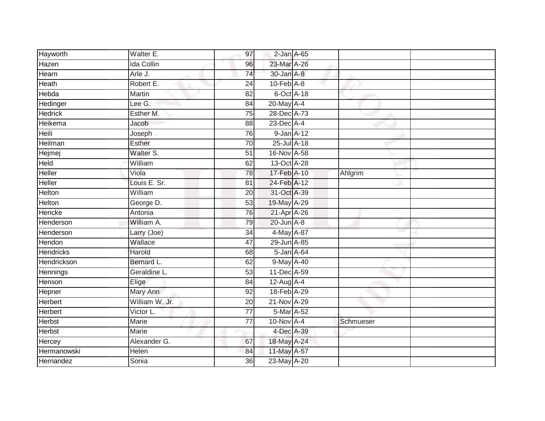| Hayworth         | Walter E.         | 97              | $2$ -Jan $A$ -65 |           |  |
|------------------|-------------------|-----------------|------------------|-----------|--|
| Hazen            | <b>Ida Collin</b> | 96              | 23-Mar A-26      |           |  |
| Hearn            | Arle J.           | $\overline{74}$ | 30-Jan A-8       |           |  |
| Heath            | Robert E.         | 24              | $10$ -Feb $A$ -8 |           |  |
| Hebda            | Martin            | $\overline{82}$ | 6-Oct A-18       |           |  |
| Hedinger         | Lee $G$ .         | 84              | 20-May A-4       |           |  |
| <b>Hedrick</b>   | Esther M.         | $\overline{75}$ | 28-Dec A-73      |           |  |
| Heikema          | Jacob             | 88              | 23-Dec A-4       |           |  |
| Heili            | Joseph            | 76              | 9-Jan A-12       |           |  |
| Heilman          | Esther            | 70              | 25-Jul A-18      |           |  |
| Hejmej           | Walter S.         | 51              | 16-Nov A-58      |           |  |
| Held             | William           | 62              | 13-Oct A-28      |           |  |
| Heller           | Viola             | 78              | 17-Feb A-10      | Ahlgrim   |  |
| Heller           | Louis E. Sr.      | 81              | 24-Feb A-12      |           |  |
| <b>Helton</b>    | William           | $\overline{20}$ | 31-Oct A-39      |           |  |
| Helton           | George D.         | 53              | 19-May A-29      |           |  |
| Hencke           | Antonia           | 76              | 21-Apr A-26      |           |  |
| Henderson        | William A.        | 79              | $20$ -Jun $A-8$  |           |  |
| Henderson        | Larry (Joe)       | 34              | 4-May A-87       |           |  |
| Hendon           | Wallace           | 47              | 29-Jun A-85      |           |  |
| <b>Hendricks</b> | Harold            | 68              | 5-Jan A-64       |           |  |
| Hendrickson      | Bernard L.        | 62              | 9-May A-40       |           |  |
| Hennings         | Geraldine L.      | 53              | 11-Dec A-59      |           |  |
| Henson           | Elige             | 84              | $12$ -Aug A-4    |           |  |
| Hepner           | Mary Ann          | 92              | 18-Feb A-29      |           |  |
| Herbert          | William W. Jr.    | 20              | 21-Nov A-29      |           |  |
| Herbert          | Victor L.         | $\overline{77}$ | 5-Mar A-52       |           |  |
| Herbst           | Marie             | 77              | 10-Nov A-4       | Schmueser |  |
| Herbst           | <b>Marie</b>      |                 | 4-Dec A-39       |           |  |
| Hercey           | Alexander G.      | 67              | 18-May A-24      |           |  |
| Hermanowski      | Helen             | 84              | 11-May A-57      |           |  |
| Hernandez        | Sonia             | $\overline{36}$ | 23-May A-20      |           |  |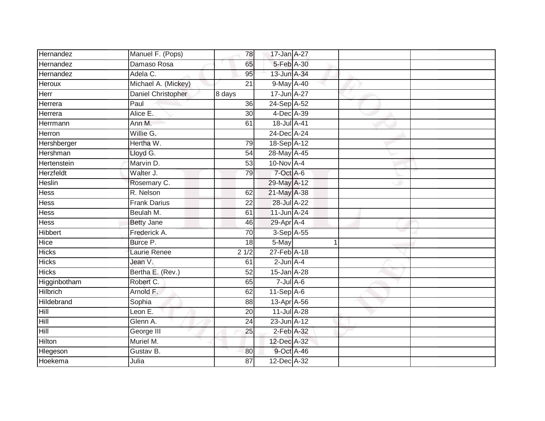| Hernandez    | Manuel F. (Pops)    | 78              | 17-Jan A-27       |   |  |
|--------------|---------------------|-----------------|-------------------|---|--|
| Hernandez    | Damaso Rosa         | 65              | 5-Feb A-30        |   |  |
| Hernandez    | Adela C.            | 95              | 13-Jun A-34       |   |  |
| Heroux       | Michael A. (Mickey) | 21              | 9-May A-40        |   |  |
| Herr         | Daniel Christopher  | 8 days          | 17-Jun A-27       |   |  |
| Herrera      | Paul                | 36              | 24-Sep A-52       |   |  |
| Herrera      | Alice E.            | 30              | 4-Dec A-39        |   |  |
| Herrmann     | Ann M.              | 61              | 18-Jul A-41       |   |  |
| Herron       | Willie G.           |                 | 24-Dec A-24       |   |  |
| Hershberger  | Hertha W.           | 79              | 18-Sep A-12       |   |  |
| Hershman     | Lloyd G.            | 54              | 28-May A-45       |   |  |
| Hertenstein  | Marvin D.           | 53              | $10-Nov$ A-4      |   |  |
| Herzfeldt    | Walter J.           | 79              | $7$ -Oct $A$ -6   |   |  |
| Heslin       | Rosemary C.         |                 | 29-May A-12       |   |  |
| <b>Hess</b>  | R. Nelson           | 62              | 21-May A-38       |   |  |
| Hess         | <b>Frank Darius</b> | 22              | 28-Jul A-22       |   |  |
| <b>Hess</b>  | Beulah M.           | 61              | 11-Jun A-24       |   |  |
| Hess         | <b>Betty Jane</b>   | 46              | 29-Apr A-4        |   |  |
| Hibbert      | Frederick A.        | 70              | 3-Sep A-55        |   |  |
| Hice         | Burce P.            | $\overline{18}$ | 5-May             | 1 |  |
| <b>Hicks</b> | Laurie Renee        | 21/2            | 27-Feb A-18       |   |  |
| <b>Hicks</b> | Jean V.             | 61              | $2$ -Jun $A-4$    |   |  |
| <b>Hicks</b> | Bertha E. (Rev.)    | 52              | $15$ -Jan $A$ -28 |   |  |
| Higginbotham | Robert C.           | 65              | $7 -$ Jul $A - 6$ |   |  |
| Hilbrich     | Arnold F.           | 62              | $11-Sep$ A-6      |   |  |
| Hildebrand   | Sophia              | 88              | 13-Apr A-56       |   |  |
| Hill         | Leon E.             | 20              | 11-Jul A-28       |   |  |
| Hill         | Glenn A.            | 24              | 23-Jun A-12       |   |  |
| Hill         | George III          | 25              | 2-Feb A-32        |   |  |
| Hilton       | Muriel M.           |                 | 12-Dec A-32       |   |  |
| Hlegeson     | Gustav B.           | 80              | 9-Oct A-46        |   |  |
| Hoekema      | Julia               | $\overline{87}$ | 12-Dec A-32       |   |  |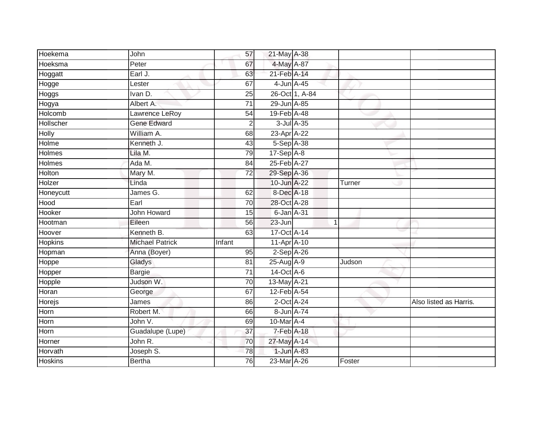| Hoekema        | John                   | 57              | 21-May A-38  |                |        |                        |
|----------------|------------------------|-----------------|--------------|----------------|--------|------------------------|
| Hoeksma        | Peter                  | 67              | 4-May A-87   |                |        |                        |
| Hoggatt        | Earl J.                | 63              | 21-Feb A-14  |                |        |                        |
| Hogge          | Lester                 | 67              |              | 4-Jun A-45     |        |                        |
| <b>Hoggs</b>   | Ivan D.                | $\overline{25}$ |              | 26-Oct 1, A-84 |        |                        |
| Hogya          | Albert A.              | $\overline{71}$ | 29-Jun A-85  |                |        |                        |
| Holcomb        | Lawrence LeRoy         | 54              | 19-Feb A-48  |                |        |                        |
| Hollscher      | <b>Gene Edward</b>     | $\sqrt{2}$      |              | 3-Jul A-35     |        |                        |
| <b>Holly</b>   | William A.             | 68              | 23-Apr A-22  |                |        |                        |
| Holme          | Kenneth J.             | 43              | 5-Sep A-38   |                |        |                        |
| Holmes         | Lila M.                | 79              | $17-Sep$ A-8 |                |        |                        |
| Holmes         | Ada M.                 | 84              | 25-Feb A-27  |                |        |                        |
| Holton         | Mary M.                | $\overline{72}$ | 29-Sep A-36  |                |        |                        |
| Holzer         | Linda                  |                 | 10-Jun A-22  |                | Turner |                        |
| Honeycutt      | James G.               | 62              | 8-Dec A-18   |                |        |                        |
| Hood           | Earl                   | 70              | 28-Oct A-28  |                |        |                        |
| Hooker         | <b>John Howard</b>     | 15              | 6-Jan A-31   |                |        |                        |
| Hootman        | Eileen                 | 56              | 23-Jun       |                | 1      |                        |
| Hoover         | Kenneth B.             | 63              | 17-Oct A-14  |                |        |                        |
| <b>Hopkins</b> | <b>Michael Patrick</b> | Infant          | 11-Apr A-10  |                |        |                        |
| Hopman         | Anna (Boyer)           | 95              | $2-Sep$ A-26 |                |        |                        |
| Hoppe          | Gladys                 | 81              | 25-Aug A-9   |                | Judson |                        |
| Hopper         | <b>Bargie</b>          | 71              | 14-Oct A-6   |                |        |                        |
| Hopple         | Judson W.              | 70              | 13-May A-21  |                |        |                        |
| Horan          | George                 | 67              | 12-Feb A-54  |                |        |                        |
| Horejs         | James                  | 86              |              | 2-Oct A-24     |        | Also listed as Harris. |
| Horn           | Robert M.              | 66              |              | 8-Jun A-74     |        |                        |
| Horn           | John V.                | 69              | 10-Mar A-4   |                |        |                        |
| Horn           | Guadalupe (Lupe)       | 37              |              | 7-Feb A-18     |        |                        |
| Horner         | John R.                | 70              | 27-May A-14  |                |        |                        |
| Horvath        | Joseph S.              | 78              |              | 1-Jun A-83     |        |                        |
| <b>Hoskins</b> | <b>Bertha</b>          | 76              | 23-Mar A-26  |                | Foster |                        |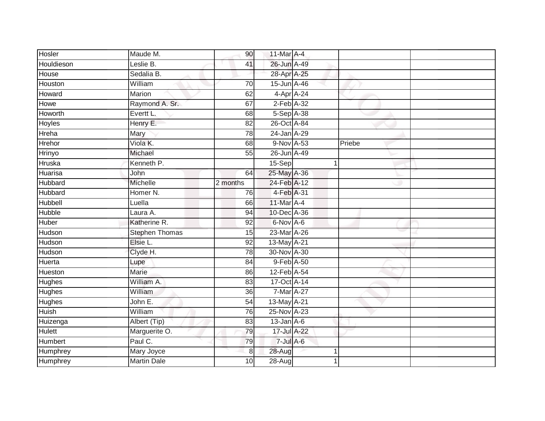| Hosler         | Maude M.            | 90              | 11-Mar A-4       |        |  |
|----------------|---------------------|-----------------|------------------|--------|--|
| Houldieson     | Leslie B.           | 41              | 26-Jun A-49      |        |  |
| House          | Sedalia B.          |                 | 28-Apr A-25      |        |  |
| Houston        | William             | 70              | 15-Jun A-46      |        |  |
| Howard         | Marion              | 62              | 4-Apr A-24       |        |  |
| Howe           | Raymond A. Sr.      | 67              | $2$ -Feb $A-32$  |        |  |
| Howorth        | Evertt L.           | 68              | $5-Sep$ A-38     |        |  |
| Hoyles         | Henry E.            | 82              | 26-Oct A-84      |        |  |
| Hreha          | Mary                | 78              | 24-Jan A-29      |        |  |
| <b>Hrehor</b>  | Viola K.            | 68              | 9-Nov A-53       | Priebe |  |
| Hrinyo         | Michael             | 55              | 26-Jun A-49      |        |  |
| <b>Hruska</b>  | Kenneth P.          |                 | 15-Sep           | 1      |  |
| Huarisa        | John                | 64              | 25-May A-36      |        |  |
| Hubbard        | Michelle            | 2 months        | 24-Feb A-12      |        |  |
| Hubbard        | Homer <sub>N.</sub> | 76              | 4-Feb A-31       |        |  |
| <b>Hubbell</b> | Luella              | 66              | 11-Mar A-4       |        |  |
| <b>Hubble</b>  | Laura A.            | 94              | 10-Dec A-36      |        |  |
| Huber          | Katherine R.        | 92              | 6-Nov A-6        |        |  |
| Hudson         | Stephen Thomas      | 15              | 23-Mar A-26      |        |  |
| Hudson         | Elsie L.            | 92              | 13-May A-21      |        |  |
| Hudson         | Clyde H.            | 78              | 30-Nov A-30      |        |  |
| Huerta         | Lupe                | 84              | 9-Feb A-50       |        |  |
| Hueston        | Marie               | 86              | 12-Feb A-54      |        |  |
| <b>Hughes</b>  | William A.          | 83              | 17-Oct A-14      |        |  |
| <b>Hughes</b>  | William             | 36              | 7-Mar A-27       |        |  |
| <b>Hughes</b>  | John E.             | 54              | 13-May A-21      |        |  |
| Huish          | William             | 76              | 25-Nov A-23      |        |  |
| Huizenga       | Albert (Tip)        | 83              | $13$ -Jan $A$ -6 |        |  |
| <b>Hulett</b>  | Marguerite O.       | 79              | 17-Jul A-22      |        |  |
| Humbert        | Paul C.             | 79              | $7$ -Jul A-6     |        |  |
| Humphrey       | Mary Joyce          | 8               | 28-Aug           | 1      |  |
| Humphrey       | <b>Martin Dale</b>  | 10 <sup>1</sup> | $28 - Aug$       | 1      |  |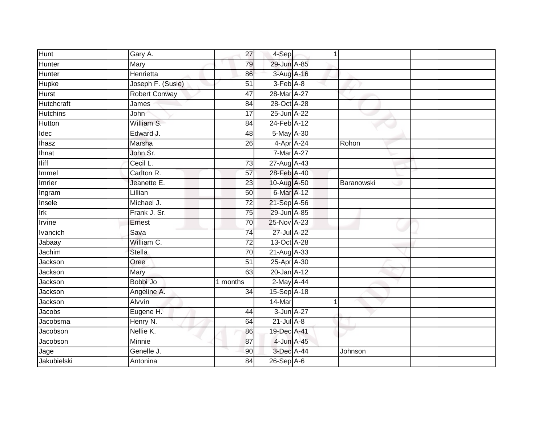| Hunt            | Gary A.           | 27              | 4-Sep            | 1 |            |  |
|-----------------|-------------------|-----------------|------------------|---|------------|--|
| Hunter          | Mary              | 79              | 29-Jun A-85      |   |            |  |
| Hunter          | Henrietta         | 86              | 3-Aug A-16       |   |            |  |
| Hupke           | Joseph F. (Susie) | 51              | 3-Feb A-8        |   |            |  |
| <b>Hurst</b>    | Robert Conway     | 47              | 28-Mar A-27      |   |            |  |
| Hutchcraft      | James             | 84              | 28-Oct A-28      |   |            |  |
| <b>Hutchins</b> | John              | $\overline{17}$ | 25-Jun A-22      |   |            |  |
| Hutton          | William S.        | 84              | 24-Feb A-12      |   |            |  |
| Idec            | Edward J.         | 48              | 5-May A-30       |   |            |  |
| <b>Ihasz</b>    | Marsha            | 26              | 4-Apr A-24       |   | Rohon      |  |
| Ihnat           | John Sr.          |                 | 7-Mar A-27       |   |            |  |
| <b>Iliff</b>    | Cecil L.          | $\overline{73}$ | 27-Aug A-43      |   |            |  |
| Immel           | Carlton R.        | 57              | 28-Feb A-40      |   |            |  |
| Imrier          | Jeanette E.       | 23              | 10-Aug A-50      |   | Baranowski |  |
| Ingram          | Lillian           | $\overline{50}$ | 6-Mar A-12       |   |            |  |
| Insele          | Michael J.        | 72              | 21-Sep A-56      |   |            |  |
| Irk             | Frank J. Sr.      | 75              | 29-Jun A-85      |   |            |  |
| Irvine          | Ernest            | 70              | 25-Nov A-23      |   |            |  |
| Ivancich        | Sava              | 74              | $27$ -Jul $A-22$ |   |            |  |
| Jabaay          | William C.        | 72              | 13-Oct A-28      |   |            |  |
| Jachim          | <b>Stella</b>     | 70              | 21-Aug A-33      |   |            |  |
| Jackson         | Oree              | $\overline{51}$ | 25-Apr A-30      |   |            |  |
| Jackson         | Mary              | 63              | 20-Jan A-12      |   |            |  |
| Jackson         | Bobbi Jo          | 1 months        | 2-May A-44       |   |            |  |
| Jackson         | Angeline A.       | 34              | 15-Sep A-18      |   |            |  |
| Jackson         | Alvvin            |                 | $14$ -Mar        | 1 |            |  |
| Jacobs          | Eugene H.         | 44              | 3-Jun A-27       |   |            |  |
| Jacobsma        | Henry N.          | 64              | $21$ -Jul $A-8$  |   |            |  |
| Jacobson        | Nellie K.         | 86              | 19-Dec A-41      |   |            |  |
| Jacobson        | Minnie            | 87              | 4-Jun A-45       |   |            |  |
| Jage            | Genelle J.        | 90              | 3-Dec A-44       |   | Johnson    |  |
| Jakubielski     | Antonina          | $\overline{84}$ | $26-Sep$ A-6     |   |            |  |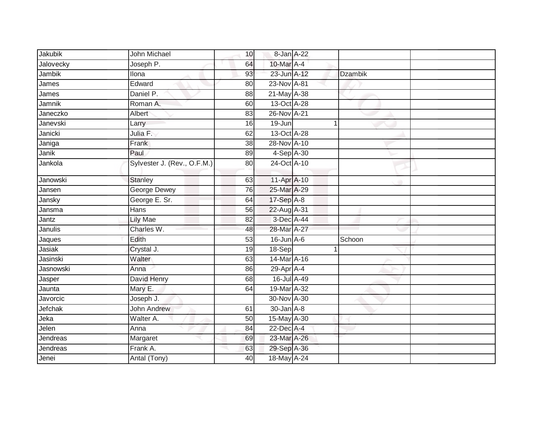| Jakubik       | John Michael                | 10              | 8-Jan A-22       |                |  |
|---------------|-----------------------------|-----------------|------------------|----------------|--|
| Jalovecky     | Joseph P.                   | 64              | 10-Mar A-4       |                |  |
| <b>Jambik</b> | Ilona                       | 93              | 23-Jun A-12      | <b>Dzambik</b> |  |
| James         | Edward                      | 80              | 23-Nov A-81      |                |  |
| James         | Daniel P.                   | 88              | 21-May A-38      |                |  |
| Jamnik        | Roman A.                    | 60              | 13-Oct A-28      |                |  |
| Janeczko      | Albert                      | 83              | 26-Nov A-21      |                |  |
| Janevski      | Larry                       | 16              | 19-Jun           |                |  |
| Janicki       | Julia F.                    | 62              | 13-Oct A-28      |                |  |
| Janiga        | Frank                       | $\overline{38}$ | 28-Nov A-10      |                |  |
| Janik         | Paul                        | 89              | 4-Sep A-30       |                |  |
| Jankola       | Sylvester J. (Rev., O.F.M.) | 80              | 24-Oct A-10      |                |  |
| Janowski      | <b>Stanley</b>              | 63              | 11-Apr A-10      |                |  |
| Jansen        | <b>George Dewey</b>         | 76              | 25-Mar A-29      |                |  |
| Jansky        | George E. Sr.               | 64              | 17-Sep A-8       |                |  |
| Jansma        | Hans                        | 56              | 22-Aug A-31      |                |  |
| Jantz         | Lily Mae                    | 82              | 3-Dec A-44       |                |  |
| Janulis       | Charles W.                  | 48              | 28-Mar A-27      |                |  |
| Jaques        | Edith                       | 53              | $16$ -Jun $A$ -6 | Schoon         |  |
| Jasiak        | Crystal J.                  | 19              | 18-Sep           |                |  |
| Jasinski      | Walter                      | 63              | 14-Mar A-16      |                |  |
| Jasnowski     | Anna                        | 86              | 29-Apr A-4       |                |  |
| Jasper        | David Henry                 | 68              | 16-Jul A-49      |                |  |
| Jaunta        | Mary E.                     | 64              | 19-Mar A-32      |                |  |
| Javorcic      | Joseph J.                   |                 | 30-Nov A-30      |                |  |
| Jefchak       | <b>John Andrew</b>          | 61              | $30 - Jan$ $A-8$ |                |  |
| Jeka          | Walter A.                   | 50              | 15-May A-30      |                |  |
| Jelen         | Anna                        | 84              | 22-Dec A-4       |                |  |
| Jendreas      | Margaret                    | 69              | 23-Mar A-26      |                |  |
| Jendreas      | Frank A.                    | 63              | 29-Sep A-36      |                |  |
| Jenei         | Antal (Tony)                | 40              | 18-May A-24      |                |  |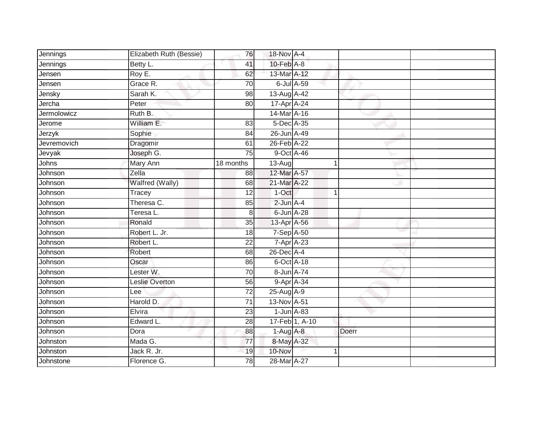| Jennings    | Elizabeth Ruth (Bessie) | 76              | 18-Nov A-4       |                    |              |  |
|-------------|-------------------------|-----------------|------------------|--------------------|--------------|--|
| Jennings    | Betty L.                | 41              | $10$ -Feb $A-8$  |                    |              |  |
| Jensen      | Roy E.                  | 62              | 13-Mar A-12      |                    |              |  |
| Jensen      | Grace R.                | 70              |                  | 6-Jul A-59         |              |  |
| Jensky      | Sarah K.                | 98              | 13-Aug A-42      |                    |              |  |
| Jercha      | Peter                   | 80              | 17-Apr A-24      |                    |              |  |
| Jermolowicz | Ruth B.                 |                 | 14-Mar A-16      |                    |              |  |
| Jerome      | William E.              | 83              | 5-Dec A-35       |                    |              |  |
| Jerzyk      | Sophie                  | 84              | 26-Jun A-49      |                    |              |  |
| Jevremovich | Dragomir                | 61              | 26-Feb A-22      |                    |              |  |
| Jevyak      | Joseph G.               | 75              |                  | 9-Oct A-46         |              |  |
| Johns       | Mary Ann                | 18 months       | 13-Aug           |                    | 1            |  |
| Johnson     | Zella                   | 88              | 12-Mar A-57      |                    |              |  |
| Johnson     | Walfred (Wally)         | 68              | 21-Mar A-22      |                    |              |  |
| Johnson     | Tracey                  | 12              | 1-Oct            |                    | 1            |  |
| Johnson     | Theresa C.              | 85              | 2-Jun A-4        |                    |              |  |
| Johnson     | Teresa L.               | 8               | $6$ -Jun $A-28$  |                    |              |  |
| Johnson     | Ronald                  | 35              | 13-Apr A-56      |                    |              |  |
| Johnson     | Robert L. Jr.           | 18              | 7-Sep A-50       |                    |              |  |
| Johnson     | Robert L.               | $\overline{22}$ | 7-Apr A-23       |                    |              |  |
| Johnson     | Robert                  | 68              | $26$ -Dec $A$ -4 |                    |              |  |
| Johnson     | Oscar                   | 86              |                  | 6-Oct A-18         |              |  |
| Johnson     | Lester W.               | 70              |                  | 8-Jun A-74         |              |  |
| Johnson     | Leslie Overton          | 56              |                  | $9 - Apr$ $A - 34$ |              |  |
| Johnson     | Lee                     | $\overline{72}$ | 25-Aug A-9       |                    |              |  |
| Johnson     | Harold D.               | $\overline{71}$ | 13-Nov A-51      |                    |              |  |
| Johnson     | Elvira                  | 23              |                  | $1$ -Jun $A$ -83   |              |  |
| Johnson     | Edward L.               | 28              |                  | 17-Feb 1, A-10     |              |  |
| Johnson     | Dora                    | 88              | $1-Aug$ $A-8$    |                    | <b>Doerr</b> |  |
| Johnston    | Mada G.                 | 77              | 8-May A-32       |                    |              |  |
| Johnston    | Jack R. Jr.             | 19              | 10-Nov           |                    | 1            |  |
| Johnstone   | Florence G.             | 78              | 28-Mar A-27      |                    |              |  |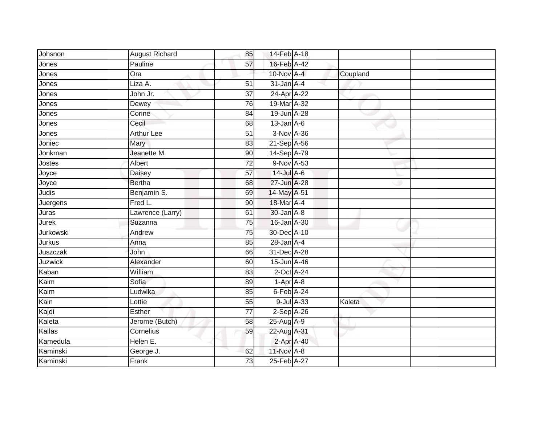| Johsnon        | <b>August Richard</b> | 85              | 14-Feb A-18        |            |          |  |
|----------------|-----------------------|-----------------|--------------------|------------|----------|--|
| Jones          | Pauline               | 57              | 16-Feb A-42        |            |          |  |
| Jones          | Ora                   |                 | 10-Nov A-4         |            | Coupland |  |
| Jones          | Liza A.               | 51              | $31$ -Jan $A-4$    |            |          |  |
| Jones          | John Jr.              | $\overline{37}$ | 24-Apr A-22        |            |          |  |
| Jones          | Dewey                 | 76              | 19-Mar A-32        |            |          |  |
| Jones          | Corine                | 84              | 19-Jun A-28        |            |          |  |
| Jones          | Cecil                 | 68              | $13$ -Jan $A$ -6   |            |          |  |
| Jones          | <b>Arthur Lee</b>     | 51              | 3-Nov A-36         |            |          |  |
| Joniec         | Mary                  | 83              | 21-Sep A-56        |            |          |  |
| Jonkman        | Jeanette M.           | 90              | 14-Sep A-79        |            |          |  |
| Jostes         | Albert                | $\overline{72}$ | 9-Nov A-53         |            |          |  |
| Joyce          | Daisey                | 57              | 14-Jul A-6         |            |          |  |
| Joyce          | <b>Bertha</b>         | 68              | 27-Jun A-28        |            |          |  |
| <b>Judis</b>   | Benjamin S.           | 69              | 14-May A-51        |            |          |  |
| Juergens       | Fred L.               | 90              | 18-Mar A-4         |            |          |  |
| Juras          | Lawrence (Larry)      | 61              | $30 - Jan$ $A - 8$ |            |          |  |
| Jurek          | Suzanna               | 75              | 16-Jan A-30        |            |          |  |
| Jurkowski      | Andrew                | 75              | 30-Dec A-10        |            |          |  |
| Jurkus         | Anna                  | 85              | $28$ -Jan $A-4$    |            |          |  |
| Juszczak       | <b>John</b>           | 66              | 31-Dec A-28        |            |          |  |
| <b>Juzwick</b> | Alexander             | 60              | 15-Jun A-46        |            |          |  |
| Kaban          | William               | 83              | $2$ -Oct $A-24$    |            |          |  |
| Kaim           | Sofia                 | 89              | $1-AprA-8$         |            |          |  |
| Kaim           | Ludwika               | 85              | 6-Feb A-24         |            |          |  |
| Kain           | Lottie                | $\overline{55}$ |                    | 9-Jul A-33 | Kaleta   |  |
| Kajdi          | Esther                | $\overline{77}$ | $2-Sep$ A-26       |            |          |  |
| Kaleta         | Jerome (Butch)        | 58              | 25-Aug A-9         |            |          |  |
| Kallas         | Cornelius             | 59              | 22-Aug A-31        |            |          |  |
| Kamedula       | Helen E.              |                 | 2-Apr A-40         |            |          |  |
| Kaminski       | George J.             | 62              | 11-Nov A-8         |            |          |  |
| Kaminski       | Frank                 | 73              | 25-Feb A-27        |            |          |  |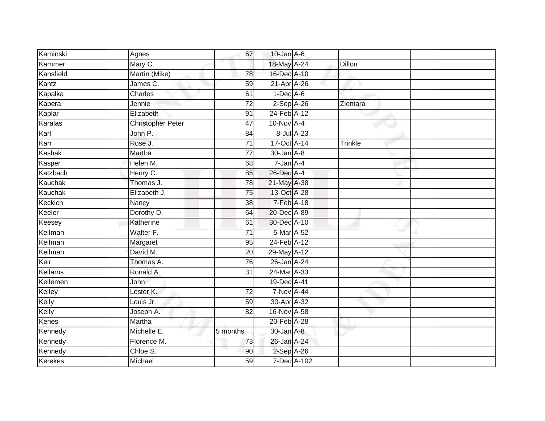| Kaminski       | Agnes                    | 67              | $10$ -Jan $A-6$    |             |          |  |
|----------------|--------------------------|-----------------|--------------------|-------------|----------|--|
| Kammer         | Mary C.                  |                 | 18-May A-24        |             | Dillon   |  |
| Kansfield      | Martin (Mike)            | 78              | 16-Dec A-10        |             |          |  |
| Kantz          | James C.                 | 59              | 21-Apr A-26        |             |          |  |
| Kapalka        | Charles                  | 61              | $1-Dec$ A-6        |             |          |  |
| Kapera         | Jennie                   | $\overline{72}$ | $2-Sep$ A-26       |             | Zientara |  |
| Kaplar         | Elizabeth                | 91              | 24-Feb A-12        |             |          |  |
| Karalas        | <b>Christopher Peter</b> | 47              | $10$ -Nov $A-4$    |             |          |  |
| Karl           | John P.                  | 84              |                    | 8-Jul A-23  |          |  |
| Karr           | Rose J.                  | $\overline{71}$ | 17-Oct A-14        |             | Trinkle  |  |
| Kashak         | Martha                   | 77              | $30 - Jan$ $A - 8$ |             |          |  |
| Kasper         | Helen M.                 | 68              | $7 - Jan A - 4$    |             |          |  |
| Katzbach       | Henry C.                 | 85              | 26-Dec A-4         |             |          |  |
| Kauchak        | Thomas J.                | 78              | 21-May A-38        |             |          |  |
| Kauchak        | Elizabeth J.             | $\overline{75}$ | 13-Oct A-28        |             |          |  |
| Keckich        | Nancy                    | 38              | 7-Feb A-18         |             |          |  |
| Keeler         | Dorothy D.               | 64              | 20-Dec A-89        |             |          |  |
| Keesey         | Katherine                | 61              | 30-Dec A-10        |             |          |  |
| Keilman        | Walter F.                | 71              | 5-Mar A-52         |             |          |  |
| Keilman        | Margaret                 | 95              | 24-Feb A-12        |             |          |  |
| Keilman        | David M.                 | 20              | 29-May A-12        |             |          |  |
| Keir           | Thomas A.                | $\overline{76}$ | 26-Jan A-24        |             |          |  |
| Kellams        | Ronald A.                | 31              | 24-Mar A-33        |             |          |  |
| Kellemen       | John                     |                 | 19-Dec A-41        |             |          |  |
| Kelley         | Lester K.                | 72              | <b>7-Nov A-44</b>  |             |          |  |
| Kelly          | Louis Jr.                | 59              | 30-Apr A-32        |             |          |  |
| Kelly          | Joseph A.                | 82              | 16-Nov A-58        |             |          |  |
| Kenes          | Martha                   |                 | 20-Feb A-28        |             |          |  |
| Kennedy        | Michelle E.              | 5 months        | $30 - Jan$ A-8     |             |          |  |
| Kennedy        | Florence M.              | 73              | 26-Jan A-24        |             |          |  |
| Kennedy        | Chloe S.                 | 90              | $2-Sep$ A-26       |             |          |  |
| <b>Kerekes</b> | Michael                  | 59              |                    | 7-Dec A-102 |          |  |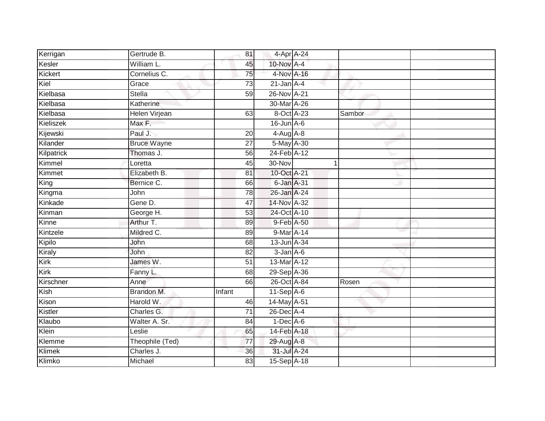| Kerrigan   | Gertrude B.        | 81              | 4-Apr A-24       |        |  |
|------------|--------------------|-----------------|------------------|--------|--|
| Kesler     | William L.         | 45              | 10-Nov A-4       |        |  |
| Kickert    | Cornelius C.       | $\overline{75}$ | 4-Nov A-16       |        |  |
| Kiel       | Grace              | $\overline{73}$ | $21$ -Jan $A-4$  |        |  |
| Kielbasa   | <b>Stella</b>      | 59              | 26-Nov A-21      |        |  |
| Kielbasa   | Katherine          |                 | 30-Mar A-26      |        |  |
| Kielbasa   | Helen Virjean      | 63              | 8-Oct A-23       | Sambor |  |
| Kieliszek  | Max F.             |                 | $16$ -Jun $A$ -6 |        |  |
| Kijewski   | Paul J.            | 20              | $4-Aug$ $A-8$    |        |  |
| Kilander   | <b>Bruce Wayne</b> | $\overline{27}$ | 5-May A-30       |        |  |
| Kilpatrick | Thomas J.          | 56              | 24-Feb A-12      |        |  |
| Kimmel     | Loretta            | 45              | 30-Nov           | 1      |  |
| Kimmet     | Elizabeth B.       | 81              | 10-Oct A-21      |        |  |
| King       | Bernice C.         | 66              | 6-Jan A-31       |        |  |
| Kingma     | <b>John</b>        | 78              | 26-Jan A-24      |        |  |
| Kinkade    | Gene D.            | 47              | 14-Nov A-32      |        |  |
| Kinman     | George H.          | 53              | 24-Oct A-10      |        |  |
| Kinne      | Arthur T.          | 89              | 9-Feb A-50       |        |  |
| Kintzele   | Mildred C.         | 89              | 9-Mar A-14       |        |  |
| Kipilo     | <b>John</b>        | 68              | 13-Jun A-34      |        |  |
| Kiraly     | <b>John</b>        | 82              | $3$ -Jan $A$ -6  |        |  |
| Kirk       | James W.           | $\overline{51}$ | 13-Mar A-12      |        |  |
| Kirk       | Fanny L.           | 68              | 29-Sep A-36      |        |  |
| Kirschner  | Anne               | 66              | 26-Oct A-84      | Rosen  |  |
| Kish       | Brandon M.         | Infant          | 11-Sep A-6       |        |  |
| Kison      | Harold W.          | 46              | 14-May A-51      |        |  |
| Kistler    | Charles G.         | $\overline{71}$ | 26-Dec A-4       |        |  |
| Klaubo     | Walter A. Sr.      | 84              | $1-Dec$ A-6      |        |  |
| Klein      | Leslie             | 65              | 14-Feb A-18      |        |  |
| Klemme     | Theophile (Ted)    | $\overline{77}$ | 29-Aug A-8       |        |  |
| Klimek     | Charles J.         | 36              | 31-Jul A-24      |        |  |
| Klimko     | Michael            | 83              | 15-Sep A-18      |        |  |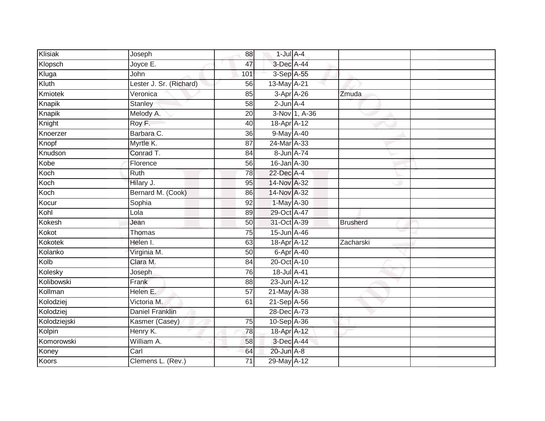| Klisiak      | Joseph                  | 88              | $1$ -Jul $A$ -4 |               |                 |  |
|--------------|-------------------------|-----------------|-----------------|---------------|-----------------|--|
| Klopsch      | Joyce E.                | 47              | 3-Dec A-44      |               |                 |  |
| Kluga        | John                    | 101             | 3-Sep A-55      |               |                 |  |
| Kluth        | Lester J. Sr. (Richard) | 56              | 13-May A-21     |               |                 |  |
| Kmiotek      | Veronica                | 85              |                 | 3-Apr A-26    | Zmuda           |  |
| Knapik       | Stanley                 | 58              | $2$ -Jun $A-4$  |               |                 |  |
| Knapik       | Melody A.               | 20              |                 | 3-Nov 1, A-36 |                 |  |
| Knight       | Roy F.                  | 40              | 18-Apr A-12     |               |                 |  |
| Knoerzer     | Barbara C.              | 36              | 9-May A-40      |               |                 |  |
| Knopf        | Myrtle K.               | $\overline{87}$ | 24-Mar A-33     |               |                 |  |
| Knudson      | Conrad T.               | 84              | 8-Jun A-74      |               |                 |  |
| Kobe         | Florence                | $\overline{56}$ | 16-Jan A-30     |               |                 |  |
| Koch         | Ruth                    | 78              | 22-Dec A-4      |               |                 |  |
| Koch         | Hilary J.               | 95              | 14-Nov A-32     |               |                 |  |
| Koch         | Bernard M. (Cook)       | 86              | 14-Nov A-32     |               |                 |  |
| Kocur        | Sophia                  | $\overline{92}$ | 1-May A-30      |               |                 |  |
| Kohl         | Lola                    | 89              | 29-Oct A-47     |               |                 |  |
| Kokesh       | Jean                    | 50              | 31-Oct A-39     |               | <b>Brusherd</b> |  |
| Kokot        | Thomas                  | 75              | 15-Jun A-46     |               |                 |  |
| Kokotek      | Helen I.                | 63              | 18-Apr A-12     |               | Zacharski       |  |
| Kolanko      | Virginia M.             | 50              |                 | 6-Apr A-40    |                 |  |
| Kolb         | Clara M.                | $\overline{84}$ | 20-Oct A-10     |               |                 |  |
| Kolesky      | Joseph                  | 76              | 18-Jul A-41     |               |                 |  |
| Kolibowski   | Frank                   | 88              | 23-Jun A-12     |               |                 |  |
| Kollman      | Helen E.                | 57              | 21-May A-38     |               |                 |  |
| Kolodziej    | Victoria M.             | 61              | 21-Sep A-56     |               |                 |  |
| Kolodziej    | <b>Daniel Franklin</b>  |                 | 28-Dec A-73     |               |                 |  |
| Kolodziejski | Kasmer (Casey)          | 75              | 10-Sep A-36     |               |                 |  |
| Kolpin       | Henry K.                | 78              | 18-Apr A-12     |               |                 |  |
| Komorowski   | William A.              | 58              | 3-Dec A-44      |               |                 |  |
| Koney        | Carl                    | 64              | 20-Jun A-8      |               |                 |  |
| <b>Koors</b> | Clemens L. (Rev.)       | $\overline{71}$ | 29-May A-12     |               |                 |  |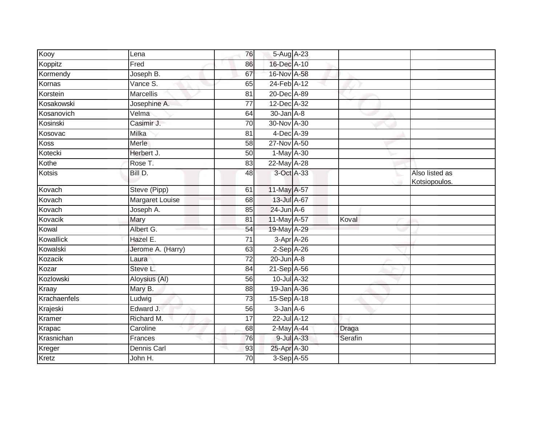| Kooy         | Lena                   | 76              | 5-Aug A-23       |         |                                 |
|--------------|------------------------|-----------------|------------------|---------|---------------------------------|
| Koppitz      | Fred                   | 86              | 16-Dec A-10      |         |                                 |
| Kormendy     | Joseph B.              | 67              | 16-Nov A-58      |         |                                 |
| Kornas       | Vance S.               | 65              | 24-Feb A-12      |         |                                 |
| Korstein     | <b>Marcellis</b>       | $\overline{81}$ | 20-Dec A-89      |         |                                 |
| Kosakowski   | Josephine A.           | 77              | 12-Dec A-32      |         |                                 |
| Kosanovich   | Velma                  | 64              | $30$ -Jan $A$ -8 |         |                                 |
| Kosinski     | Casimir J.             | 70              | 30-Nov A-30      |         |                                 |
| Kosovac      | <b>Milka</b>           | 81              | 4-Dec A-39       |         |                                 |
| <b>Koss</b>  | Merle                  | $\overline{58}$ | 27-Nov A-50      |         |                                 |
| Kotecki      | Herbert J.             | 50              | 1-May A-30       |         |                                 |
| Kothe        | Rose T.                | 83              | 22-May A-28      |         |                                 |
| Kotsis       | Bill D.                | 48              | 3-Oct A-33       |         | Also listed as<br>Kotsiopoulos. |
| Kovach       | Steve (Pipp)           | 61              | 11-May A-57      |         |                                 |
| Kovach       | <b>Margaret Louise</b> | 68              | 13-Jul A-67      |         |                                 |
| Kovach       | Joseph A.              | 85              | $24$ -Jun $A-6$  |         |                                 |
| Kovacik      | Mary                   | 81              | 11-May A-57      | Koval   |                                 |
| Kowal        | Albert G.              | 54              | 19-May A-29      |         |                                 |
| Kowallick    | Hazel E.               | 71              | $3-Apr$ A-26     |         |                                 |
| Kowalski     | Jerome A. (Harry)      | 63              | $2-Sep$ A-26     |         |                                 |
| Kozacik      | Laura                  | 72              | $20$ -Jun $A-8$  |         |                                 |
| Kozar        | Steve L.               | 84              | 21-Sep A-56      |         |                                 |
| Kozlowski    | Aloysius (Al)          | 56              | 10-Jul A-32      |         |                                 |
| Kraay        | Mary B.                | 88              | 19-Jan A-36      |         |                                 |
| Krachaenfels | Ludwig                 | $\overline{73}$ | 15-Sep A-18      |         |                                 |
| Krajeski     | Edward J.              | 56              | $3$ -Jan $A$ -6  |         |                                 |
| Kramer       | Richard M.             | $\overline{17}$ | 22-Jul A-12      |         |                                 |
| Krapac       | Caroline               | 68              | 2-May A-44       | Draga   |                                 |
| Krasnichan   | Frances                | 76              | 9-Jul A-33       | Serafin |                                 |
| Kreger       | Dennis Carl            | 93              | 25-Apr A-30      |         |                                 |
| Kretz        | John H.                | 70              | 3-Sep A-55       |         |                                 |
|              |                        |                 |                  |         |                                 |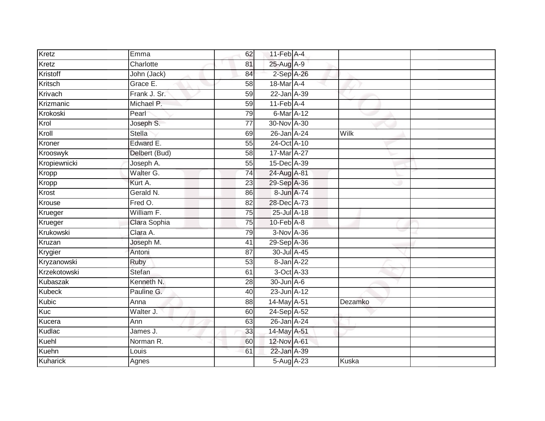| Kretz        | Emma          | 62              | $11$ -Feb $A$ -4 |         |  |
|--------------|---------------|-----------------|------------------|---------|--|
| Kretz        | Charlotte     | 81              | 25-Aug A-9       |         |  |
| Kristoff     | John (Jack)   | 84              | $2-SepA-26$      |         |  |
| Kritsch      | Grace E.      | 58              | 18-Mar A-4       |         |  |
| Krivach      | Frank J. Sr.  | 59              | 22-Jan A-39      |         |  |
| Krizmanic    | Michael P.    | 59              | $11$ -Feb $A$ -4 |         |  |
| Krokoski     | Pearl         | 79              | 6-Mar A-12       |         |  |
| Krol         | Joseph S.     | 77              | 30-Nov A-30      |         |  |
| Kroll        | <b>Stella</b> | 69              | 26-Jan A-24      | Wilk    |  |
| Kroner       | Edward E.     | 55              | 24-Oct A-10      |         |  |
| Krooswyk     | Delbert (Bud) | $\overline{58}$ | 17-Mar A-27      |         |  |
| Kropiewnicki | Joseph A.     | 55              | 15-Dec A-39      |         |  |
| Kropp        | Walter G.     | $\overline{74}$ | 24-Aug A-81      |         |  |
| Kropp        | Kurt A.       | 23              | 29-Sep A-36      |         |  |
| Krost        | Gerald N.     | 86              | 8-Jun A-74       |         |  |
| Krouse       | Fred O.       | 82              | 28-Dec A-73      |         |  |
| Krueger      | William F.    | 75              | 25-Jul A-18      |         |  |
| Krueger      | Clara Sophia  | 75              | $10$ -Feb $A$ -8 |         |  |
| Krukowski    | Clara A.      | 79              | 3-Nov A-36       |         |  |
| Kruzan       | Joseph M.     | $\overline{41}$ | 29-Sep A-36      |         |  |
| Krygier      | Antoni        | 87              | 30-Jul A-45      |         |  |
| Kryzanowski  | Ruby          | 53              | 8-Jan A-22       |         |  |
| Krzekotowski | Stefan        | 61              | 3-Oct A-33       |         |  |
| Kubaszak     | Kenneth N.    | 28              | 30-Jun A-6       |         |  |
| Kubeck       | Pauline G.    | 40              | $23$ -Jun $A-12$ |         |  |
| Kubic        | Anna          | 88              | 14-May A-51      | Dezamko |  |
| Kuc          | Walter J.     | 60              | 24-Sep A-52      |         |  |
| Kucera       | Ann           | 63              | 26-Jan A-24      |         |  |
| Kudlac       | James J.      | 33              | 14-May A-51      |         |  |
| Kuehl        | Norman R.     | 60              | 12-Nov A-61      |         |  |
| Kuehn        | Louis         | 61              | 22-Jan A-39      |         |  |
| Kuharick     | Agnes         |                 | 5-Aug A-23       | Kuska   |  |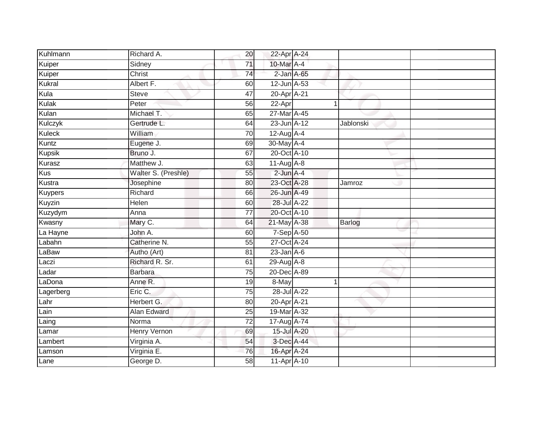| Kuhlmann      | Richard A.          | 20              | 22-Apr A-24     |             |  |
|---------------|---------------------|-----------------|-----------------|-------------|--|
| Kuiper        | Sidney              | 71              | 10-Mar A-4      |             |  |
| Kuiper        | Christ              | $\overline{74}$ | 2-Jan A-65      |             |  |
| Kukral        | Albert F.           | 60              | 12-Jun A-53     |             |  |
| Kula          | Steve               | 47              | 20-Apr A-21     |             |  |
| Kulak         | Peter               | 56              | 22-Apr          | $\mathbf 1$ |  |
| Kulan         | Michael T.          | 65              | 27-Mar A-45     |             |  |
| Kulczyk       | Gertrude L.         | 64              | 23-Jun A-12     | Jablonski   |  |
| <b>Kuleck</b> | William             | 70              | 12-Aug A-4      |             |  |
| Kuntz         | Eugene J.           | 69              | 30-May A-4      |             |  |
| <b>Kupsik</b> | Bruno J.            | 67              | 20-Oct A-10     |             |  |
| Kurasz        | Matthew J.          | 63              | $11-Aug$ A-8    |             |  |
| Kus           | Walter S. (Preshle) | 55              | $2$ -Jun $A-4$  |             |  |
| Kustra        | Josephine           | 80              | 23-Oct A-28     | Jamroz      |  |
| Kuypers       | Richard             | 66              | 26-Jun A-49     |             |  |
| Kuyzin        | Helen               | 60              | 28-Jul A-22     |             |  |
| Kuzydym       | Anna                | $\overline{77}$ | 20-Oct A-10     |             |  |
| Kwasny        | Mary C.             | 64              | 21-May A-38     | Barlog      |  |
| La Hayne      | John A.             | 60              | 7-Sep A-50      |             |  |
| Labahn        | Catherine N.        | $\overline{55}$ | 27-Oct A-24     |             |  |
| LaBaw         | Autho (Art)         | 81              | $23$ -Jan $A-6$ |             |  |
| Laczi         | Richard R. Sr.      | 61              | 29-Aug A-8      |             |  |
| Ladar         | <b>Barbara</b>      | 75              | 20-Dec A-89     |             |  |
| LaDona        | Anne R.             | 19              | 8-May           | 1           |  |
| Lagerberg     | Eric C.             | 75              | 28-Jul A-22     |             |  |
| Lahr          | Herbert G.          | 80              | 20-Apr A-21     |             |  |
| Lain          | <b>Alan Edward</b>  | 25              | 19-Mar A-32     |             |  |
| Laing         | Norma               | $\overline{72}$ | 17-Aug A-74     |             |  |
| Lamar         | Henry Vernon        | 69              | 15-Jul A-20     |             |  |
| Lambert       | Virginia A.         | 54              | 3-Dec A-44      |             |  |
| Lamson        | Virginia E.         | 76              | 16-Apr A-24     |             |  |
| Lane          | George D.           | $\overline{58}$ | 11-Apr A-10     |             |  |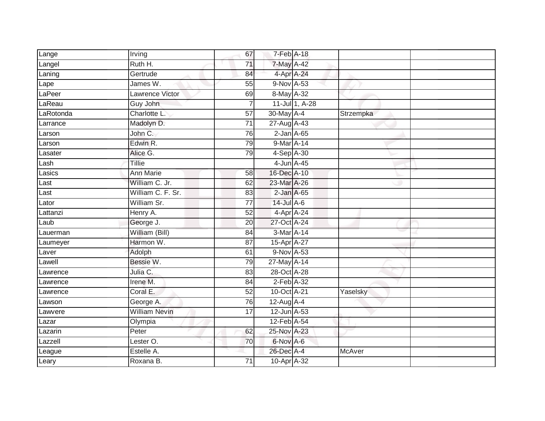| Lange     | Irving               | 67              | 7-Feb A-18       |                |           |  |
|-----------|----------------------|-----------------|------------------|----------------|-----------|--|
| Langel    | Ruth H.              | $\overline{71}$ | 7-May A-42       |                |           |  |
| Laning    | Gertrude             | 84              |                  | 4-Apr A-24     |           |  |
| Lape      | James W.             | 55              | 9-Nov A-53       |                |           |  |
| LaPeer    | Lawrence Victor      | 69              | 8-May A-32       |                |           |  |
| LaReau    | Guy John             | $\overline{7}$  |                  | 11-Jul 1, A-28 |           |  |
| LaRotonda | Charlotte L.         | 57              | 30-May A-4       |                | Strzempka |  |
| Larrance  | Madolyn D.           | 71              | 27-Aug A-43      |                |           |  |
| Larson    | John C.              | 76              | $2$ -Jan $A$ -65 |                |           |  |
| Larson    | Edwin R.             | 79              | 9-Mar A-14       |                |           |  |
| Lasater   | Alice G.             | 79              | 4-Sep A-30       |                |           |  |
| Lash      | Tillie               |                 | 4-Jun A-45       |                |           |  |
| Lasics    | <b>Ann Marie</b>     | 58              | 16-Dec A-10      |                |           |  |
| Last      | William C. Jr.       | 62              | 23-Mar A-26      |                |           |  |
| Last      | William C. F. Sr.    | 83              | $2$ -Jan $A$ -65 |                |           |  |
| Lator     | William Sr.          | 77              | 14-Jul A-6       |                |           |  |
| Lattanzi  | Henry A.             | $\overline{52}$ | 4-Apr A-24       |                |           |  |
| Laub      | George J.            | 20              | 27-Oct A-24      |                |           |  |
| Lauerman  | William (Bill)       | 84              | 3-Mar A-14       |                |           |  |
| Laumeyer  | Harmon W.            | $\overline{87}$ | 15-Apr A-27      |                |           |  |
| Laver     | Adolph               | 61              | 9-Nov A-53       |                |           |  |
| Lawell    | Bessie W.            | 79              | 27-May A-14      |                |           |  |
| Lawrence  | Julia C.             | 83              | 28-Oct A-28      |                |           |  |
| Lawrence  | Irene M.             | 84              | $2$ -Feb $A-32$  |                |           |  |
| Lawrence  | Coral E.             | 52              | 10-Oct A-21      |                | Yaselsky  |  |
| Lawson    | George A.            | 76              | 12-Aug A-4       |                |           |  |
| Lawvere   | <b>William Nevin</b> | 17              | 12-Jun A-53      |                |           |  |
| Lazar     | Olympia              |                 | 12-Feb A-54      |                |           |  |
| Lazarin   | Peter                | 62              | 25-Nov A-23      |                |           |  |
| Lazzell   | Lester O.            | 70              | 6-Nov A-6        |                |           |  |
| League    | Estelle A.           |                 | 26-Dec A-4       |                | McAver    |  |
| Leary     | Roxana B.            | $\overline{71}$ | 10-Apr A-32      |                |           |  |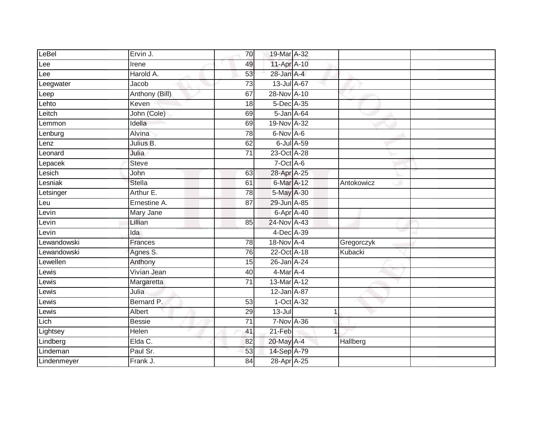| LeBel       | Ervin J.           | 70              | 19-Mar A-32       |                |            |
|-------------|--------------------|-----------------|-------------------|----------------|------------|
| Lee         | Irene              | 49              | 11-Apr A-10       |                |            |
| Lee         | Harold A.          | 53              | $28 - Jan$ A-4    |                |            |
| Leegwater   | Jacob              | 73              | 13-Jul A-67       |                |            |
| Leep        | Anthony (Bill)     | 67              | 28-Nov A-10       |                |            |
| Lehto       | Keven              | 18              | 5-Dec A-35        |                |            |
| Leitch      | John (Cole)        | 69              | 5-Jan A-64        |                |            |
| Lemmon      | Idella             | 69              | 19-Nov A-32       |                |            |
| Lenburg     | Alvina             | 78              | 6-Nov A-6         |                |            |
| Lenz        | Julius B.          | 62              | 6-Jul A-59        |                |            |
| Leonard     | Julia              | 71              | 23-Oct A-28       |                |            |
| Lepacek     | <b>Steve</b>       |                 | $7-Oct$ $A-6$     |                |            |
| Lesich      | John               | 63              | 28-Apr A-25       |                |            |
| Lesniak     | <b>Stella</b>      | 61              | $6$ -Mar $A-12$   |                | Antokowicz |
| Letsinger   | Arthur E.          | $\overline{78}$ | 5-May A-30        |                |            |
| Leu         | Ernestine A.       | 87              | 29-Jun A-85       |                |            |
| Levin       | Mary Jane          |                 | 6-Apr A-40        |                |            |
| Levin       | Lillian            | 85              | 24-Nov A-43       |                |            |
| Levin       | Ida                |                 | 4-Dec A-39        |                |            |
| Lewandowski | Frances            | 78              | 18-Nov A-4        |                | Gregorczyk |
| Lewandowski | Agnes S.           | 76              | 22-Oct A-18       |                | Kubacki    |
| Lewellen    | Anthony            | 15              | 26-Jan A-24       |                |            |
| Lewis       | <b>Vivian Jean</b> | 40              | 4-Mar A-4         |                |            |
| Lewis       | Margaretta         | $\overline{71}$ | 13-Mar A-12       |                |            |
| _ewis       | Julia              |                 | 12-Jan A-87       |                |            |
| Lewis       | Bernard P.         | 53              | 1-Oct A-32        |                |            |
| Lewis       | <b>Albert</b>      | 29              | $13 -$ Jul        | 1              |            |
| Lich        | <b>Bessie</b>      | 71              | <b>7-Nov A-36</b> |                |            |
| Lightsey    | Helen              | 41              | 21-Feb            | $\overline{1}$ |            |
| Lindberg    | Elda C.            | 82              | 20-May A-4        |                | Hallberg   |
| Lindeman    | Paul Sr.           | 53              | 14-Sep A-79       |                |            |
| Lindenmeyer | Frank J.           | $\overline{84}$ | 28-Apr A-25       |                |            |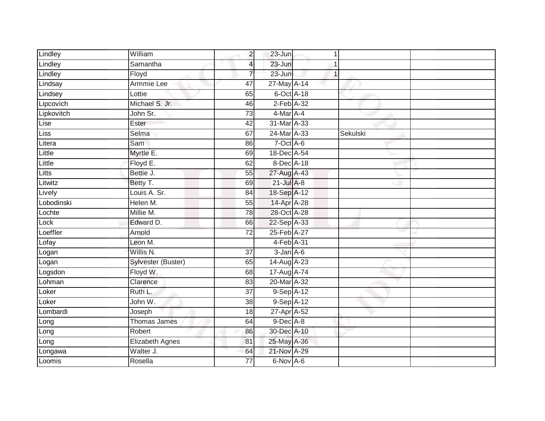| Lindley     | William             | $\overline{2}$  | $23 - Jun$      | 1            |          |  |
|-------------|---------------------|-----------------|-----------------|--------------|----------|--|
| Lindley     | Samantha            | $\overline{4}$  | 23-Jun          | 1            |          |  |
| Lindley     | Floyd               | $\overline{7}$  | $23 - Jun$      | $\mathbf{1}$ |          |  |
| Lindsay     | Armmie Lee          | 47              | 27-May A-14     |              |          |  |
| Lindsey     | Lottie              | 65              | 6-Oct A-18      |              |          |  |
| Lipcovich   | Michael S. Jr.      | 46              | $2$ -Feb $A-32$ |              |          |  |
| Lipkovitch  | John Sr.            | $\overline{73}$ | 4-Mar A-4       |              |          |  |
| Lise        | Ester               | 42              | 31-Mar A-33     |              |          |  |
| <b>Liss</b> | Selma               | 67              | 24-Mar A-33     |              | Sekulski |  |
| Litera      | Sam                 | 86              | 7-Oct A-6       |              |          |  |
| Little      | Myrtle E.           | 69              | 18-Dec A-54     |              |          |  |
| Little      | Floyd E.            | 62              | 8-Dec A-18      |              |          |  |
| Litts       | Bettie J.           | 55              | 27-Aug A-43     |              |          |  |
| Litwitz     | Betty T.            | 69              | $21$ -Jul $A-8$ |              |          |  |
| Lively      | Louis A. Sr.        | 84              | 18-Sep A-12     |              |          |  |
| Lobodinski  | Helen M.            | 55              | 14-Apr A-28     |              |          |  |
| Lochte      | Millie M.           | 78              | 28-Oct A-28     |              |          |  |
| Lock        | Edward D.           | 66              | 22-Sep A-33     |              |          |  |
| Loeffler    | Arnold              | $\overline{72}$ | 25-Feb A-27     |              |          |  |
| Lofay       | Leon M.             |                 | 4-Feb A-31      |              |          |  |
| Logan       | Willis N.           | $\overline{37}$ | $3 - Jan A - 6$ |              |          |  |
| Logan       | Sylvester (Buster)  | 65              | 14-Aug A-23     |              |          |  |
| Logsdon     | Floyd W.            | 68              | 17-Aug A-74     |              |          |  |
| Lohman      | Clarence            | 83              | 20-Mar A-32     |              |          |  |
| Loker       | Ruth L.             | 37              | $9-Sep$ A-12    |              |          |  |
| Loker       | John W.             | 38              | 9-Sep A-12      |              |          |  |
| Lombardi    | Joseph              | 18              | 27-Apr A-52     |              |          |  |
| Long        | <b>Thomas James</b> | 64              | $9$ -Dec $A$ -8 |              |          |  |
| Long        | Robert              | 86              | 30-Dec A-10     |              |          |  |
| Long        | Elizabeth Agnes     | 81              | 25-May A-36     |              |          |  |
| Longawa     | Walter J.           | 64              | 21-Nov A-29     |              |          |  |
| Loomis      | Rosella             | $\overline{77}$ | 6-Nov A-6       |              |          |  |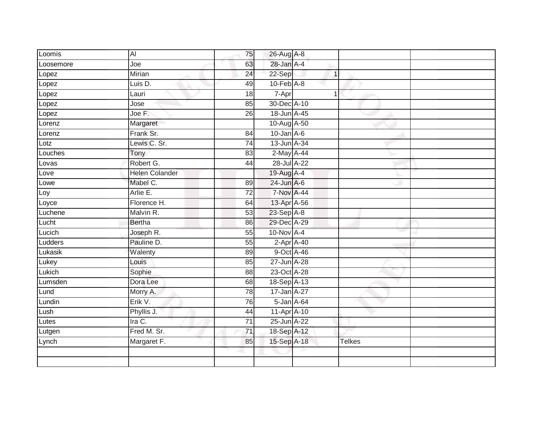| Loomis    | $\overline{AI}$       | 75              | 26-Aug A-8        |              |               |  |
|-----------|-----------------------|-----------------|-------------------|--------------|---------------|--|
| Loosemore | Joe                   | 63              | 28-Jan A-4        |              |               |  |
| Lopez     | <b>Mirian</b>         | 24              | 22-Sep            | $\mathbf{1}$ |               |  |
| Lopez     | Luis D.               | 49              | $10$ -Feb $A$ -8  |              |               |  |
| Lopez     | Lauri                 | 18              | 7-Apr             |              |               |  |
| Lopez     | Jose                  | 85              | 30-Dec A-10       |              |               |  |
| Lopez     | Joe F.                | 26              | 18-Jun A-45       |              |               |  |
| Lorenz    | Margaret              |                 | 10-Aug A-50       |              |               |  |
| Lorenz    | Frank Sr.             | 84              | $10$ -Jan $A-6$   |              |               |  |
| Lotz      | Lewis C. Sr.          | 74              | 13-Jun A-34       |              |               |  |
| Louches   | Tony                  | 83              | 2-May A-44        |              |               |  |
| Lovas     | Robert G.             | 44              | 28-Jul A-22       |              |               |  |
| Love      | <b>Helen Colander</b> |                 | 19-Aug A-4        |              |               |  |
| Lowe      | Mabel C.              | 89              | $24$ -Jun $A-6$   |              |               |  |
| Loy       | Arlie E.              | $\overline{72}$ | <b>7-Nov A-44</b> |              |               |  |
| Loyce     | Florence H.           | 64              | 13-Apr A-56       |              |               |  |
| Luchene   | Malvin R.             | 53              | 23-Sep A-8        |              |               |  |
| Lucht     | <b>Bertha</b>         | 86              | 29-Dec A-29       |              |               |  |
| Lucich    | Joseph R.             | 55              | 10-Nov A-4        |              |               |  |
| Ludders   | Pauline D.            | 55              | $2-Apr$ A-40      |              |               |  |
| Lukasik   | Walenty               | 89              | 9-Oct A-46        |              |               |  |
| Lukey     | Louis                 | 85              | 27-Jun A-28       |              |               |  |
| Lukich    | Sophie                | 88              | 23-Oct A-28       |              |               |  |
| Lumsden   | Dora Lee              | 68              | 18-Sep A-13       |              |               |  |
| Lund      | Morry A.              | 78              | $17 - Jan A-27$   |              |               |  |
| Lundin    | Erik V.               | 76              | 5-Jan A-64        |              |               |  |
| Lush      | Phyllis J.            | 44              | 11-Apr A-10       |              |               |  |
| Lutes     | Ira $C$ .             | 71              | 25-Jun A-22       |              |               |  |
| Lutgen    | Fred M. Sr.           | 71              | 18-Sep A-12       |              |               |  |
| Lynch     | Margaret F.           | 85              | 15-Sep A-18       |              | <b>Telkes</b> |  |
|           |                       |                 |                   |              |               |  |
|           |                       |                 |                   |              |               |  |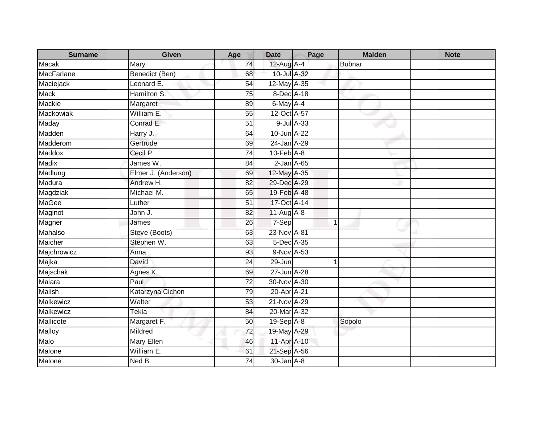| <b>Surname</b>    | <b>Given</b>        | Age             | <b>Date</b>        | Page       |        | <b>Maiden</b> | <b>Note</b> |
|-------------------|---------------------|-----------------|--------------------|------------|--------|---------------|-------------|
| Macak             | Mary                | 74              | 12-Aug A-4         |            | Bubnar |               |             |
| <b>MacFarlane</b> | Benedict (Ben)      | 68              | 10-Jul A-32        |            |        |               |             |
| Maciejack         | Leonard E.          | 54              | 12-May A-35        |            |        |               |             |
| <b>Mack</b>       | Hamilton S.         | 75              | 8-Dec A-18         |            |        |               |             |
| Mackie            | Margaret            | 89              | 6-May A-4          |            |        |               |             |
| Mackowiak         | William E.          | 55              | 12-Oct A-57        |            |        |               |             |
| Maday             | Conrad E.           | $\overline{51}$ |                    | 9-Jul A-33 |        |               |             |
| Madden            | Harry J.            | 64              | 10-Jun A-22        |            |        |               |             |
| Madderom          | Gertrude            | 69              | 24-Jan A-29        |            |        |               |             |
| Maddox            | Cecil P.            | $\overline{74}$ | $10$ -Feb $A$ -8   |            |        |               |             |
| <b>Madix</b>      | James W.            | 84              | $2$ -Jan $A$ -65   |            |        |               |             |
| Madlung           | Elmer J. (Anderson) | 69              | 12-May A-35        |            |        |               |             |
| Madura            | Andrew H.           | 82              | 29-Dec A-29        |            |        |               |             |
| Magdziak          | Michael M.          | 65              | 19-Feb A-48        |            |        |               |             |
| MaGee             | Luther              | 51              | 17-Oct A-14        |            |        |               |             |
| Maginot           | John J.             | 82              | $11-Aug$ A-8       |            |        |               |             |
| Magner            | James               | 26              | 7-Sep              |            | 1      |               |             |
| Mahalso           | Steve (Boots)       | 63              | 23-Nov A-81        |            |        |               |             |
| Maicher           | Stephen W.          | 63              | 5-Dec A-35         |            |        |               |             |
| Majchrowicz       | Anna                | 93              | 9-Nov A-53         |            |        |               |             |
| Majka             | David               | $\overline{24}$ | 29-Jun             |            | 1      |               |             |
| Majschak          | Agnes K.            | 69              | 27-Jun A-28        |            |        |               |             |
| Malara            | Paul                | $\overline{72}$ | 30-Nov A-30        |            |        |               |             |
| <b>Malish</b>     | Katarzyna Cichon    | 79              | 20-Apr A-21        |            |        |               |             |
| Malkewicz         | Walter              | 53              | 21-Nov A-29        |            |        |               |             |
| Malkewicz         | Tekla               | 84              | 20-Mar A-32        |            |        |               |             |
| Mallicote         | Margaret F.         | 50              | 19-Sep A-8         |            | Sopolo |               |             |
| <b>Malloy</b>     | Mildred             | 72              | 19-May A-29        |            |        |               |             |
| Malo              | Mary Ellen          | 46              | 11-Apr A-10        |            |        |               |             |
| Malone            | William E.          | 61              | 21-Sep A-56        |            |        |               |             |
| Malone            | Ned B.              | $\overline{74}$ | $30 - Jan$ $A - 8$ |            |        |               |             |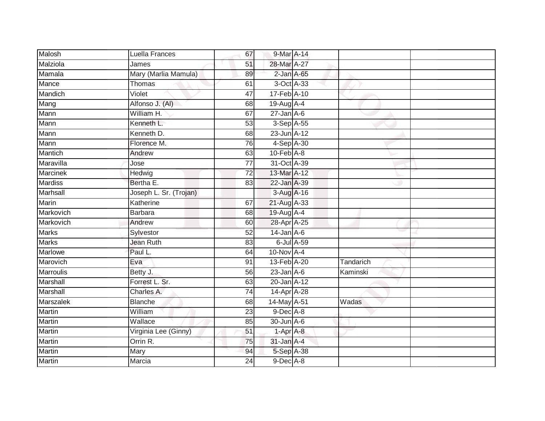| Malosh           | Luella Frances         | 67              | 9-Mar A-14       |            |           |  |
|------------------|------------------------|-----------------|------------------|------------|-----------|--|
| Malziola         | James                  | 51              | 28-Mar A-27      |            |           |  |
| Mamala           | Mary (Marlia Mamula)   | 89              | $2$ -Jan $A$ -65 |            |           |  |
| Mance            | Thomas                 | 61              | 3-Oct A-33       |            |           |  |
| Mandich          | Violet                 | $\overline{47}$ | 17-Feb A-10      |            |           |  |
| Mang             | Alfonso J. (Al)        | 68              | 19-Aug A-4       |            |           |  |
| Mann             | William H.             | 67              | $27 - Jan A - 6$ |            |           |  |
| Mann             | Kenneth L.             | 53              | 3-Sep A-55       |            |           |  |
| Mann             | Kenneth D.             | 68              | 23-Jun A-12      |            |           |  |
| Mann             | Florence M.            | 76              | 4-Sep A-30       |            |           |  |
| Mantich          | Andrew                 | 63              | $10$ -Feb $A$ -8 |            |           |  |
| Maravilla        | Jose                   | $\overline{77}$ | 31-Oct A-39      |            |           |  |
| <b>Marcinek</b>  | Hedwig                 | $\overline{72}$ | 13-Mar A-12      |            |           |  |
| <b>Mardiss</b>   | Bertha E.              | 83              | 22-Jan A-39      |            |           |  |
| Marhsall         | Joseph L. Sr. (Trojan) |                 | 3-Aug A-16       |            |           |  |
| Marin            | Katherine              | 67              | 21-Aug A-33      |            |           |  |
| Markovich        | Barbara                | 68              | 19-Aug A-4       |            |           |  |
| Markovich        | Andrew                 | 60              | 28-Apr A-25      |            |           |  |
| <b>Marks</b>     | Sylvestor              | 52              | $14$ -Jan $A$ -6 |            |           |  |
| <b>Marks</b>     | <b>Jean Ruth</b>       | 83              |                  | 6-Jul A-59 |           |  |
| Marlowe          | Paul L.                | 64              | 10-Nov A-4       |            |           |  |
| Marovich         | Eva                    | $\overline{91}$ | 13-Feb A-20      |            | Tandarich |  |
| <b>Marroulis</b> | Betty J.               | 56              | $23$ -Jan $A-6$  |            | Kaminski  |  |
| Marshall         | Forrest L. Sr.         | 63              | 20-Jan A-12      |            |           |  |
| Marshall         | Charles A.             | 74              | 14-Apr A-28      |            |           |  |
| Marszalek        | <b>Blanche</b>         | 68              | 14-May A-51      |            | Wadas     |  |
| Martin           | William                | 23              | $9$ -Dec $A$ -8  |            |           |  |
| Martin           | Wallace                | 85              | 30-Jun A-6       |            |           |  |
| <b>Martin</b>    | Virginia Lee (Ginny)   | 51              | $1-Apr$ A-8      |            |           |  |
| Martin           | Orrin R.               | 75              | $31$ -Jan $A-4$  |            |           |  |
| Martin           | Mary                   | 94              | 5-Sep A-38       |            |           |  |
| Martin           | Marcia                 | 24              | $9$ -Dec $A$ -8  |            |           |  |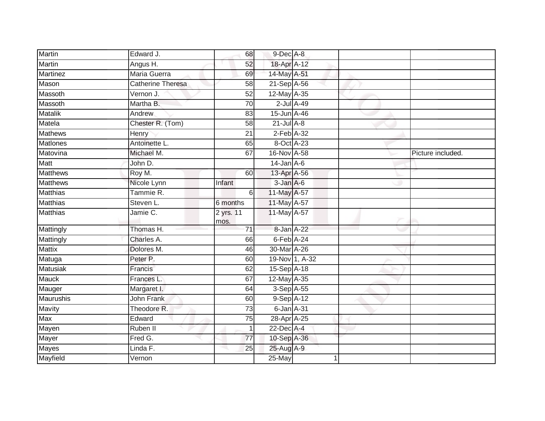| <b>Martin</b>    | Edward J.              | 68                | $9$ -Dec $A$ -8  |                  |                   |
|------------------|------------------------|-------------------|------------------|------------------|-------------------|
| Martin           | Angus H.               | 52                | 18-Apr A-12      |                  |                   |
| Martinez         | Maria Guerra           | 69                | 14-May A-51      |                  |                   |
| Mason            | Catherine Theresa      | 58                | $21-Sep$ A-56    |                  |                   |
| Massoth          | Vernon J.              | $\overline{52}$   | 12-May A-35      |                  |                   |
| Massoth          | Martha B.              | 70                |                  | $2$ -Jul $A$ -49 |                   |
| <b>Matalik</b>   | Andrew                 | 83                | 15-Jun A-46      |                  |                   |
| Matela           | Chester R. (Tom)       | 58                | $21$ -Jul $A-8$  |                  |                   |
| <b>Mathews</b>   | Henry                  | 21                | $2$ -Feb $A-32$  |                  |                   |
| <b>Matlones</b>  | Antoinette L.          | 65                | 8-Oct A-23       |                  |                   |
| Matovina         | Michael M.             | 67                | 16-Nov A-58      |                  | Picture included. |
| Matt             | John D.                |                   | $14$ -Jan $A$ -6 |                  |                   |
| <b>Matthews</b>  | Roy M.                 | 60                | 13-Apr A-56      |                  |                   |
| <b>Matthews</b>  | Nicole Lynn            | Infant            | 3-Jan A-6        |                  |                   |
| <b>Matthias</b>  | Tammie R.              | 6                 | 11-May A-57      |                  |                   |
| <b>Matthias</b>  | Steven L.              | 6 months          | 11-May A-57      |                  |                   |
| <b>Matthias</b>  | Jamie C.               | 2 yrs. 11<br>mos. | 11-May A-57      |                  |                   |
| Mattingly        | Thomas H.              | $\overline{71}$   | 8-Jan A-22       |                  |                   |
| Mattingly        | Charles A.             | 66                | 6-Feb A-24       |                  |                   |
| <b>Mattix</b>    | Dolores M.             | 46                | 30-Mar A-26      |                  |                   |
| Matuga           | Peter P.               | 60                |                  | 19-Nov 1, A-32   |                   |
| <b>Matusiak</b>  | Francis                | 62                | $15-Sep$ A-18    |                  |                   |
| <b>Mauck</b>     | Frances L.             | 67                | 12-May A-35      |                  |                   |
| Mauger           | Margaret I.            | 64                | 3-Sep A-55       |                  |                   |
| <b>Maurushis</b> | <b>John Frank</b>      | 60                | $9-Sep$ A-12     |                  |                   |
| Mavity           | Theodore R.            | 73                | 6-Jan A-31       |                  |                   |
| Max              | Edward                 | 75                | 28-Apr A-25      |                  |                   |
| Mayen            | Ruben II               | 1                 | 22-Dec A-4       |                  |                   |
| Mayer            | Fred G.                | 77                | 10-Sep A-36      |                  |                   |
| <b>Mayes</b>     | Linda $\overline{F}$ . | 25                | 25-Aug A-9       |                  |                   |
| Mayfield         | Vernon                 |                   | 25-May           | 1                |                   |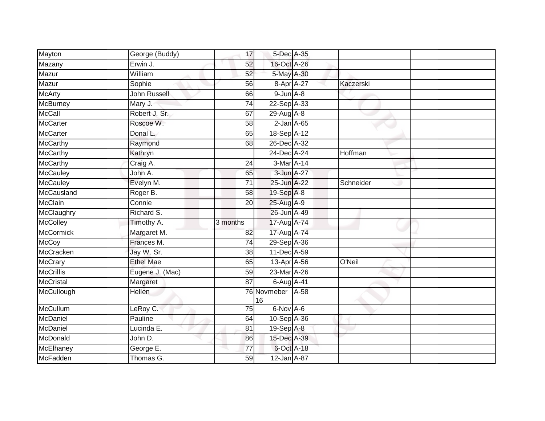| Mayton           | George (Buddy)      | 17              | 5-Dec A-35        |      |           |  |
|------------------|---------------------|-----------------|-------------------|------|-----------|--|
| Mazany           | Erwin J.            | 52              | 16-Oct A-26       |      |           |  |
| Mazur            | William             | 52              | 5-May A-30        |      |           |  |
| Mazur            | Sophie              | 56              | 8-Apr A-27        |      | Kaczerski |  |
| <b>McArty</b>    | <b>John Russell</b> | 66              | $9$ -Jun $A-8$    |      |           |  |
| McBurney         | Mary J.             | 74              | 22-Sep A-33       |      |           |  |
| <b>McCall</b>    | Robert J. Sr.       | 67              | $29$ -Aug $A$ -8  |      |           |  |
| <b>McCarter</b>  | Roscoe W.           | 58              | $2$ -Jan $A$ -65  |      |           |  |
| <b>McCarter</b>  | Donal L.            | 65              | 18-Sep A-12       |      |           |  |
| <b>McCarthy</b>  | Raymond             | 68              | 26-Dec A-32       |      |           |  |
| <b>McCarthy</b>  | Kathryn             |                 | 24-Dec A-24       |      | Hoffman   |  |
| <b>McCarthy</b>  | Craig A.            | 24              | 3-Mar A-14        |      |           |  |
| <b>McCauley</b>  | John A.             | 65              | 3-Jun A-27        |      |           |  |
| <b>McCauley</b>  | Evelyn M.           | 71              | 25-Jun A-22       |      | Schneider |  |
| McCausland       | Roger B.            | 58              | 19-Sep A-8        |      |           |  |
| <b>McClain</b>   | Connie              | $\overline{20}$ | 25-Aug A-9        |      |           |  |
| McClaughry       | Richard S.          |                 | 26-Jun A-49       |      |           |  |
| <b>McColley</b>  | Timothy A.          | 3 months        | 17-Aug A-74       |      |           |  |
| <b>McCormick</b> | Margaret M.         | 82              | 17-Aug A-74       |      |           |  |
| <b>McCoy</b>     | Frances M.          | $\overline{74}$ | 29-Sep A-36       |      |           |  |
| McCracken        | Jay W. Sr.          | 38              | 11-Dec A-59       |      |           |  |
| <b>McCrary</b>   | <b>Ethel Mae</b>    | 65              | 13-Apr A-56       |      | O'Neil    |  |
| <b>McCrillis</b> | Eugene J. (Mac)     | 59              | 23-Mar A-26       |      |           |  |
| McCristal        | Margaret            | 87              | 6-Aug A-41        |      |           |  |
| McCullough       | Hellen              |                 | 76 Novmeber<br>16 | A-58 |           |  |
| McCullum         | LeRoy C.            | $\overline{75}$ | 6-Nov A-6         |      |           |  |
| McDaniel         | Pauline             | 64              | 10-Sep A-36       |      |           |  |
| McDaniel         | Lucinda E.          | 81              | 19-Sep A-8        |      |           |  |
| McDonald         | John D.             | 86              | 15-Dec A-39       |      |           |  |
| McElhaney        | George E.           | 77              | 6-Oct A-18        |      |           |  |
| McFadden         | Thomas G.           | 59              | 12-Jan A-87       |      |           |  |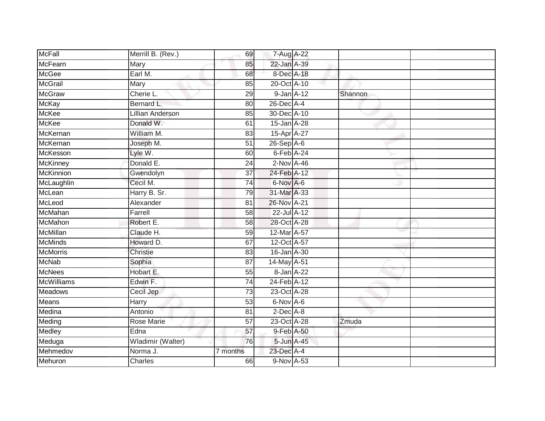| <b>McFall</b>     | Merrill B. (Rev.) | 69              | 7-Aug A-22                  |         |  |
|-------------------|-------------------|-----------------|-----------------------------|---------|--|
| McFearn           | Mary              | 85              | 22-Jan A-39                 |         |  |
| <b>McGee</b>      | Earl M.           | 68              | 8-Dec A-18                  |         |  |
| <b>McGrail</b>    | Mary              | 85              | 20-Oct A-10                 |         |  |
| <b>McGraw</b>     | Cherie L.         | 29              | $9$ -Jan $A$ -12            | Shannon |  |
| <b>McKay</b>      | Bernard L.        | 80              | 26-Dec A-4                  |         |  |
| <b>McKee</b>      | Lillian Anderson  | 85              | 30-Dec A-10                 |         |  |
| <b>McKee</b>      | Donald W.         | 61              | 15-Jan A-28                 |         |  |
| McKernan          | William M.        | 83              | 15-Apr A-27                 |         |  |
| McKernan          | Joseph M.         | 51              | $26-Sep$ A-6                |         |  |
| McKesson          | Lyle W.           | 60              | $6$ -Feb $\overline{A}$ -24 |         |  |
| <b>McKinney</b>   | Donald E.         | 24              | $2-Nov$ A-46                |         |  |
| <b>McKinnion</b>  | Gwendolyn         | 37              | 24-Feb A-12                 |         |  |
| McLaughlin        | Cecil M.          | 74              | 6-Nov A-6                   |         |  |
| McLean            | Harry B. Sr.      | 79              | 31-Mar A-33                 |         |  |
| McLeod            | Alexander         | 81              | 26-Nov A-21                 |         |  |
| McMahan           | Farrell           | 58              | 22-Jul A-12                 |         |  |
| McMahon           | Robert E.         | 58              | 28-Oct A-28                 |         |  |
| McMillan          | Claude H.         | 59              | 12-Mar A-57                 |         |  |
| <b>McMinds</b>    | Howard D.         | 67              | 12-Oct A-57                 |         |  |
| <b>McMorris</b>   | Christie          | 83              | 16-Jan A-30                 |         |  |
| <b>McNab</b>      | Sophia            | $\overline{87}$ | 14-May A-51                 |         |  |
| <b>McNees</b>     | Hobart E.         | 55              | $8 - Jan$ A-22              |         |  |
| <b>McWilliams</b> | Edwin F.          | $\overline{74}$ | 24-Feb A-12                 |         |  |
| <b>Meadows</b>    | Cecil Jep         | 73              | 23-Oct A-28                 |         |  |
| Means             | Harry             | 53              | $6-Nov$ A-6                 |         |  |
| Medina            | Antonio           | 81              | $2$ -Dec $A-8$              |         |  |
| Meding            | Rose Marie        | 57              | 23-Oct A-28                 | Zmuda   |  |
| Medley            | Edna              | 57              | 9-Feb A-50                  |         |  |
| Meduga            | Wladimir (Walter) | 76              | 5-Jun A-45                  |         |  |
| Mehmedov          | Norma J.          | 7 months        | 23-Dec A-4                  |         |  |
| Mehuron           | <b>Charles</b>    | 66              | 9-Nov A-53                  |         |  |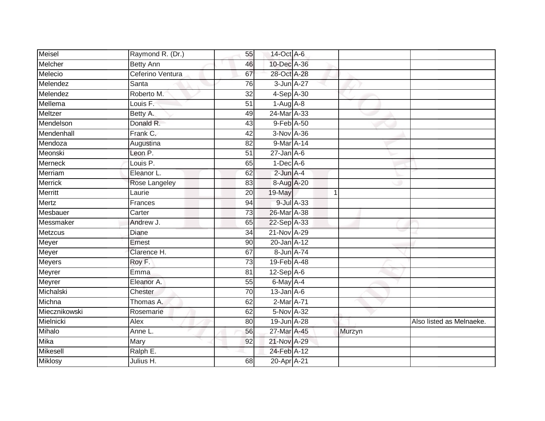| Meisel         | Raymond R. (Dr.) | 55              | 14-Oct A-6       |              |        |                          |
|----------------|------------------|-----------------|------------------|--------------|--------|--------------------------|
| Melcher        | <b>Betty Ann</b> | 46              | 10-Dec A-36      |              |        |                          |
| Melecio        | Ceferino Ventura | 67              | 28-Oct A-28      |              |        |                          |
| Melendez       | Santa            | 76              | 3-Jun A-27       |              |        |                          |
| Melendez       | Roberto M.       | $\overline{32}$ | 4-Sep A-30       |              |        |                          |
| Mellema        | Louis F:         | 51              | $1-Aug$ A-8      |              |        |                          |
| Meltzer        | Betty A.         | 49              | 24-Mar A-33      |              |        |                          |
| Mendelson      | Donald R.        | 43              | 9-Feb A-50       |              |        |                          |
| Mendenhall     | Frank C.         | 42              | 3-Nov A-36       |              |        |                          |
| Mendoza        | Augustina        | 82              | 9-Mar A-14       |              |        |                          |
| Meonski        | Leon P.          | 51              | $27$ -Jan $A$ -6 |              |        |                          |
| <b>Merneck</b> | Louis P.         | 65              | $1-Dec$ A-6      |              |        |                          |
| Merriam        | Eleanor L.       | 62              | $2$ -Jun $A-4$   |              |        |                          |
| <b>Merrick</b> | Rose Langeley    | 83              | 8-Aug A-20       |              |        |                          |
| <b>Merritt</b> | Laurie           | $\overline{20}$ | 19-May           | $\mathbf{1}$ |        |                          |
| Mertz          | Frances          | 94              | 9-Jul A-33       |              |        |                          |
| Mesbauer       | Carter           | 73              | 26-Mar A-38      |              |        |                          |
| Messmaker      | Andrew J.        | 65              | 22-Sep A-33      |              |        |                          |
| Metzcus        | Diane            | 34              | 21-Nov A-29      |              |        |                          |
| Meyer          | Ernest           | 90              | 20-Jan A-12      |              |        |                          |
| Meyer          | Clarence H.      | 67              | 8-Jun A-74       |              |        |                          |
| <b>Meyers</b>  | Roy F.           | $\overline{73}$ | 19-Feb A-48      |              |        |                          |
| Meyrer         | Emma             | 81              | $12-Sep$ A-6     |              |        |                          |
| Meyrer         | Eleanor A.       | 55              | 6-May A-4        |              |        |                          |
| Michalski      | Chester          | 70              | $13$ -Jan $A$ -6 |              |        |                          |
| Michna         | Thomas A.        | 62              | $2-Mar A-71$     |              |        |                          |
| Miecznikowski  | Rosemarie        | 62              | 5-Nov A-32       |              |        |                          |
| Mielnicki      | Alex             | 80              | 19-Jun A-28      |              |        | Also listed as Melnaeke. |
| Mihalo         | Anne L.          | 56              | 27-Mar A-45      |              | Murzyn |                          |
| Mika           | Mary             | 92              | 21-Nov A-29      |              |        |                          |
| Mikesell       | Ralph E.         |                 | 24-Feb A-12      |              |        |                          |
| <b>Miklosy</b> | Julius H.        | 68              | 20-Apr A-21      |              |        |                          |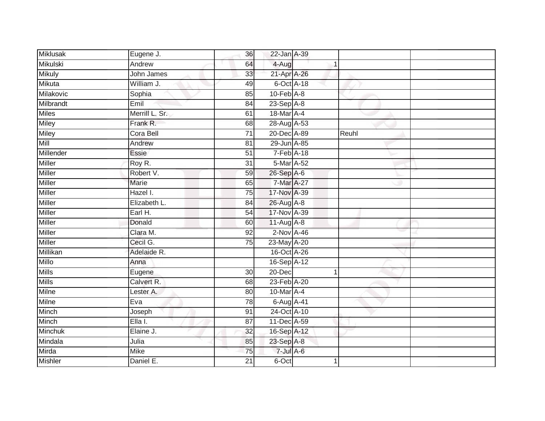| Miklusak        | Eugene J.      | 36              | 22-Jan A-39                 |   |       |  |
|-----------------|----------------|-----------------|-----------------------------|---|-------|--|
| <b>Mikulski</b> | Andrew         | 64              | 4-Aug                       | 1 |       |  |
| <b>Mikuly</b>   | John James     | 33              | 21-Apr A-26                 |   |       |  |
| Mikuta          | William J.     | 49              | 6-Oct A-18                  |   |       |  |
| Milakovic       | Sophia         | 85              | $10$ -Feb $\overline{A-8}$  |   |       |  |
| Milbrandt       | Emil           | 84              | $23 - Sep$ $A-8$            |   |       |  |
| <b>Miles</b>    | Merrill L. Sr. | 61              | 18-Mar A-4                  |   |       |  |
| <b>Miley</b>    | Frank R.       | 68              | 28-Aug A-53                 |   |       |  |
| <b>Miley</b>    | Cora Bell      | $\overline{71}$ | 20-Dec A-89                 |   | Reuhl |  |
| Mill            | Andrew         | $\overline{81}$ | 29-Jun A-85                 |   |       |  |
| Millender       | Essie          | $\overline{51}$ | 7-Feb A-18                  |   |       |  |
| Miller          | Roy R.         | $\overline{31}$ | 5-Mar A-52                  |   |       |  |
| <b>Miller</b>   | Robert V.      | 59              | 26-Sep A-6                  |   |       |  |
| Miller          | <b>Marie</b>   | 65              | 7-Mar A-27                  |   |       |  |
| <b>Miller</b>   | Hazel I.       | 75              | 17-Nov A-39                 |   |       |  |
| <b>Miller</b>   | Elizabeth L.   | 84              | 26-Aug A-8                  |   |       |  |
| Miller          | Earl H.        | 54              | 17-Nov A-39                 |   |       |  |
| <b>Miller</b>   | Donald         | 60              | 11-Aug A-8                  |   |       |  |
| <b>Miller</b>   | Clara M.       | 92              | $2$ -Nov A-46               |   |       |  |
| <b>Miller</b>   | Cecil G.       | 75              | 23-May A-20                 |   |       |  |
| Millikan        | Adelaide R.    |                 | 16-Oct A-26                 |   |       |  |
| <b>Millo</b>    | Anna           |                 | 16-Sep A-12                 |   |       |  |
| Mills           | Eugene         | 30              | 20-Dec                      | 1 |       |  |
| Mills           | Calvert R.     | 68              | 23-Feb A-20                 |   |       |  |
| Milne           | Lester A.      | 80              | $10$ -Mar $\overline{A}$ -4 |   |       |  |
| Milne           | Eva            | 78              | 6-Aug A-41                  |   |       |  |
| Minch           | Joseph         | $\overline{91}$ | 24-Oct A-10                 |   |       |  |
| Minch           | Ella I.        | 87              | 11-Dec A-59                 |   |       |  |
| <b>Minchuk</b>  | Elaine J.      | 32              | 16-Sep A-12                 |   |       |  |
| Mindala         | Julia          | 85              | 23-Sep A-8                  |   |       |  |
| Mirda           | Mike           | 75              | 7-Jul A-6                   |   |       |  |
| Mishler         | Daniel E.      | 21              | 6-Oct                       | 1 |       |  |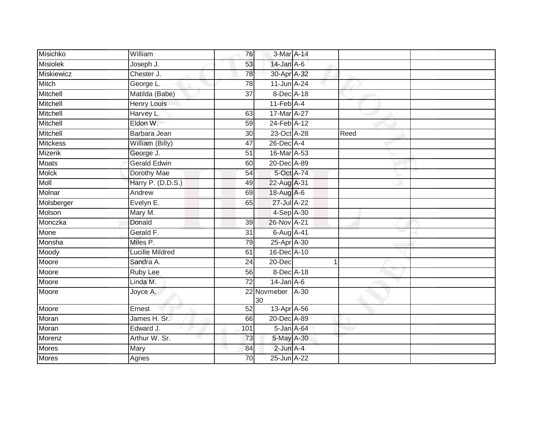| Misichko        | William                | 76              | 3-Mar A-14                    |      |      |  |
|-----------------|------------------------|-----------------|-------------------------------|------|------|--|
| <b>Misiolek</b> | Joseph J.              | 53              | $14$ -Jan $A$ -6              |      |      |  |
| Miskiewicz      | Chester J.             |                 |                               |      |      |  |
|                 |                        | 78              | 30-Apr A-32                   |      |      |  |
| Mitch           | George L.              | 78              | $11$ -Jun $A-24$              |      |      |  |
| Mitchell        | Matilda (Babe)         | $\overline{37}$ | 8-Dec A-18                    |      |      |  |
| Mitchell        | <b>Henry Louis</b>     |                 | $11$ -Feb $\overline{A-4}$    |      |      |  |
| Mitchell        | Harvey L.              | 63              | 17-Mar A-27                   |      |      |  |
| Mitchell        | Eldon W.               | 59              | 24-Feb <sup>A-12</sup>        |      |      |  |
| Mitchell        | Barbara Jean           | 30              | 23-Oct A-28                   |      | Reed |  |
| <b>Mitckess</b> | William (Billy)        | 47              | 26-Dec A-4                    |      |      |  |
| <b>Mizerik</b>  | George J.              | 51              | 16-Mar A-53                   |      |      |  |
| <b>Moats</b>    | <b>Gerald Edwin</b>    | 60              | 20-Dec A-89                   |      |      |  |
| <b>Molck</b>    | Dorothy Mae            | 54              | 5-Oct A-74                    |      |      |  |
| Moll            | Harry P. (D.D.S.)      | 49              | 22-Aug A-31                   |      |      |  |
| Molnar          | Andrew                 | 69              | 18-Aug A-6                    |      |      |  |
| Molsberger      | Evelyn E.              | 65              | $27 -$ Jul $\overline{A}$ -22 |      |      |  |
| Molson          | Mary M.                |                 | 4-Sep A-30                    |      |      |  |
| Monczka         | Donald                 | 39              | 26-Nov A-21                   |      |      |  |
| Mone            | Gerald F.              | 31              | 6-Aug A-41                    |      |      |  |
| Monsha          | Miles P.               | 79              | 25-Apr A-30                   |      |      |  |
| Moody           | <b>Lucille Mildred</b> | 61              | 16-Dec A-10                   |      |      |  |
| Moore           | Sandra A.              | 24              | 20-Dec                        | 1    |      |  |
| Moore           | Ruby Lee               | 56              | 8-Dec A-18                    |      |      |  |
| Moore           | Linda M.               | 72              | $14$ -Jan $A$ -6              |      |      |  |
| Moore           | Joyce A.               |                 | 22 Novmeber<br>30             | A-30 |      |  |
| Moore           | Ernest                 | 52              | 13-Apr A-56                   |      |      |  |
| Moran           | James H. Sr.           | 66              | 20-Dec A-89                   |      |      |  |
| Moran           | Edward J.              | 101             | $5$ -Jan A-64                 |      |      |  |
| Morenz          | Arthur W. Sr.          | 73              | 5-May A-30                    |      |      |  |
| Mores           | Mary                   | 84              | $2$ -Jun $A-4$                |      |      |  |
| Mores           | Agnes                  | 70              | 25-Jun A-22                   |      |      |  |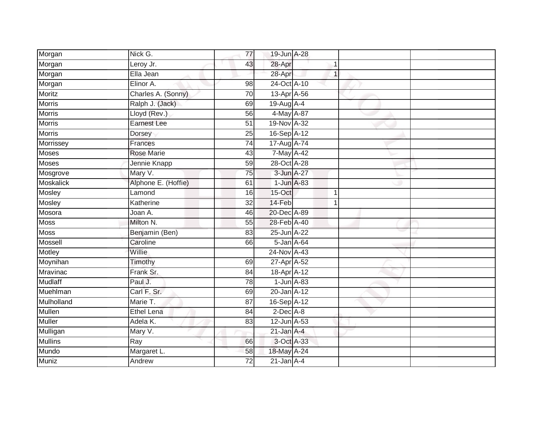| Morgan           | Nick G.             | 77              | 19-Jun A-28      |              |  |
|------------------|---------------------|-----------------|------------------|--------------|--|
| Morgan           | Leroy Jr.           | 43              | 28-Apr           |              |  |
| Morgan           | Ella Jean           |                 | 28-Apr           | $\mathbf{1}$ |  |
| Morgan           | Elinor A.           | 98              | 24-Oct A-10      |              |  |
| Moritz           | Charles A. (Sonny)  | $\overline{70}$ | 13-Apr A-56      |              |  |
| <b>Morris</b>    | Ralph J. (Jack)     | 69              | 19-Aug A-4       |              |  |
| Morris           | Lloyd (Rev.)        | 56              | 4-May A-87       |              |  |
| Morris           | <b>Earnest Lee</b>  | 51              | 19-Nov A-32      |              |  |
| Morris           | Dorsey              | 25              | 16-Sep A-12      |              |  |
| Morrissey        | Frances             | 74              | 17-Aug A-74      |              |  |
| Moses            | <b>Rose Marie</b>   | 43              | $7$ -May A-42    |              |  |
| Moses            | Jennie Knapp        | 59              | 28-Oct A-28      |              |  |
| Mosgrove         | Mary V.             | 75              | 3-Jun A-27       |              |  |
| <b>Moskalick</b> | Alphone E. (Hoffie) | 61              | $1$ -Jun $A$ -83 |              |  |
| Mosley           | Lamond              | 16              | 15-Oct           | $\mathbf 1$  |  |
| Mosley           | Katherine           | 32              | 14-Feb           | -1           |  |
| Mosora           | Joan A.             | 46              | 20-Dec A-89      |              |  |
| <b>Moss</b>      | Milton N.           | 55              | 28-Feb A-40      |              |  |
| Moss             | Benjamin (Ben)      | 83              | 25-Jun A-22      |              |  |
| Mossell          | Caroline            | 66              | 5-Jan A-64       |              |  |
| Motley           | Willie              |                 | 24-Nov A-43      |              |  |
| Moynihan         | Timothy             | 69              | 27-Apr A-52      |              |  |
| Mravinac         | Frank Sr.           | 84              | 18-Apr A-12      |              |  |
| <b>Mudlaff</b>   | Paul J.             | 78              | $1$ -Jun $A$ -83 |              |  |
| Muehlman         | Carl F. Sr.         | 69              | 20-Jan A-12      |              |  |
| Mulholland       | Marie T.            | 87              | 16-Sep A-12      |              |  |
| Mullen           | <b>Ethel Lena</b>   | 84              | $2$ -Dec $A-8$   |              |  |
| Muller           | Adela K.            | 83              | 12-Jun A-53      |              |  |
| Mulligan         | Mary V.             |                 | $21$ -Jan $A-4$  |              |  |
| <b>Mullins</b>   | Ray                 | 66              | 3-Oct A-33       |              |  |
| Mundo            | Margaret L.         | 58              | 18-May A-24      |              |  |
| Muniz            | Andrew              | $\overline{72}$ | $21$ -Jan $A-4$  |              |  |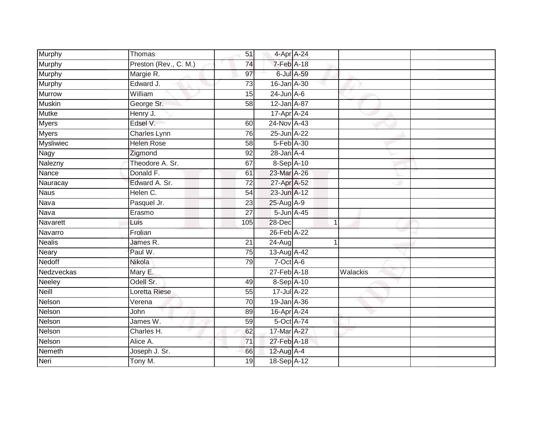| Murphy           | Thomas                | 51              | 4-Apr A-24      |            |          |  |
|------------------|-----------------------|-----------------|-----------------|------------|----------|--|
| Murphy           | Preston (Rev., C. M.) | 74              | 7-Feb A-18      |            |          |  |
| <b>Murphy</b>    | Margie R.             | 97              |                 | 6-Jul A-59 |          |  |
| Murphy           | Edward J.             | $\overline{73}$ | 16-Jan A-30     |            |          |  |
| <b>Murrow</b>    | William               | $\overline{15}$ | $24$ -Jun $A-6$ |            |          |  |
| <b>Muskin</b>    | George Sr.            | 58              | 12-Jan A-87     |            |          |  |
| <b>Mutke</b>     | Henry J.              |                 | 17-Apr A-24     |            |          |  |
| <b>Myers</b>     | Edsel V.              | 60              | 24-Nov A-43     |            |          |  |
| <b>Myers</b>     | <b>Charles Lynn</b>   | 76              | 25-Jun A-22     |            |          |  |
| <b>Mysliwiec</b> | <b>Helen Rose</b>     | $\overline{58}$ | 5-Feb A-30      |            |          |  |
| Nagy             | Zigmond               | 92              | $28$ -Jan $A-4$ |            |          |  |
| Nalezny          | Theodore A. Sr.       | 67              | 8-Sep A-10      |            |          |  |
| Nance            | Donald F.             | 61              | 23-Mar A-26     |            |          |  |
| Nauracay         | Edward A. Sr.         | $\overline{72}$ | 27-Apr A-52     |            |          |  |
| <b>Naus</b>      | Helen C.              | $\overline{54}$ | 23-Jun A-12     |            |          |  |
| Nava             | Pasquel Jr.           | 23              | 25-Aug A-9      |            |          |  |
| Nava             | Erasmo                | $\overline{27}$ | 5-Jun A-45      |            |          |  |
| Navarett         | Luis                  | 105             | 28-Dec          |            | 1        |  |
| Navarro          | Frolian               |                 | 26-Feb A-22     |            |          |  |
| <b>Nealis</b>    | James R.              | $\overline{21}$ | $24 - Aug$      |            | 1        |  |
| <b>Neary</b>     | Paul W.               | 75              | 13-Aug A-42     |            |          |  |
| Nedoff           | Nikola                | 79              | $7$ -Oct $A$ -6 |            |          |  |
| Nedzveckas       | Mary E.               |                 | 27-Feb A-18     |            | Walackis |  |
| Neeley           | Odell Sr.             | 49              | 8-Sep A-10      |            |          |  |
| Neill            | Loretta Riese         | 55              | 17-Jul A-22     |            |          |  |
| Nelson           | $\overline{V}$ erena  | 70              | 19-Jan A-36     |            |          |  |
| Nelson           | John                  | 89              | 16-Apr A-24     |            |          |  |
| Nelson           | James W.              | 59              | 5-Oct A-74      |            |          |  |
| Nelson           | Charles H.            | 62              | 17-Mar A-27     |            |          |  |
| Nelson           | Alice A.              | $\overline{71}$ | 27-Feb A-18     |            |          |  |
| Nemeth           | Joseph J. Sr.         | 66              | 12-Aug A-4      |            |          |  |
| Neri             | Tony M.               | $\overline{19}$ | 18-Sep A-12     |            |          |  |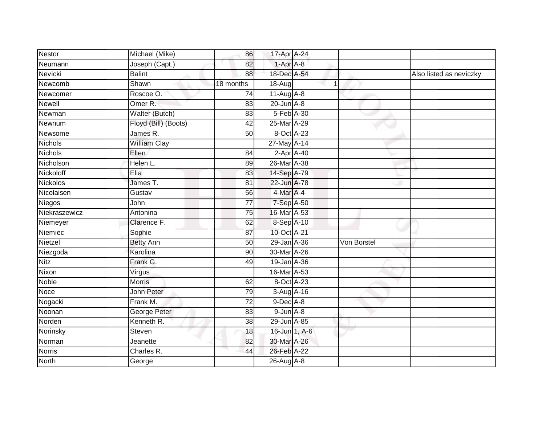| <b>Nestor</b>   | Michael (Mike)       | 86        | 17-Apr A-24      |             |                         |
|-----------------|----------------------|-----------|------------------|-------------|-------------------------|
| Neumann         | Joseph (Capt.)       | 82        | 1-Apr A-8        |             |                         |
| Nevicki         | <b>Balint</b>        | 88        | 18-Dec A-54      |             | Also listed as neviczky |
| Newcomb         | Shawn                | 18 months | 18-Aug           |             |                         |
| Newcomer        | Roscoe O.            | 74        | $11-Aug$ A-8     |             |                         |
| <b>Newell</b>   | Omer <sub>R</sub> .  | 83        | $20$ -Jun $A-8$  |             |                         |
| Newman          | Walter (Butch)       | 83        | 5-Feb A-30       |             |                         |
| Newnum          | Floyd (Bill) (Boots) | 42        | 25-Mar A-29      |             |                         |
| Newsome         | James R.             | 50        | 8-Oct A-23       |             |                         |
| <b>Nichols</b>  | <b>William Clay</b>  |           | 27-May A-14      |             |                         |
| <b>Nichols</b>  | Ellen                | 84        | $2$ -Apr $A$ -40 |             |                         |
| Nicholson       | Helen L.             | 89        | 26-Mar A-38      |             |                         |
| Nickoloff       | Elia                 | 83        | 14-Sep A-79      |             |                         |
| <b>Nickolos</b> | James T.             | 81        | 22-Jun A-78      |             |                         |
| Nicolaisen      | Gustav               | 56        | 4-Mar A-4        |             |                         |
| Niegos          | John                 | 77        | 7-Sep A-50       |             |                         |
| Niekraszewicz   | Antonina             | 75        | 16-Mar A-53      |             |                         |
| Niemeyer        | Clarence F.          | 62        | 8-Sep A-10       |             |                         |
| Niemiec         | Sophie               | 87        | 10-Oct A-21      |             |                         |
| Nietzel         | <b>Betty Ann</b>     | 50        | 29-Jan A-36      | Von Borstel |                         |
| Niezgoda        | Karolina             | 90        | 30-Mar A-26      |             |                         |
| <b>Nitz</b>     | Frank G.             | 49        | 19-Jan A-36      |             |                         |
| Nixon           | Virgus               |           | 16-Mar A-53      |             |                         |
| Noble           | <b>Morris</b>        | 62        | 8-Oct A-23       |             |                         |
| Noce            | John Peter           | 79        | $3-Aug$ A-16     |             |                         |
| Nogacki         | Frank M.             | 72        | $9$ -Dec $A$ -8  |             |                         |
| Noonan          | George Peter         | 83        | $9$ -Jun $A - 8$ |             |                         |
| Norden          | Kenneth R.           | 38        | 29-Jun A-85      |             |                         |
| Norinsky        | <b>Steven</b>        | 18        | 16-Jun 1, A-6    |             |                         |
| Norman          | Jeanette             | 82        | 30-Mar A-26      |             |                         |
| <b>Norris</b>   | Charles R.           | 44        | 26-Feb A-22      |             |                         |
| <b>North</b>    | George               |           | 26-Aug A-8       |             |                         |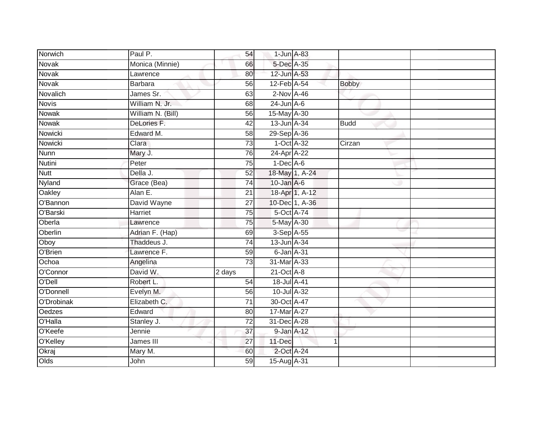| Norwich         | Paul P.           | 54              |                  | $1$ -Jun $A$ -83 |              |  |
|-----------------|-------------------|-----------------|------------------|------------------|--------------|--|
| Novak           | Monica (Minnie)   | 66              | 5-Dec A-35       |                  |              |  |
| <b>Novak</b>    | Lawrence          | 80              | 12-Jun A-53      |                  |              |  |
| Novak           | <b>Barbara</b>    | 56              | 12-Feb A-54      |                  | <b>Bobby</b> |  |
| Novalich        | James Sr.         | 63              | $2-Nov$ A-46     |                  |              |  |
| <b>Novis</b>    | William N. Jr.    | 68              | $24$ -Jun $A-6$  |                  |              |  |
| <b>Nowak</b>    | William N. (Bill) | 56              | 15-May A-30      |                  |              |  |
| Nowak           | DeLories F.       | 42              | 13-Jun A-34      |                  | <b>Budd</b>  |  |
| Nowicki         | Edward M.         | 58              | 29-Sep A-36      |                  |              |  |
| Nowicki         | Clara             | 73              |                  | 1-Oct A-32       | Cirzan       |  |
| <b>Nunn</b>     | Mary J.           | 76              | 24-Apr A-22      |                  |              |  |
| <b>Nutini</b>   | Peter             | 75              | $1-Dec$ A-6      |                  |              |  |
| <b>Nutt</b>     | Della J.          | 52              |                  | 18-May 1, A-24   |              |  |
| Nyland          | Grace (Bea)       | 74              | $10$ -Jan $A$ -6 |                  |              |  |
| Oakley          | Alan E.           | $\overline{21}$ |                  | 18-Apr 1, A-12   |              |  |
| O'Bannon        | David Wayne       | $\overline{27}$ |                  | 10-Dec 1, A-36   |              |  |
| O'Barski        | Harriet           | 75              |                  | 5-Oct A-74       |              |  |
| Oberla          | Lawrence          | 75              | 5-May A-30       |                  |              |  |
| Oberlin         | Adrian F. (Hap)   | 69              | 3-Sep A-55       |                  |              |  |
| Oboy            | Thaddeus J.       | $\overline{74}$ | 13-Jun A-34      |                  |              |  |
| O'Brien         | Lawrence F.       | 59              | 6-Jan A-31       |                  |              |  |
| Ochoa           | Angelina          | 73              | 31-Mar A-33      |                  |              |  |
| O'Connor        | David W.          | 2 days          | $21$ -Oct $A-8$  |                  |              |  |
| O'Dell          | Robert L.         | 54              | 18-Jul A-41      |                  |              |  |
| O'Donnell       | Evelyn M.         | 56              | 10-Jul A-32      |                  |              |  |
| O'Drobinak      | Elizabeth C.      | $\overline{71}$ | 30-Oct A-47      |                  |              |  |
| Oedzes          | Edward            | 80              | 17-Mar A-27      |                  |              |  |
| O'Halla         | Stanley J.        | 72              | 31-Dec A-28      |                  |              |  |
| O'Keefe         | Jennie            | 37              |                  | 9-Jan A-12       |              |  |
| <b>O'Kelley</b> | James III         | 27              | 11-Dec           |                  | 1            |  |
| Okraj           | Mary M.           | 60              | 2-Oct A-24       |                  |              |  |
| Olds            | John              | 59              | 15-Aug A-31      |                  |              |  |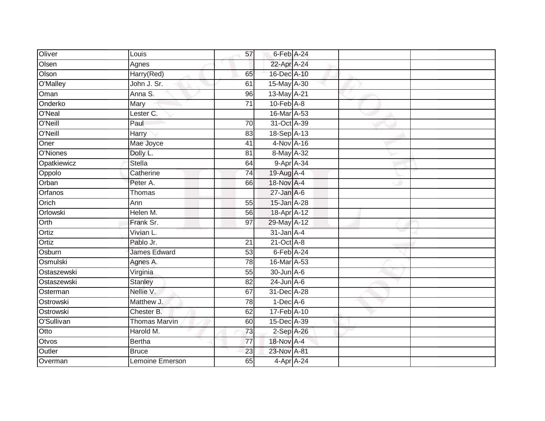| Oliver      | Louis                | 57              | 6-Feb A-24       |  |  |
|-------------|----------------------|-----------------|------------------|--|--|
| Olsen       | Agnes                |                 | 22-Apr A-24      |  |  |
| Olson       | Harry(Red)           | 65              | 16-Dec A-10      |  |  |
| O'Malley    | John J. Sr.          | 61              | 15-May A-30      |  |  |
| Oman        | Anna S.              | 96              | 13-May A-21      |  |  |
| Onderko     | Mary                 | $\overline{71}$ | $10$ -Feb $A$ -8 |  |  |
| O'Neal      | Lester C.            |                 | 16-Mar A-53      |  |  |
| O'Neill     | Paul                 | 70              | 31-Oct A-39      |  |  |
| O'Neill     | Harry                | 83              | 18-Sep A-13      |  |  |
| Oner        | Mae Joyce            | 41              | 4-Nov A-16       |  |  |
| O'Niones    | Dolly L.             | 81              | 8-May A-32       |  |  |
| Opatkiewicz | <b>Stella</b>        | 64              | 9-Apr A-34       |  |  |
| Oppolo      | Catherine            | 74              | 19-Aug A-4       |  |  |
| Orban       | Peter A.             | 66              | 18-Nov A-4       |  |  |
| Orfanos     | Thomas               |                 | $27$ -Jan A-6    |  |  |
| Orich       | Ann                  | 55              | 15-Jan A-28      |  |  |
| Orlowski    | Helen M.             | 56              | 18-Apr A-12      |  |  |
| Orth        | Frank Sr.            | 97              | 29-May A-12      |  |  |
| Ortiz       | Vivian L.            |                 | $31$ -Jan $A-4$  |  |  |
| Ortiz       | Pablo Jr.            | $\overline{21}$ | $21$ -Oct $A-8$  |  |  |
| Osburn      | James Edward         | 53              | 6-Feb A-24       |  |  |
| Osmulski    | Agnes A.             | 78              | 16-Mar A-53      |  |  |
| Ostaszewski | Virginia             | 55              | 30-Jun A-6       |  |  |
| Ostaszewski | <b>Stanley</b>       | 82              | $24$ -Jun $A-6$  |  |  |
| Osterman    | Nellie V.            | 67              | 31-Dec A-28      |  |  |
| Ostrowski   | Matthew J.           | $\overline{78}$ | $1-Dec$ A-6      |  |  |
| Ostrowski   | Chester B.           | 62              | 17-Feb A-10      |  |  |
| O'Sullivan  | <b>Thomas Marvin</b> | 60              | 15-Dec A-39      |  |  |
| Otto        | Harold M.            | 73              | $2$ -Sep $A-26$  |  |  |
| Otvos       | <b>Bertha</b>        | 77              | 18-Nov A-4       |  |  |
| Outler      | <b>Bruce</b>         | 23              | 23-Nov A-81      |  |  |
| Overman     | Lemoine Emerson      | 65              | 4-Apr A-24       |  |  |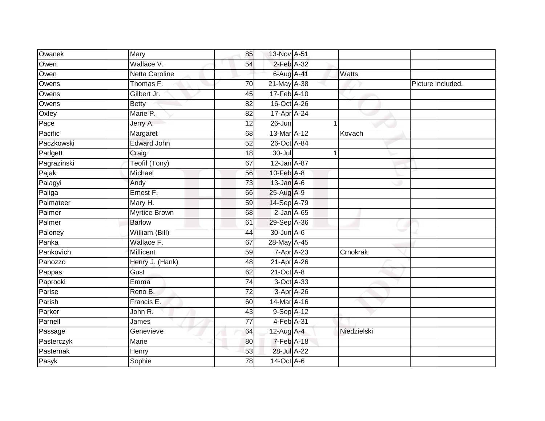| Owanek      | Mary                  | 85              | 13-Nov A-51      |   |             |                   |
|-------------|-----------------------|-----------------|------------------|---|-------------|-------------------|
| Owen        | Wallace V.            | 54              | $2$ -Feb $A-32$  |   |             |                   |
| Owen        | <b>Netta Caroline</b> |                 | 6-Aug A-41       |   | Watts       |                   |
| Owens       | Thomas F.             | 70              | $21$ -May A-38   |   |             | Picture included. |
| Owens       | Gilbert Jr.           | $\overline{45}$ | 17-Feb A-10      |   |             |                   |
| Owens       | <b>Betty</b>          | 82              | 16-Oct A-26      |   |             |                   |
| Oxley       | Marie P.              | 82              | 17-Apr A-24      |   |             |                   |
| Pace        | Jerry A.              | 12              | 26-Jun           | 1 |             |                   |
| Pacific     | Margaret              | 68              | 13-Mar A-12      |   | Kovach      |                   |
| Paczkowski  | <b>Edward John</b>    | 52              | 26-Oct A-84      |   |             |                   |
| Padgett     | Craig                 | 18              | 30-Jul           | 1 |             |                   |
| Pagrazinski | Teofil (Tony)         | 67              | 12-Jan A-87      |   |             |                   |
| Pajak       | Michael               | 56              | $10$ -Feb $A-8$  |   |             |                   |
| Palagyi     | Andy                  | $\overline{73}$ | $13$ -Jan $A-6$  |   |             |                   |
| Paliga      | Ernest F.             | 66              | 25-Aug A-9       |   |             |                   |
| Palmateer   | Mary H.               | 59              | 14-Sep A-79      |   |             |                   |
| Palmer      | <b>Myrtice Brown</b>  | 68              | $2$ -Jan $A$ -65 |   |             |                   |
| Palmer      | <b>Barlow</b>         | 61              | 29-Sep A-36      |   |             |                   |
| Paloney     | William (Bill)        | 44              | $30$ -Jun $A$ -6 |   |             |                   |
| Panka       | Wallace F.            | 67              | 28-May A-45      |   |             |                   |
| Pankovich   | Millicent             | 59              | $7$ -Apr $A$ -23 |   | Crnokrak    |                   |
| Panozzo     | Henry J. (Hank)       | 48              | 21-Apr A-26      |   |             |                   |
| Pappas      | Gust                  | 62              | 21-Oct A-8       |   |             |                   |
| Paprocki    | Emma                  | 74              | 3-Oct A-33       |   |             |                   |
| Parise      | Reno B.               | 72              | $3-Apr$ A-26     |   |             |                   |
| Parish      | Francis E.            | 60              | 14-Mar A-16      |   |             |                   |
| Parker      | John R.               | 43              | 9-Sep A-12       |   |             |                   |
| Parnell     | James                 | $\overline{77}$ | 4-Feb A-31       |   |             |                   |
| Passage     | Genevieve             | 64              | 12-Aug A-4       |   | Niedzielski |                   |
| Pasterczyk  | Marie                 | 80              | 7-Feb A-18       |   |             |                   |
| Pasternak   | Henry                 | $\overline{53}$ | 28-Jul A-22      |   |             |                   |
| Pasyk       | Sophie                | $\overline{78}$ | 14-Oct A-6       |   |             |                   |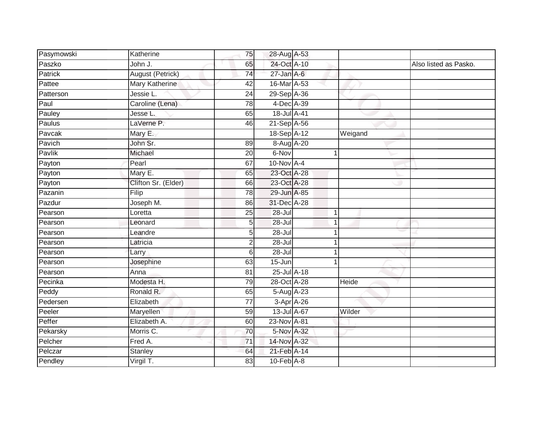| Pasymowski     | Katherine               | 75              | 28-Aug A-53      |                |         |                       |
|----------------|-------------------------|-----------------|------------------|----------------|---------|-----------------------|
| Paszko         | John J.                 | 65              | 24-Oct A-10      |                |         | Also listed as Pasko. |
| <b>Patrick</b> | <b>August (Petrick)</b> | 74              | $27$ -Jan $A-6$  |                |         |                       |
| Pattee         | Mary Katherine          | 42              | 16-Mar A-53      |                |         |                       |
| Patterson      | Jessie L.               | $\overline{24}$ | 29-Sep A-36      |                |         |                       |
| Paul           | Caroline (Lena)         | 78              | 4-Dec A-39       |                |         |                       |
| Pauley         | Jesse L.                | 65              | 18-Jul A-41      |                |         |                       |
| Paulus         | LaVerne P.              | 46              | 21-Sep A-56      |                |         |                       |
| Pavcak         | Mary E.                 |                 | 18-Sep A-12      |                | Weigand |                       |
| Pavich         | John Sr.                | 89              | 8-Aug A-20       |                |         |                       |
| Pavlik         | Michael                 | 20              | 6-Nov            |                |         |                       |
| Payton         | Pearl                   | 67              | $10$ -Nov $A-4$  |                |         |                       |
| Payton         | Mary E.                 | 65              | 23-Oct A-28      |                |         |                       |
| Payton         | Clifton Sr. (Elder)     | 66              | 23-Oct A-28      |                |         |                       |
| Pazanin        | Filip                   | 78              | 29-Jun A-85      |                |         |                       |
| Pazdur         | Joseph M.               | 86              | 31-Dec A-28      |                |         |                       |
| Pearson        | Loretta                 | 25              | $28 -$ Jul       |                | 1       |                       |
| Pearson        | Leonard                 | 5               | $28 -$ Jul       |                |         |                       |
| Pearson        | Leandre                 | $\overline{5}$  | $28 -$ Jul       |                |         |                       |
| Pearson        | Latricia                | $\overline{2}$  | $28 -$ Jul       |                |         |                       |
| Pearson        | Larry                   | $6\,$           | $28 -$ Jul       |                |         |                       |
| Pearson        | Josephine               | 63              | $15 - Jun$       |                |         |                       |
| Pearson        | Anna                    | 81              | 25-Jul A-18      |                |         |                       |
| Pecinka        | Modesta H.              | 79              | 28-Oct A-28      |                | Heide   |                       |
| Peddy          | Ronald R.               | 65              | 5-Aug A-23       |                |         |                       |
| Pedersen       | Elizabeth               | $\overline{77}$ |                  | $3-Apr$ $A-26$ |         |                       |
| Peeler         | Maryellen               | 59              | 13-Jul A-67      |                | Wilder  |                       |
| Peffer         | Elizabeth A.            | 60              | 23-Nov A-81      |                |         |                       |
| Pekarsky       | Morris C.               | 70              | 5-Nov A-32       |                |         |                       |
| Pelcher        | Fred A.                 | 71              | 14-Nov A-32      |                |         |                       |
| Pelczar        | Stanley                 | 64              | 21-Feb A-14      |                |         |                       |
| Pendley        | Virgil T.               | 83              | $10$ -Feb $A$ -8 |                |         |                       |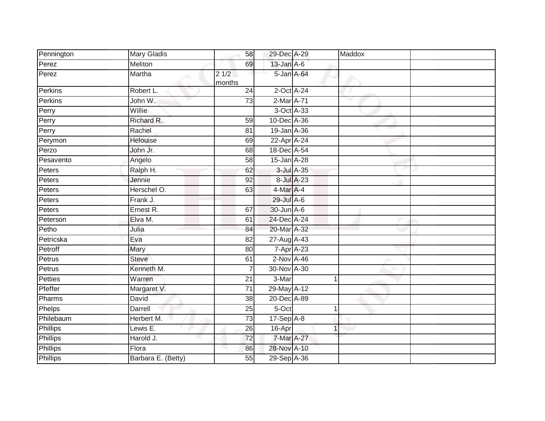| Pennington | <b>Mary Gladis</b> | 58              | 29-Dec A-29       |            | Maddox |  |
|------------|--------------------|-----------------|-------------------|------------|--------|--|
| Perez      | Meliton            | 69              | $13$ -Jan $A-6$   |            |        |  |
| Perez      | Martha             | 21/2<br>months  | 5-Jan A-64        |            |        |  |
| Perkins    | Robert L.          | $\overline{24}$ | $2$ -Oct $A-24$   |            |        |  |
| Perkins    | John W.            | 73              | 2-Mar A-71        |            |        |  |
| Perry      | <b>Willie</b>      |                 | 3-Oct A-33        |            |        |  |
| Perry      | Richard R.         | 59              | 10-Dec A-36       |            |        |  |
| Perry      | Rachel             | $\overline{81}$ | 19-Jan A-36       |            |        |  |
| Perymon    | <b>Helouise</b>    | 69              | 22-Apr A-24       |            |        |  |
| Perzo      | John Jr.           | 68              | 18-Dec A-54       |            |        |  |
| Pesavento  | Angelo             | 58              | $15$ -Jan $A$ -28 |            |        |  |
| Peters     | Ralph H.           | 62              |                   | 3-Jul A-35 |        |  |
| Peters     | Jennie             | 92              |                   | 8-Jul A-23 |        |  |
| Peters     | Herschel O.        | 63              | 4-Mar A-4         |            |        |  |
| Peters     | Frank J.           |                 | 29-Jul A-6        |            |        |  |
| Peters     | Ernest R.          | 67              | 30-Jun A-6        |            |        |  |
| Peterson   | Elva M.            | 61              | 24-Dec A-24       |            |        |  |
| Petho      | Julia              | 84              | 20-Mar A-32       |            |        |  |
| Petricska  | Eva                | 82              | 27-Aug A-43       |            |        |  |
| Petroff    | Mary               | 80              | $7 - Apr$ $A-23$  |            |        |  |
| Petrus     | Steve              | 61              | $2-Nov$ A-46      |            |        |  |
| Petrus     | Kenneth M.         |                 | 30-Nov A-30       |            |        |  |
| Petties    | Warren             | $\overline{21}$ | 3-Mar             | 1          |        |  |
| Pfeffer    | Margaret V.        | 71              | 29-May A-12       |            |        |  |
| Pharms     | <b>David</b>       | 38              | 20-Dec A-89       |            |        |  |
| Phelps     | Darrell            | 25              | 5-Oct             | 1          |        |  |
| Philebaum  | Herbert M.         | $\overline{73}$ | $17-Sep$ A-8      |            |        |  |
| Phillips   | Lewis E.           | 26              | 16-Apr            | 1          |        |  |
| Phillips   | Harold J.          | $\overline{72}$ | 7-Mar A-27        |            |        |  |
| Phillips   | Flora              | 86              | 28-Nov A-10       |            |        |  |
| Phillips   | Barbara E. (Betty) | 55              | 29-Sep A-36       |            |        |  |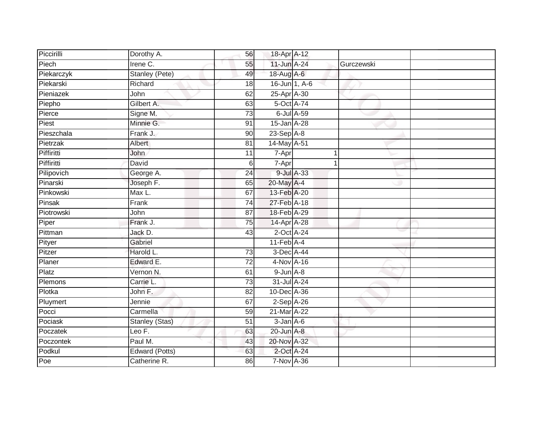| Piccirilli | Dorothy A.            | 56              | 18-Apr A-12       |            |            |  |
|------------|-----------------------|-----------------|-------------------|------------|------------|--|
| Piech      | Irene C.              | 55              | 11-Jun A-24       |            | Gurczewski |  |
| Piekarczyk | Stanley (Pete)        | 49              | 18-Aug A-6        |            |            |  |
| Piekarski  | Richard               | 18              | 16-Jun 1, A-6     |            |            |  |
| Pieniazek  | John                  | 62              | 25-Apr A-30       |            |            |  |
| Piepho     | Gilbert A.            | 63              | 5-Oct A-74        |            |            |  |
| Pierce     | Signe M.              | 73              |                   | 6-Jul A-59 |            |  |
| Piest      | Minnie G.             | 91              | 15-Jan A-28       |            |            |  |
| Pieszchala | Frank J.              | 90              | $23-SepA-8$       |            |            |  |
| Pietrzak   | Albert                | $\overline{81}$ | 14-May A-51       |            |            |  |
| Piffiritti | John                  | 11              | 7-Apr             |            |            |  |
| Piffiritti | David                 | 6               | 7-Apr             |            |            |  |
| Pilipovich | George A.             | 24              |                   | 9-Jul A-33 |            |  |
| Pinarski   | Joseph F.             | 65              | 20-May A-4        |            |            |  |
| Pinkowski  | Max L.                | 67              | 13-Feb A-20       |            |            |  |
| Pinsak     | Frank                 | $\overline{74}$ | 27-Feb A-18       |            |            |  |
| Piotrowski | John                  | $\overline{87}$ | 18-Feb A-29       |            |            |  |
| Piper      | Frank J.              | 75              | 14-Apr A-28       |            |            |  |
| Pittman    | Jack D.               | 43              | 2-Oct A-24        |            |            |  |
| Pityer     | Gabriel               |                 | $11$ -Feb $A$ -4  |            |            |  |
| Pitzer     | Harold L.             | 73              | 3-Dec A-44        |            |            |  |
| Planer     | Edward E.             | $\overline{72}$ | 4-Nov A-16        |            |            |  |
| Platz      | Vernon N.             | 61              | $9 - Jun A - 8$   |            |            |  |
| Plemons    | Carrie L.             | 73              | 31-Jul A-24       |            |            |  |
| Plotka     | John F.               | 82              | 10-Dec A-36       |            |            |  |
| Pluymert   | Jennie                | 67              | $2-Sep$ A-26      |            |            |  |
| Pocci      | Carmella              | 59              | 21-Mar A-22       |            |            |  |
| Pociask    | <b>Stanley (Stas)</b> | 51              | $3 - Jan$ $A - 6$ |            |            |  |
| Poczatek   | Leo $F.$              | 63              | 20-Jun A-8        |            |            |  |
| Poczontek  | Paul M.               | 43              | 20-Nov A-32       |            |            |  |
| Podkul     | Edward (Potts)        | 63              | 2-Oct A-24        |            |            |  |
| Poe        | Catherine R.          | 86              | 7-Nov A-36        |            |            |  |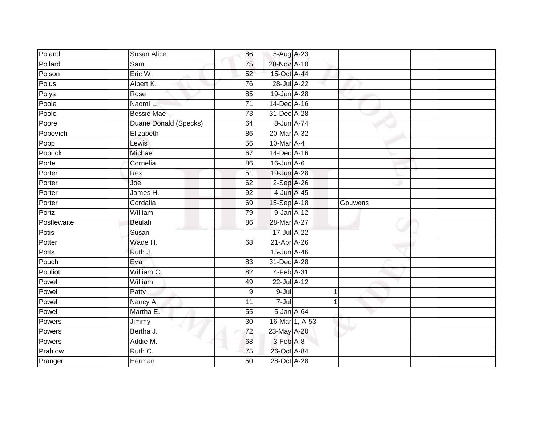| Poland      | Susan Alice           | 86              | 5-Aug A-23                   |                |         |  |
|-------------|-----------------------|-----------------|------------------------------|----------------|---------|--|
| Pollard     | Sam                   | 75              | 28-Nov A-10                  |                |         |  |
| Polson      | Eric W.               | 52              | 15-Oct A-44                  |                |         |  |
| Polus       | Albert K.             | 76              | 28-Jul A-22                  |                |         |  |
| Polys       | Rose                  | 85              | 19-Jun A-28                  |                |         |  |
| Poole       | Naomi L.              | $\overline{71}$ | 14-Dec A-16                  |                |         |  |
| Poole       | <b>Bessie Mae</b>     | $\overline{73}$ | 31-Dec A-28                  |                |         |  |
| Poore       | Duane Donald (Specks) | 64              | 8-Jun A-74                   |                |         |  |
| Popovich    | Elizabeth             | 86              | 20-Mar A-32                  |                |         |  |
| Popp        | Lewis                 | 56              | 10-Mar A-4                   |                |         |  |
| Poprick     | Michael               | 67              | $14$ -Dec $\overline{A}$ -16 |                |         |  |
| Porte       | Cornelia              | 86              | $16$ -Jun $A-6$              |                |         |  |
| Porter      | Rex                   | 51              | 19-Jun A-28                  |                |         |  |
| Porter      | Joe                   | 62              | $2-Sep$ A-26                 |                |         |  |
| Porter      | James H.              | 92              | 4-Jun A-45                   |                |         |  |
| Porter      | Cordalia              | 69              | 15-Sep A-18                  |                | Gouwens |  |
| Portz       | William               | 79              | $9$ -Jan $A$ -12             |                |         |  |
| Postlewaite | <b>Beulah</b>         | 86              | 28-Mar A-27                  |                |         |  |
| Potis       | Susan                 |                 | 17-Jul A-22                  |                |         |  |
| Potter      | Wade H.               | 68              | 21-Apr A-26                  |                |         |  |
| Potts       | Ruth J.               |                 | 15-Jun A-46                  |                |         |  |
| Pouch       | Eva                   | 83              | 31-Dec A-28                  |                |         |  |
| Pouliot     | William O.            | 82              | 4-Feb A-31                   |                |         |  |
| Powell      | William               | 49              | 22-Jul A-12                  |                |         |  |
| Powell      | Patty                 | $9\,$           | 9-Jul                        |                |         |  |
| Powell      | Nancy A.              | 11              | $7 -$ Jul                    |                |         |  |
| Powell      | Martha E.             | 55              | $5 - Jan A - 64$             |                |         |  |
| Powers      | Jimmy                 | 30              |                              | 16-Mar 1, A-53 |         |  |
| Powers      | Bertha J.             | 72              | 23-May A-20                  |                |         |  |
| Powers      | Addie M.              | 68              | 3-Feb A-8                    |                |         |  |
| Prahlow     | Ruth C.               | 75              | 26-Oct A-84                  |                |         |  |
| Pranger     | Herman                | 50              | 28-Oct A-28                  |                |         |  |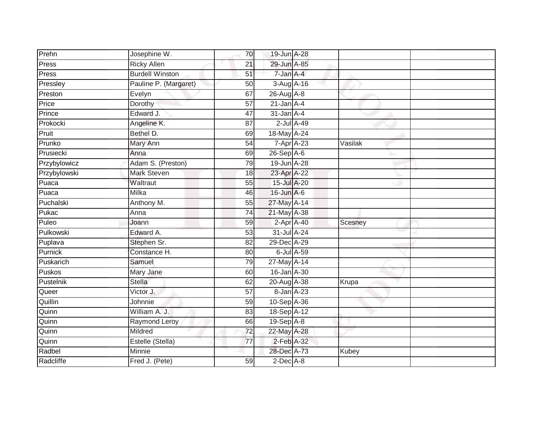| Prehn        | Josephine W.           | 70              | 19-Jun A-28      |                  |         |  |
|--------------|------------------------|-----------------|------------------|------------------|---------|--|
| Press        | <b>Ricky Allen</b>     | 21              | 29-Jun A-85      |                  |         |  |
| Press        | <b>Burdell Winston</b> | $\overline{51}$ | 7-Jan A-4        |                  |         |  |
| Pressley     | Pauline P. (Margaret)  | 50              | 3-Aug A-16       |                  |         |  |
| Preston      | Evelyn                 | 67              | 26-Aug A-8       |                  |         |  |
| Price        | Dorothy                | 57              | $21$ -Jan $A-4$  |                  |         |  |
| Prince       | Edward J.              | 47              | $31$ -Jan A-4    |                  |         |  |
| Prokocki     | Angeline K.            | 87              |                  | $2$ -Jul $A$ -49 |         |  |
| Pruit        | Bethel D.              | 69              | 18-May A-24      |                  |         |  |
| Prunko       | Mary Ann               | $\overline{54}$ | $7 - Apr$ $A-23$ |                  | Vasilak |  |
| Prusiecki    | Anna                   | 69              | $26-Sep$ A-6     |                  |         |  |
| Przybylowicz | Adam S. (Preston)      | 79              | 19-Jun A-28      |                  |         |  |
| Przybylowski | <b>Mark Steven</b>     | 18              | 23-Apr A-22      |                  |         |  |
| Puaca        | Waltraut               | 55              | 15-Jul A-20      |                  |         |  |
| Puaca        | Milka                  | 46              | 16-Jun A-6       |                  |         |  |
| Puchalski    | Anthony M.             | $\overline{55}$ | 27-May A-14      |                  |         |  |
| Pukac        | Anna                   | $\overline{74}$ | 21-May A-38      |                  |         |  |
| Puleo        | Joann                  | 59              | $2$ -Apr $A$ -40 |                  | Scesney |  |
| Pulkowski    | Edward A.              | 53              | 31-Jul A-24      |                  |         |  |
| Puplava      | Stephen Sr.            | 82              | 29-Dec A-29      |                  |         |  |
| Purnick      | Constance H.           | 80              |                  | 6-Jul A-59       |         |  |
| Puskarich    | Samuel                 | 79              | 27-May A-14      |                  |         |  |
| Puskos       | Mary Jane              | 60              | 16-Jan A-30      |                  |         |  |
| Pustelnik    | Stella                 | 62              | 20-Aug A-38      |                  | Krupa   |  |
| Queer        | Victor J.              | 57              | 8-Jan A-23       |                  |         |  |
| Quillin      | Johnnie                | 59              | 10-Sep A-36      |                  |         |  |
| Quinn        | William A. J.          | 83              | 18-Sep A-12      |                  |         |  |
| Quinn        | <b>Raymond Leroy</b>   | 66              | $19-Sep$ A-8     |                  |         |  |
| Quinn        | Mildred                | $\overline{72}$ | 22-May A-28      |                  |         |  |
| Quinn        | Estelle (Stella)       | 77              | 2-Feb A-32       |                  |         |  |
| Radbel       | Minnie                 |                 | 28-Dec A-73      |                  | Kubey   |  |
| Radcliffe    | Fred J. (Pete)         | 59              | $2$ -Dec $A$ -8  |                  |         |  |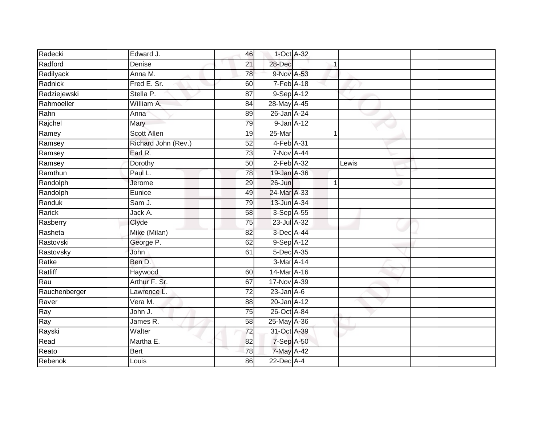| Radecki       | Edward J.           | 46              |                   | 1-Oct A-32 |       |  |
|---------------|---------------------|-----------------|-------------------|------------|-------|--|
| Radford       | Denise              | 21              | 28-Dec            |            |       |  |
| Radilyack     | Anna M.             | 78              | 9-Nov A-53        |            |       |  |
| Radnick       | Fred E. Sr.         | 60              | $7-Feb$ A-18      |            |       |  |
| Radziejewski  | Stella P.           | $\overline{87}$ | 9-Sep A-12        |            |       |  |
| Rahmoeller    | William A.          | 84              | 28-May A-45       |            |       |  |
| Rahn          | Anna                | 89              | 26-Jan A-24       |            |       |  |
| Rajchel       | Mary                | 79              | $9$ -Jan $A-12$   |            |       |  |
| Ramey         | <b>Scott Allen</b>  | 19              | 25-Mar            |            |       |  |
| Ramsey        | Richard John (Rev.) | 52              | 4-Feb A-31        |            |       |  |
| Ramsey        | Earl R.             | 73              | <b>7-Nov A-44</b> |            |       |  |
| Ramsey        | Dorothy             | 50              | $2$ -Feb $A-32$   |            | Lewis |  |
| Ramthun       | Paul L.             | 78              | 19-Jan A-36       |            |       |  |
| Randolph      | Jerome              | 29              | $26$ -Jun         | 1          |       |  |
| Randolph      | Eunice              | 49              | 24-Mar A-33       |            |       |  |
| Randuk        | Sam J.              | 79              | 13-Jun A-34       |            |       |  |
| Rarick        | Jack A.             | 58              | 3-Sep A-55        |            |       |  |
| Rasberry      | Clyde               | 75              | 23-Jul A-32       |            |       |  |
| Rasheta       | Mike (Milan)        | 82              | 3-Dec A-44        |            |       |  |
| Rastovski     | George P.           | 62              | 9-Sep A-12        |            |       |  |
| Rastovsky     | <b>John</b>         | 61              | 5-Dec A-35        |            |       |  |
| Ratke         | Ben D.              |                 | 3-Mar A-14        |            |       |  |
| Ratliff       | Haywood             | 60              | 14-Mar A-16       |            |       |  |
| Rau           | Arthur F. Sr.       | 67              | 17-Nov A-39       |            |       |  |
| Rauchenberger | Lawrence L.         | 72              | $23$ -Jan $A$ -6  |            |       |  |
| Raver         | Vera M.             | 88              | 20-Jan A-12       |            |       |  |
| Ray           | John J.             | 75              | 26-Oct A-84       |            |       |  |
| Ray           | James R.            | 58              | 25-May A-36       |            |       |  |
| Rayski        | Walter              | $\overline{72}$ | 31-Oct A-39       |            |       |  |
| Read          | Martha E.           | 82              | 7-Sep A-50        |            |       |  |
| Reato         | Bert                | 78              | 7-May A-42        |            |       |  |
| Rebenok       | Louis               | 86              | 22-Dec A-4        |            |       |  |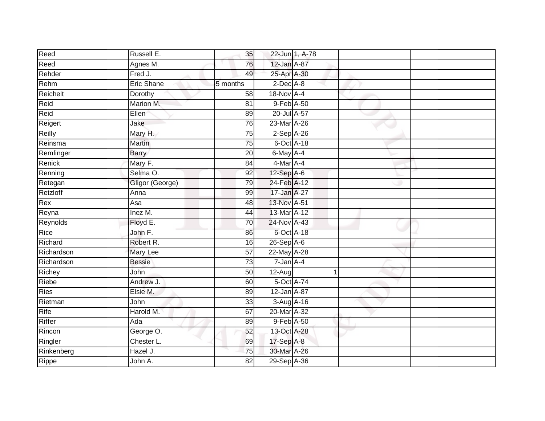| Reed        | Russell E.         | 35              |                  | 22-Jun 1, A-78 |  |
|-------------|--------------------|-----------------|------------------|----------------|--|
| Reed        | Agnes M.           | 76              | 12-Jan A-87      |                |  |
| Rehder      | Fred J.            | 49              | 25-Apr A-30      |                |  |
| Rehm        | Eric Shane         | 5 months        | $2$ -Dec $A-8$   |                |  |
| Reichelt    | Dorothy            | $\overline{58}$ | 18-Nov A-4       |                |  |
| Reid        | Marion M.          | 81              | 9-Feb A-50       |                |  |
| Reid        | Ellen <sup>®</sup> | 89              | 20-Jul A-57      |                |  |
| Reigert     | Jake               | 76              | 23-Mar A-26      |                |  |
| Reilly      | Mary H.            | 75              | $2-Sep$ A-26     |                |  |
| Reinsma     | <b>Martin</b>      | $\overline{75}$ | 6-Oct A-18       |                |  |
| Remlinger   | Barry              | 20              | 6-May A-4        |                |  |
| Renick      | Mary F.            | 84              | 4-Mar A-4        |                |  |
| Renning     | Selma O.           | 92              | $12$ -Sep $A$ -6 |                |  |
| Retegan     | Gligor (George)    | 79              | 24-Feb A-12      |                |  |
| Retzloff    | Anna               | 99              | 17-Jan A-27      |                |  |
| Rex         | Asa                | 48              | 13-Nov A-51      |                |  |
| Reyna       | $l$ nez M.         | $\overline{44}$ | 13-Mar A-12      |                |  |
| Reynolds    | Floyd E.           | 70              | 24-Nov A-43      |                |  |
| Rice        | John F.            | 86              | 6-Oct A-18       |                |  |
| Richard     | Robert R.          | 16              | $26-Sep$ A-6     |                |  |
| Richardson  | Mary Lee           | 57              | 22-May A-28      |                |  |
| Richardson  | <b>Bessie</b>      | $\overline{73}$ | $7 - Jan A - 4$  |                |  |
| Richey      | John               | 50              | 12-Aug           | 1              |  |
| Riebe       | Andrew J.          | 60              | 5-Oct A-74       |                |  |
| <b>Ries</b> | Elsie M.           | 89              | 12-Jan A-87      |                |  |
| Rietman     | John               | 33              | 3-Aug A-16       |                |  |
| Rife        | Harold M.          | 67              | 20-Mar A-32      |                |  |
| Riffer      | Ada                | 89              | 9-Feb A-50       |                |  |
| Rincon      | George O.          | 52              | 13-Oct A-28      |                |  |
| Ringler     | Chester L.         | 69              | 17-Sep A-8       |                |  |
| Rinkenberg  | Hazel J.           | 75              | 30-Mar A-26      |                |  |
| Rippe       | John A.            | $\overline{82}$ | 29-Sep A-36      |                |  |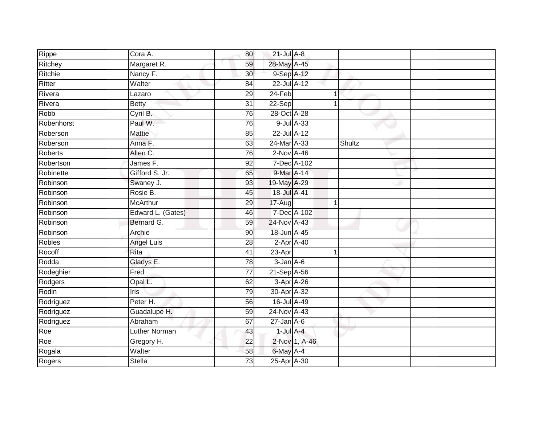| Rippe         | $\overline{C}$ ora A. | 80              | $21$ -Jul A-8    |               |        |  |
|---------------|-----------------------|-----------------|------------------|---------------|--------|--|
| Ritchey       | Margaret R.           | 59              | 28-May A-45      |               |        |  |
| Ritchie       | Nancy F.              | $\overline{30}$ | 9-Sep A-12       |               |        |  |
| Ritter        | Walter                | 84              | 22-Jul A-12      |               |        |  |
| Rivera        | Lazaro                | 29              | $24-Feb$         |               | 4      |  |
| Rivera        | <b>Betty</b>          | $\overline{31}$ | $22-Sep$         |               |        |  |
| Robb          | Cyril B.              | 76              | 28-Oct A-28      |               |        |  |
| Robenhorst    | Paul W.               | 76              |                  | 9-Jul A-33    |        |  |
| Roberson      | Mattie                | 85              | 22-Jul A-12      |               |        |  |
| Roberson      | Anna F.               | 63              | 24-Mar A-33      |               | Shultz |  |
| Roberts       | Allen C.              | 76              | $2$ -Nov $A-46$  |               |        |  |
| Robertson     | James F.              | $\overline{92}$ |                  | 7-Dec A-102   |        |  |
| Robinette     | Gifford S. Jr.        | 65              | 9-Mar A-14       |               |        |  |
| Robinson      | Swaney J.             | 93              | 19-May A-29      |               |        |  |
| Robinson      | Rosie B.              | 45              | 18-Jul A-41      |               |        |  |
| Robinson      | <b>McArthur</b>       | 29              | 17-Aug           |               | 1      |  |
| Robinson      | Edward L. (Gates)     | 46              |                  | 7-Dec A-102   |        |  |
| Robinson      | Bernard G.            | 59              | 24-Nov A-43      |               |        |  |
| Robinson      | Archie                | 90              | 18-Jun A-45      |               |        |  |
| <b>Robles</b> | <b>Angel Luis</b>     | 28              | $2$ -Apr $A$ -40 |               |        |  |
| Rocoff        | Rita                  | 41              | 23-Apr           |               |        |  |
| Rodda         | Gladys E.             | 78              | $3 - Jan A - 6$  |               |        |  |
| Rodeghier     | Fred                  | 77              | 21-Sep A-56      |               |        |  |
| Rodgers       | Opal L.               | 62              |                  | $3-AprA-26$   |        |  |
| Rodin         | Iris                  | 79              | 30-Apr A-32      |               |        |  |
| Rodriguez     | Peter H.              | 56              | 16-Jul A-49      |               |        |  |
| Rodriguez     | Guadalupe H.          | 59              | 24-Nov A-43      |               |        |  |
| Rodriguez     | Abraham               | 67              | $27$ -Jan $A-6$  |               |        |  |
| Roe           | <b>Luther Norman</b>  | 43              | $1$ -Jul $A$ -4  |               |        |  |
| Roe           | Gregory H.            | 22              |                  | 2-Nov 1, A-46 |        |  |
| Rogala        | Walter                | 58              | 6-May A-4        |               |        |  |
| Rogers        | <b>Stella</b>         | 73              | 25-Apr A-30      |               |        |  |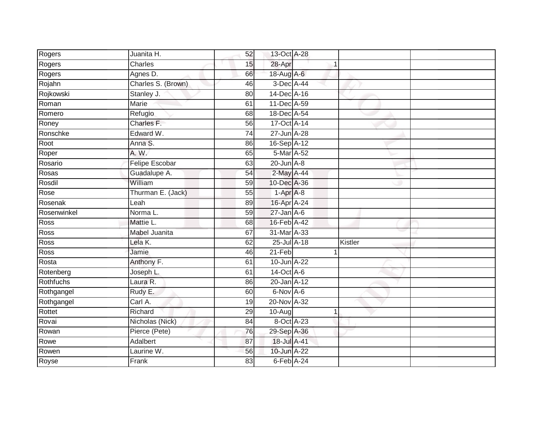| Rogers      | Juanita H.         | 52              | 13-Oct A-28     |              |         |  |
|-------------|--------------------|-----------------|-----------------|--------------|---------|--|
| Rogers      | Charles            | 15              | 28-Apr          |              |         |  |
| Rogers      | Agnes D.           | 66              | 18-Aug A-6      |              |         |  |
| Rojahn      | Charles S. (Brown) | 46              | 3-Dec A-44      |              |         |  |
| Rojkowski   | Stanley J.         | $\overline{80}$ | 14-Dec A-16     |              |         |  |
| Roman       | Marie              | 61              | 11-Dec A-59     |              |         |  |
| Romero      | Refugio            | 68              | 18-Dec A-54     |              |         |  |
| Roney       | Charles F.         | 56              | 17-Oct A-14     |              |         |  |
| Ronschke    | Edward W.          | 74              | 27-Jun A-28     |              |         |  |
| Root        | Anna S.            | 86              | 16-Sep A-12     |              |         |  |
| Roper       | A. W.              | 65              | 5-Mar A-52      |              |         |  |
| Rosario     | Felipe Escobar     | 63              | $20$ -Jun $A-8$ |              |         |  |
| Rosas       | Guadalupe A.       | 54              | 2-May A-44      |              |         |  |
| Rosdil      | William            | 59              | 10-Dec A-36     |              |         |  |
| Rose        | Thurman E. (Jack)  | 55              | 1-Apr A-8       |              |         |  |
| Rosenak     | Leah               | 89              | 16-Apr A-24     |              |         |  |
| Rosenwinkel | Norma L.           | 59              | $27$ -Jan $A-6$ |              |         |  |
| Ross        | Mattie L.          | 68              | 16-Feb A-42     |              |         |  |
| Ross        | Mabel Juanita      | 67              | 31-Mar A-33     |              |         |  |
| <b>Ross</b> | Lela K.            | 62              | 25-Jul A-18     |              | Kistler |  |
| Ross        | Jamie              | 46              | $21-Feb$        | $\mathbf 1$  |         |  |
| Rosta       | Anthony F.         | 61              | 10-Jun A-22     |              |         |  |
| Rotenberg   | Joseph L.          | 61              | $14-Oct$ $A-6$  |              |         |  |
| Rothfuchs   | Laura R.           | 86              | 20-Jan A-12     |              |         |  |
| Rothgangel  | Rudy E.            | 60              | 6-Nov A-6       |              |         |  |
| Rothgangel  | Carl A.            | 19              | 20-Nov A-32     |              |         |  |
| Rottet      | Richard            | 29              | 10-Aug          | $\mathbf{1}$ |         |  |
| Rovai       | Nicholas (Nick)    | 84              | 8-Oct A-23      |              |         |  |
| Rowan       | Pierce (Pete)      | 76              | 29-Sep A-36     |              |         |  |
| Rowe        | Adalbert           | 87              | 18-Jul A-41     |              |         |  |
| Rowen       | Laurine W.         | 56              | 10-Jun A-22     |              |         |  |
| Royse       | Frank              | $\overline{83}$ | 6-Feb A-24      |              |         |  |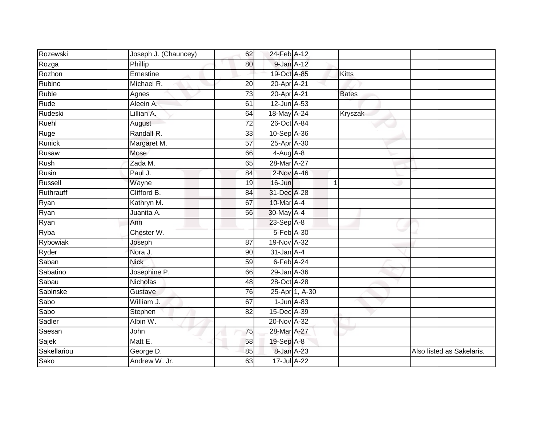| Rozewski     | Joseph J. (Chauncey) | 62              | 24-Feb A-12      |                |                |                           |
|--------------|----------------------|-----------------|------------------|----------------|----------------|---------------------------|
| Rozga        | Phillip              | 80              | 9-Jan A-12       |                |                |                           |
| Rozhon       | Ernestine            |                 | 19-Oct A-85      |                | <b>Kitts</b>   |                           |
| Rubino       | Michael R.           | 20              | 20-Apr A-21      |                |                |                           |
| <b>Ruble</b> | Agnes                | $\overline{73}$ | 20-Apr A-21      |                | <b>Bates</b>   |                           |
| Rude         | Aleein A.            | 61              | 12-Jun A-53      |                |                |                           |
| Rudeski      | Lillian A.           | 64              | 18-May A-24      |                | <b>Kryszak</b> |                           |
| Ruehl        | August               | 72              | 26-Oct A-84      |                |                |                           |
| Ruge         | Randall R.           | 33              | 10-Sep A-36      |                |                |                           |
| Runick       | Margaret M.          | 57              | 25-Apr A-30      |                |                |                           |
| Rusaw        | Mose                 | 66              | $4$ -Aug $A$ -8  |                |                |                           |
| Rush         | Zada M.              | 65              | 28-Mar A-27      |                |                |                           |
| Rusin        | Paul J.              | 84              | 2-Nov A-46       |                |                |                           |
| Russell      | Wayne                | 19              | 16-Jun           |                | 1              |                           |
| Ruthrauff    | Clifford B.          | $\overline{84}$ | 31-Dec A-28      |                |                |                           |
| Ryan         | Kathryn M.           | 67              | 10-Mar A-4       |                |                |                           |
| Ryan         | Juanita A.           | 56              | 30-May A-4       |                |                |                           |
| Ryan         | Ann                  |                 | 23-Sep A-8       |                |                |                           |
| Ryba         | Chester W.           |                 | 5-Feb A-30       |                |                |                           |
| Rybowiak     | Joseph               | 87              | 19-Nov A-32      |                |                |                           |
| Ryder        | Nora J.              | 90              | $31$ -Jan $A-4$  |                |                |                           |
| Saban        | <b>Nick</b>          | 59              | 6-Feb A-24       |                |                |                           |
| Sabatino     | Josephine P.         | 66              | 29-Jan A-36      |                |                |                           |
| Sabau        | <b>Nicholas</b>      | 48              | 28-Oct A-28      |                |                |                           |
| Sabinske     | Gustave              | 76              |                  | 25-Apr 1, A-30 |                |                           |
| Sabo         | William J.           | 67              | $1$ -Jun $A$ -83 |                |                |                           |
| Sabo         | Stephen              | 82              | 15-Dec A-39      |                |                |                           |
| Sadler       | Albin W.             |                 | 20-Nov A-32      |                |                |                           |
| Saesan       | John                 | 75              | 28-Mar A-27      |                |                |                           |
| Sajek        | Matt E.              | 58              | 19-Sep A-8       |                |                |                           |
| Sakellariou  | George D.            | 85              | 8-Jan A-23       |                |                | Also listed as Sakelaris. |
| Sako         | Andrew W. Jr.        | 63              | 17-Jul A-22      |                |                |                           |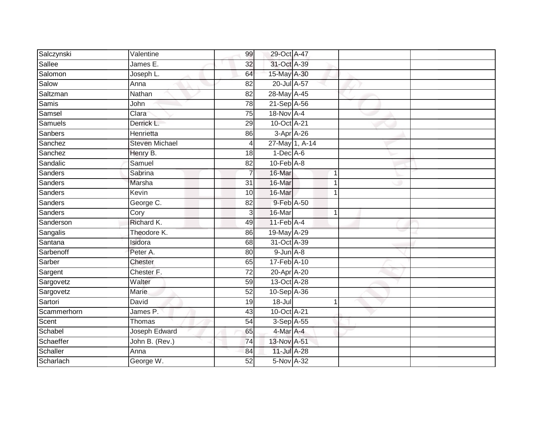| Salczynski     | Valentine             | 99              | 29-Oct A-47      |             |  |
|----------------|-----------------------|-----------------|------------------|-------------|--|
| Sallee         | James E.              | 32              | 31-Oct A-39      |             |  |
| Salomon        | Joseph L.             | 64              | 15-May A-30      |             |  |
| Salow          | Anna                  | 82              | 20-Jul A-57      |             |  |
| Saltzman       | Nathan                | $\overline{82}$ | 28-May A-45      |             |  |
| Samis          | John                  | 78              | 21-Sep A-56      |             |  |
| Samsel         | Clara                 | $\overline{75}$ | 18-Nov A-4       |             |  |
| Samuels        | Derrick L.            | 29              | 10-Oct A-21      |             |  |
| Sanbers        | Henrietta             | 86              | 3-Apr A-26       |             |  |
| Sanchez        | <b>Steven Michael</b> | 4               | 27-May 1, A-14   |             |  |
| Sanchez        | Henry B.              | 18              | $1-Dec$ $A-6$    |             |  |
| Sandalic       | Samuel                | 82              | $10$ -Feb $A-8$  |             |  |
| Sanders        | Sabrina               | 7               | 16-Mar           | 1           |  |
| <b>Sanders</b> | Marsha                | 31              | 16-Mar           | 1           |  |
| Sanders        | Kevin                 | 10              | 16-Mar           | 1           |  |
| Sanders        | George C.             | 82              | 9-Feb A-50       |             |  |
| Sanders        | Cory                  | 3               | 16-Mar           | $\mathbf 1$ |  |
| Sanderson      | Richard K.            | 49              | $11$ -Feb $A$ -4 |             |  |
| Sangalis       | Theodore K.           | 86              | 19-May A-29      |             |  |
| Santana        | Isidora               | 68              | 31-Oct A-39      |             |  |
| Sarbenoff      | Peter A.              | 80              | $9 - Jun A - 8$  |             |  |
| Sarber         | Chester               | 65              | 17-Feb A-10      |             |  |
| Sargent        | Chester F.            | 72              | 20-Apr A-20      |             |  |
| Sargovetz      | Walter                | 59              | 13-Oct A-28      |             |  |
| Sargovetz      | Marie                 | 52              | 10-Sep A-36      |             |  |
| Sartori        | David                 | 19              | $18 -$ Jul       | 1           |  |
| Scammerhorn    | James <sub>P.</sub>   | 43              | 10-Oct A-21      |             |  |
| Scent          | Thomas                | 54              | 3-Sep A-55       |             |  |
| Schabel        | Joseph Edward         | 65              | $4$ -Mar A-4     |             |  |
| Schaeffer      | John B. (Rev.)        | 74              | 13-Nov A-51      |             |  |
| Schaller       | Anna                  | 84              | 11-Jul A-28      |             |  |
| Scharlach      | George W.             | $\overline{52}$ | 5-Nov A-32       |             |  |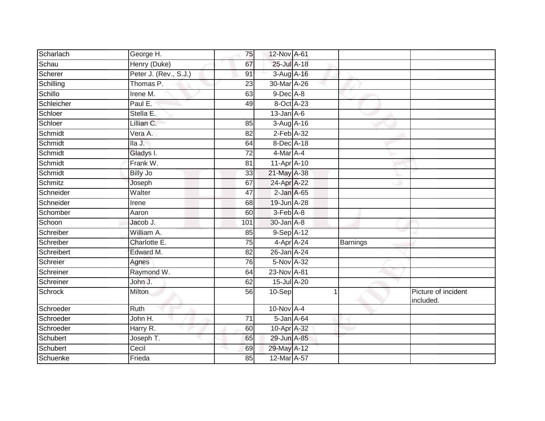| Scharlach      | George H.             | 75              | 12-Nov A-61      |          |                                  |
|----------------|-----------------------|-----------------|------------------|----------|----------------------------------|
| Schau          | Henry (Duke)          | 67              | 25-Jul A-18      |          |                                  |
| Scherer        | Peter J. (Rev., S.J.) | 91              | 3-Aug A-16       |          |                                  |
| Schilling      | Thomas P.             | 23              | 30-Mar A-26      |          |                                  |
| Schillo        | Irene M.              | 63              | $9$ -Dec $A$ -8  |          |                                  |
| Schleicher     | Paul E.               | 49              | 8-Oct A-23       |          |                                  |
| Schloer        | Stella E.             |                 | $13$ -Jan $A$ -6 |          |                                  |
| Schloer        | Lillian C.            | 85              | 3-Aug A-16       |          |                                  |
| Schmidt        | Vera A.               | 82              | $2$ -Feb $A-32$  |          |                                  |
| Schmidt        | lla J.                | 64              | 8-Dec A-18       |          |                                  |
| Schmidt        | Gladys I.             | $\overline{72}$ | 4-Mar A-4        |          |                                  |
| Schmidt        | Frank W.              | 81              | $11-Apr$ A-10    |          |                                  |
| Schmidt        | <b>Billy Jo</b>       | 33              | 21-May A-38      |          |                                  |
| Schmitz        | Joseph                | 67              | 24-Apr A-22      |          |                                  |
| Schneider      | Walter                | 47              | $2$ -Jan $A$ -65 |          |                                  |
| Schneider      | Irene                 | 68              | 19-Jun A-28      |          |                                  |
| Schomber       | Aaron                 | 60              | $3-Feb$ $A-8$    |          |                                  |
| Schoon         | Jacob J.              | 101             | $30$ -Jan $A-8$  |          |                                  |
| Schreiber      | William A.            | 85              | 9-Sep A-12       |          |                                  |
| Schreiber      | Charlotte E.          | $\overline{75}$ | 4-Apr A-24       | Barnings |                                  |
| Schreibert     | Edward M.             | 82              | 26-Jan A-24      |          |                                  |
| Schreier       | Agnes                 | $\overline{76}$ | 5-Nov A-32       |          |                                  |
| Schreiner      | Raymond W.            | 64              | 23-Nov A-81      |          |                                  |
| Schreiner      | John J.               | 62              | 15-Jul A-20      |          |                                  |
| <b>Schrock</b> | Milton                | 56              | 10-Sep           |          | Picture of incident<br>included. |
| Schroeder      | Ruth                  |                 | 10-Nov A-4       |          |                                  |
| Schroeder      | John H.               | $\overline{71}$ | 5-Jan A-64       |          |                                  |
| Schroeder      | Harry R.              | 60              | 10-Apr A-32      |          |                                  |
| Schubert       | Joseph T.             | 65              | 29-Jun A-85      |          |                                  |
| Schubert       | Cecil                 | 69              | 29-May A-12      |          |                                  |
| Schuenke       | Frieda                | 85              | 12-Mar A-57      |          |                                  |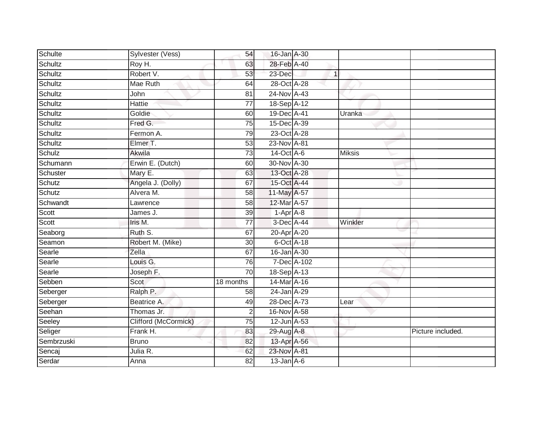| Schulte    | Sylvester (Vess)     | 54              | 16-Jan A-30       |               |                   |
|------------|----------------------|-----------------|-------------------|---------------|-------------------|
| Schultz    | Roy H.               | 63              | 28-Feb A-40       |               |                   |
| Schultz    | Robert V.            | 53              | 23-Dec            | $\mathbf{1}$  |                   |
| Schultz    | Mae Ruth             | 64              | 28-Oct A-28       |               |                   |
| Schultz    | John                 | $\overline{81}$ | 24-Nov A-43       |               |                   |
| Schultz    | Hattie               | $\overline{77}$ | 18-Sep A-12       |               |                   |
| Schultz    | Goldie               | 60              | 19-Dec A-41       | Uranka        |                   |
| Schultz    | Fred G.              | 75              | 15-Dec A-39       |               |                   |
| Schultz    | Fermon A.            | 79              | 23-Oct A-28       |               |                   |
| Schultz    | Elmer T.             | 53              | 23-Nov A-81       |               |                   |
| Schulz     | Akwila               | 73              | 14-Oct A-6        | <b>Miksis</b> |                   |
| Schumann   | Erwin E. (Dutch)     | 60              | 30-Nov A-30       |               |                   |
| Schuster   | Mary E.              | 63              | 13-Oct A-28       |               |                   |
| Schutz     | Angela J. (Dolly)    | 67              | 15-Oct A-44       |               |                   |
| Schutz     | Alvera M.            | 58              | 11-May A-57       |               |                   |
| Schwandt   | Lawrence             | 58              | 12-Mar A-57       |               |                   |
| Scott      | James J.             | 39              | $1-Apr$ A-8       |               |                   |
| Scott      | Iris M.              | 77              | 3-Dec A-44        | Winkler       |                   |
| Seaborg    | Ruth S.              | 67              | 20-Apr A-20       |               |                   |
| Seamon     | Robert M. (Mike)     | $\overline{30}$ | $6$ -Oct $A$ -18  |               |                   |
| Searle     | Zella                | 67              | 16-Jan A-30       |               |                   |
| Searle     | Louis G.             | 76              | 7-Dec A-102       |               |                   |
| Searle     | Joseph F.            | 70              | 18-Sep A-13       |               |                   |
| Sebben     | Scot                 | 18 months       | 14-Mar A-16       |               |                   |
| Seberger   | Ralph P.             | 58              | 24-Jan A-29       |               |                   |
| Seberger   | Beatrice A.          | 49              | 28-Dec A-73       | Lear          |                   |
| Seehan     | Thomas Jr.           | $\overline{2}$  | 16-Nov A-58       |               |                   |
| Seeley     | Clifford (McCormick) | 75              | $12$ -Jun $A$ -53 |               |                   |
| Seliger    | Frank H.             | 83              | 29-Aug A-8        |               | Picture included. |
| Sembrzuski | <b>Bruno</b>         | 82              | 13-Apr A-56       |               |                   |
| Sencaj     | Julia R.             | 62              | 23-Nov A-81       |               |                   |
| Serdar     | Anna                 | $\overline{82}$ | $13$ -Jan $A-6$   |               |                   |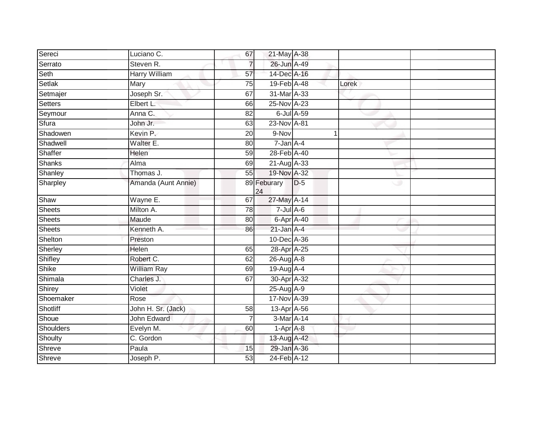| Sereci        | Luciano C.           | 67              | 21-May A-38                  |       |       |  |
|---------------|----------------------|-----------------|------------------------------|-------|-------|--|
| Serrato       | Steven R.            | $\overline{7}$  | 26-Jun A-49                  |       |       |  |
| Seth          | <b>Harry William</b> | $\overline{57}$ | 14-Dec A-16                  |       |       |  |
| <b>Setlak</b> | Mary                 | 75              | $19$ -Feb $\overline{A}$ -48 |       | Lorek |  |
| Setmajer      | Joseph Sr.           | 67              | 31-Mar A-33                  |       |       |  |
| Setters       | Elbert L.            | 66              | 25-Nov A-23                  |       |       |  |
| Seymour       | Anna C.              | 82              | 6-Jul A-59                   |       |       |  |
| Sfura         | John Jr.             | 63              | 23-Nov A-81                  |       |       |  |
| Shadowen      | Kevin P.             | 20              | 9-Nov                        |       |       |  |
| Shadwell      | Walter E.            | 80              | $7 - Jan A - 4$              |       |       |  |
| Shaffer       | Helen                | 59              | 28-Feb A-40                  |       |       |  |
| Shanks        | Alma                 | 69              | $21$ -Aug $A$ -33            |       |       |  |
| Shanley       | Thomas J.            | 55              | 19-Nov A-32                  |       |       |  |
| Sharpley      | Amanda (Aunt Annie)  |                 | 89 Feburary<br>24            | $D-5$ | ت     |  |
| Shaw          | Wayne E.             | 67              | 27-May A-14                  |       |       |  |
| <b>Sheets</b> | Milton A.            | $\overline{78}$ | $7 -$ Jul $A - 6$            |       |       |  |
| Sheets        | Maude                | 80              | 6-Apr A-40                   |       |       |  |
| <b>Sheets</b> | Kenneth A.           | 86              | $21$ -Jan $A-4$              |       |       |  |
| Shelton       | Preston              |                 | 10-Dec A-36                  |       |       |  |
| Sherley       | Helen                | 65              | 28-Apr A-25                  |       |       |  |
| Shifley       | Robert C.            | 62              | 26-Aug A-8                   |       |       |  |
| Shike         | <b>William Ray</b>   | 69              | 19-Aug A-4                   |       |       |  |
| Shimala       | Charles J.           | 67              | 30-Apr A-32                  |       |       |  |
| Shirey        | Violet               |                 | $25$ -Aug $A-9$              |       |       |  |
| Shoemaker     | Rose                 |                 | 17-Nov A-39                  |       |       |  |
| Shotliff      | John H. Sr. (Jack)   | 58              | 13-Apr A-56                  |       |       |  |
| Shoue         | John Edward          |                 | 3-Mar A-14                   |       |       |  |
| Shoulders     | Evelyn M.            | 60              | 1-Apr A-8                    |       |       |  |
| Shoulty       | C. Gordon            |                 | 13-Aug A-42                  |       |       |  |
| Shreve        | Paula                | 15              | 29-Jan A-36                  |       |       |  |
| Shreve        | Joseph P.            | 53              | 24-Feb A-12                  |       |       |  |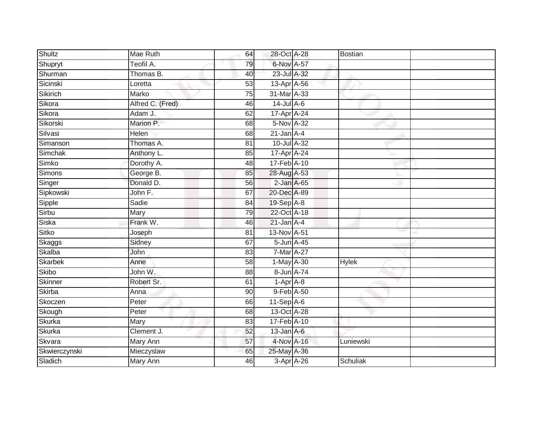| Shultz        | Mae Ruth         | 64              | 28-Oct A-28      | <b>Bostian</b> |  |
|---------------|------------------|-----------------|------------------|----------------|--|
| Shupryt       | Teofil A.        | 79              | 6-Nov A-57       |                |  |
| Shurman       | Thomas B.        | 40              | 23-Jul A-32      |                |  |
| Sicinski      | Loretta          | 53              | 13-Apr A-56      |                |  |
| Sikirich      | Marko            | $\overline{75}$ | 31-Mar A-33      |                |  |
| Sikora        | Alfred C. (Fred) | 46              | $14$ -Jul A-6    |                |  |
| Sikora        | Adam J.          | 62              | 17-Apr A-24      |                |  |
| Sikorski      | Marion P.        | 68              | 5-Nov A-32       |                |  |
| Silvasi       | Helen            | 68              | $21$ -Jan $A-4$  |                |  |
| Simanson      | Thomas A.        | 81              | 10-Jul A-32      |                |  |
| Simchak       | Anthony L.       | 85              | 17-Apr A-24      |                |  |
| Simko         | Dorothy A.       | 48              | 17-Feb A-10      |                |  |
| Simons        | George B.        | 85              | 28-Aug A-53      |                |  |
| Singer        | Donald D.        | 56              | $2$ -Jan $A$ -65 |                |  |
| Sipkowski     | John F.          | 67              | 20-Dec A-89      |                |  |
| Sipple        | Sadie            | 84              | 19-Sep A-8       |                |  |
| Sirbu         | Mary             | 79              | 22-Oct A-18      |                |  |
| Siska         | Frank W.         | 46              | $21$ -Jan $A-4$  |                |  |
| Sitko         | Joseph           | 81              | 13-Nov A-51      |                |  |
| Skaggs        | Sidney           | 67              | 5-Jun A-45       |                |  |
| Skalba        | John             | 83              | 7-Mar A-27       |                |  |
| Skarbek       | Anne             | 58              | 1-May A-30       | <b>Hylek</b>   |  |
| <b>Skibo</b>  | John W.          | 88              | 8-Jun A-74       |                |  |
| Skinner       | Robert Sr.       | 61              | 1-Apr A-8        |                |  |
| <b>Skirba</b> | Anna             | 90              | 9-Feb A-50       |                |  |
| Skoczen       | Peter            | 66              | $11-Sep$ A-6     |                |  |
| Skough        | Peter            | 68              | 13-Oct A-28      |                |  |
| Skurka        | Mary             | 83              | 17-Feb A-10      |                |  |
| <b>Skurka</b> | Clement J.       | 52              | $13$ -Jan $A-6$  |                |  |
| Skvara        | Mary Ann         | 57              | 4-Nov A-16       | Luniewski      |  |
| Skwierczynski | Mieczyslaw       | 65              | 25-May A-36      |                |  |
| Sladich       | <b>Mary Ann</b>  | 46              | 3-Apr A-26       | Schuliak       |  |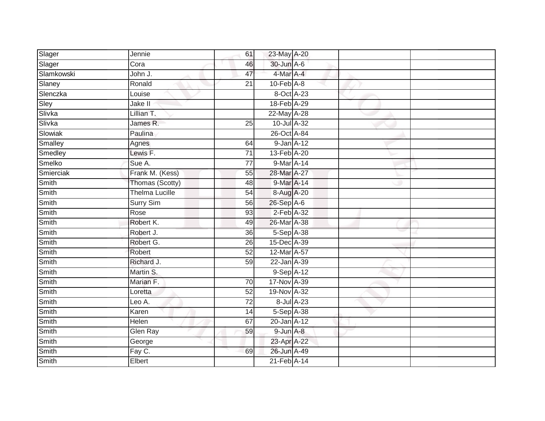| Slager     | Jennie                | 61              | 23-May A-20      |            |  |
|------------|-----------------------|-----------------|------------------|------------|--|
| Slager     | Cora                  | 46              | 30-Jun A-6       |            |  |
| Slamkowski | John J.               | 47              | 4-Mar A-4        |            |  |
| Slaney     | Ronald                | 21              | $10$ -Feb $A$ -8 |            |  |
| Slenczka   | Louise                |                 | 8-Oct A-23       |            |  |
| Sley       | Jake II               |                 | 18-Feb A-29      |            |  |
| Slivka     | Lillian T.            |                 | 22-May A-28      |            |  |
| Slivka     | James R.              | 25              | 10-Jul A-32      |            |  |
| Slowiak    | Paulina               |                 | 26-Oct A-84      |            |  |
| Smalley    | Agnes                 | 64              | $9$ -Jan $A-12$  |            |  |
| Smedley    | Lewis F.              | $\overline{71}$ | 13-Feb A-20      |            |  |
| Smelko     | Sue A.                | 77              | 9-Mar A-14       |            |  |
| Smierciak  | Frank M. (Kess)       | 55              | 28-Mar A-27      |            |  |
| Smith      | Thomas (Scotty)       | 48              | 9-Mar A-14       |            |  |
| Smith      | <b>Thelma Lucille</b> | $\overline{54}$ | 8-Aug A-20       |            |  |
| Smith      | <b>Surry Sim</b>      | 56              | 26-Sep A-6       |            |  |
| Smith      | Rose                  | 93              | $2$ -Feb $A-32$  |            |  |
| Smith      | Robert K.             | 49              | 26-Mar A-38      |            |  |
| Smith      | Robert J.             | 36              | 5-Sep A-38       |            |  |
| Smith      | Robert G.             | $\overline{26}$ | 15-Dec A-39      |            |  |
| Smith      | Robert                | 52              | 12-Mar A-57      |            |  |
| Smith      | Richard J.            | 59              | 22-Jan A-39      |            |  |
| Smith      | Martin S.             |                 | 9-Sep A-12       |            |  |
| Smith      | Marian F.             | 70              | 17-Nov A-39      |            |  |
| Smith      | Loretta               | 52              | 19-Nov A-32      |            |  |
| Smith      | Leo A.                | $\overline{72}$ |                  | 8-Jul A-23 |  |
| Smith      | Karen                 | 14              | 5-Sep A-38       |            |  |
| Smith      | Helen                 | 67              | 20-Jan A-12      |            |  |
| Smith      | <b>Glen Ray</b>       | 59              | $9$ -Jun $A-8$   |            |  |
| Smith      | George                |                 | 23-Apr A-22      |            |  |
| Smith      | Fay C.                | 69              | 26-Jun A-49      |            |  |
| Smith      | Elbert                |                 | 21-Feb A-14      |            |  |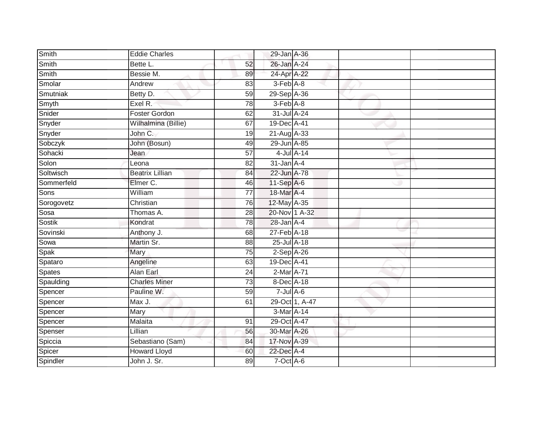| Smith        | <b>Eddie Charles</b>   |                 | 29-Jan A-36       |                |  |
|--------------|------------------------|-----------------|-------------------|----------------|--|
| Smith        | Bette L.               | 52              | 26-Jan A-24       |                |  |
| <b>Smith</b> | Bessie M.              | 89              | 24-Apr A-22       |                |  |
| Smolar       | Andrew                 | 83              | $3-Feb$ $A-8$     |                |  |
| Smutniak     | Betty D.               | 59              | 29-Sep A-36       |                |  |
| Smyth        | Exel R.                | 78              | 3-Feb A-8         |                |  |
| Snider       | <b>Foster Gordon</b>   | 62              | 31-Jul A-24       |                |  |
| Snyder       | Wilhalmina (Billie)    | 67              | 19-Dec A-41       |                |  |
| Snyder       | John C.                | 19              | 21-Aug A-33       |                |  |
| Sobczyk      | John (Bosun)           | 49              | 29-Jun A-85       |                |  |
| Sohacki      | Jean                   | $\overline{57}$ |                   | 4-Jul A-14     |  |
| Solon        | Leona                  | 82              | $31$ -Jan $A-4$   |                |  |
| Soltwisch    | <b>Beatrix Lillian</b> | 84              | 22-Jun A-78       |                |  |
| Sommerfeld   | Elmer C.               | 46              | 11-Sep A-6        |                |  |
| Sons         | William                | $\overline{77}$ | 18-Mar A-4        |                |  |
| Sorogovetz   | Christian              | 76              | 12-May A-35       |                |  |
| Sosa         | Thomas A.              | 28              | 20-Nov 1 A-32     |                |  |
| Sostik       | Kondrat                | 78              | $28$ -Jan $A-4$   |                |  |
| Sovinski     | Anthony J.             | 68              | 27-Feb A-18       |                |  |
| Sowa         | Martin Sr.             | $\overline{88}$ | 25-Jul A-18       |                |  |
| Spak         | Mary                   | 75              | $2-Sep$ A-26      |                |  |
| Spataro      | Angeline               | 63              | 19-Dec A-41       |                |  |
| Spates       | Alan Earl              | 24              | 2-Mar A-71        |                |  |
| Spaulding    | <b>Charles Miner</b>   | $\overline{73}$ | 8-Dec A-18        |                |  |
| Spencer      | Pauline W.             | 59              | $7 -$ Jul $A - 6$ |                |  |
| Spencer      | Max J.                 | 61              |                   | 29-Oct 1, A-47 |  |
| Spencer      | Mary                   |                 | 3-Mar A-14        |                |  |
| Spencer      | Malaita                | 91              | 29-Oct A-47       |                |  |
| Spenser      | Lillian                | 56              | 30-Mar A-26       |                |  |
| Spiccia      | Sebastiano (Sam)       | 84              | 17-Nov A-39       |                |  |
| Spicer       | Howard Lloyd           | 60              | 22-Dec A-4        |                |  |
| Spindler     | John J. Sr.            | 89              | $7$ -Oct $A$ -6   |                |  |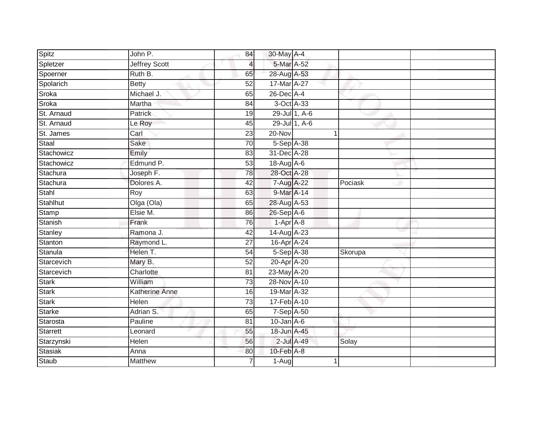| Spitz           | John P.               | 84              | 30-May A-4       |         |  |
|-----------------|-----------------------|-----------------|------------------|---------|--|
| Spletzer        | <b>Jeffrey Scott</b>  | 4               | 5-Mar A-52       |         |  |
| Spoerner        | Ruth B.               | 65              | 28-Aug A-53      |         |  |
| Spolarich       | <b>Betty</b>          | 52              | 17-Mar A-27      |         |  |
| Sroka           | Michael J.            | 65              | 26-Dec A-4       |         |  |
| Sroka           | Martha                | 84              | 3-Oct A-33       |         |  |
| St. Arnaud      | Patrick               | 19              | 29-Jul 1, A-6    |         |  |
| St. Arnaud      | Le Roy                | 45              | 29-Jul 1, A-6    |         |  |
| St. James       | Carl                  | 23              | 20-Nov           |         |  |
| Staal           | Sake                  | $\overline{70}$ | 5-Sep A-38       |         |  |
| Stachowicz      | Emily                 | 83              | 31-Dec A-28      |         |  |
| Stachowicz      | Edmund P.             | 53              | 18-Aug A-6       |         |  |
| Stachura        | Joseph F.             | 78              | 28-Oct A-28      |         |  |
| Stachura        | Dolores A.            | 42              | 7-Aug A-22       | Pociask |  |
| Stahl           | Roy                   | 63              | 9-Mar A-14       |         |  |
| Stahlhut        | Olga (Ola)            | 65              | 28-Aug A-53      |         |  |
| Stamp           | Elsie M.              | 86              | 26-Sep A-6       |         |  |
| Stanish         | Frank                 | 76              | $1-Apr$ $A-8$    |         |  |
| Stanley         | Ramona J.             | 42              | 14-Aug A-23      |         |  |
| Stanton         | Raymond L.            | 27              | 16-Apr A-24      |         |  |
| Stanula         | Helen T.              | 54              | 5-Sep A-38       | Skorupa |  |
| Starcevich      | Mary B.               | 52              | 20-Apr A-20      |         |  |
| Starcevich      | Charlotte             | 81              | 23-May A-20      |         |  |
| <b>Stark</b>    | William               | $\overline{73}$ | 28-Nov A-10      |         |  |
| <b>Stark</b>    | <b>Katherine Anne</b> | 16              | 19-Mar A-32      |         |  |
| <b>Stark</b>    | Helen                 | 73              | 17-Feb A-10      |         |  |
| <b>Starke</b>   | Adrian S.             | 65              | 7-Sep A-50       |         |  |
| Starosta        | Pauline               | 81              | $10$ -Jan $A$ -6 |         |  |
| <b>Starrett</b> | Leonard               | 55              | 18-Jun A-45      |         |  |
| Starzynski      | Helen                 | 56              | $2$ -Jul $A$ -49 | Solay   |  |
| Stasiak         | Anna                  | 80              | 10-Feb A-8       |         |  |
| <b>Staub</b>    | <b>Matthew</b>        |                 | $1-Aug$          | 1       |  |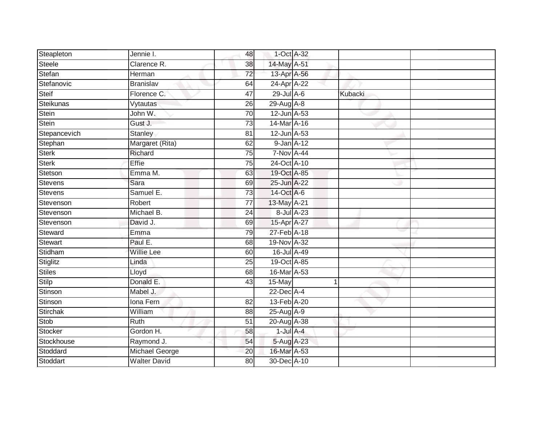| Steapleton      | Jennie I.           | 48              | 1-Oct A-32        |            |         |  |
|-----------------|---------------------|-----------------|-------------------|------------|---------|--|
| <b>Steele</b>   | Clarence R.         | 38              | 14-May A-51       |            |         |  |
| Stefan          | Herman              | $\overline{72}$ | 13-Apr A-56       |            |         |  |
| Stefanovic      | <b>Branislav</b>    | 64              | 24-Apr A-22       |            |         |  |
| <b>Steif</b>    | Florence C.         | $\overline{47}$ | 29-Jul A-6        |            | Kubacki |  |
| Steikunas       | Vytautas            | 26              | 29-Aug A-8        |            |         |  |
| Stein           | John W.             | 70              | 12-Jun A-53       |            |         |  |
| Stein           | Gust J.             | 73              | 14-Mar A-16       |            |         |  |
| Stepancevich    | Stanley             | 81              | 12-Jun A-53       |            |         |  |
| Stephan         | Margaret (Rita)     | 62              | $9$ -Jan $A-12$   |            |         |  |
| <b>Sterk</b>    | Richard             | $\overline{75}$ | <b>7-Nov A-44</b> |            |         |  |
| Sterk           | Effie               | 75              | 24-Oct A-10       |            |         |  |
| Stetson         | Emma M.             | 63              | 19-Oct A-85       |            |         |  |
| Stevens         | Sara                | 69              | 25-Jun A-22       |            |         |  |
| Stevens         | Samuel E.           | $\overline{73}$ | 14-Oct A-6        |            |         |  |
| Stevenson       | Robert              | $\overline{77}$ | 13-May A-21       |            |         |  |
| Stevenson       | Michael B.          | $\overline{24}$ |                   | 8-Jul A-23 |         |  |
| Stevenson       | David J.            | 69              | 15-Apr A-27       |            |         |  |
| Steward         | Emma                | 79              | 27-Feb A-18       |            |         |  |
| Stewart         | Paul E.             | 68              | 19-Nov A-32       |            |         |  |
| Stidham         | <b>Willie Lee</b>   | 60              | 16-Jul A-49       |            |         |  |
| Stiglitz        | Linda               | $\overline{25}$ | 19-Oct A-85       |            |         |  |
| <b>Stiles</b>   | Lloyd               | 68              | 16-Mar A-53       |            |         |  |
| Stilp           | Donald E.           | 43              | 15-May            |            |         |  |
| Stinson         | Mabel J.            |                 | 22-Dec A-4        |            |         |  |
| Stinson         | Iona Fern           | 82              | 13-Feb A-20       |            |         |  |
| <b>Stirchak</b> | William             | $\overline{88}$ | 25-Aug A-9        |            |         |  |
| Stob            | Ruth                | 51              | 20-Aug A-38       |            |         |  |
| Stocker         | Gordon H.           | 58              | $1$ -Jul $A - 4$  |            |         |  |
| Stockhouse      | Raymond J.          | 54              | 5-Aug A-23        |            |         |  |
| Stoddard        | Michael George      | 20              | 16-Mar A-53       |            |         |  |
| Stoddart        | <b>Walter David</b> | 80              | 30-Dec A-10       |            |         |  |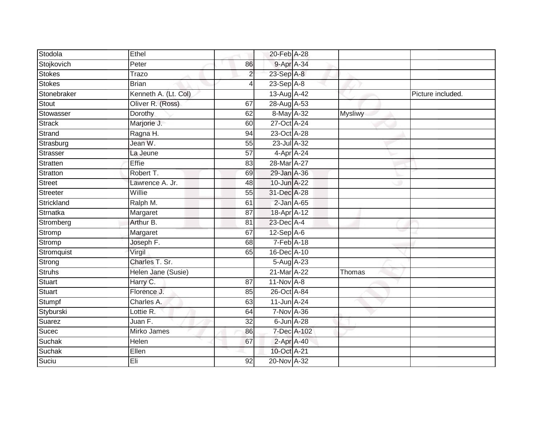| Stodola       | Ethel                |                 | 20-Feb A-28      |             |                |                   |
|---------------|----------------------|-----------------|------------------|-------------|----------------|-------------------|
| Stojkovich    | Peter                | 86              | 9-Apr A-34       |             |                |                   |
| Stokes        | Trazo                | $\overline{2}$  | 23-Sep A-8       |             |                |                   |
| <b>Stokes</b> | <b>Brian</b>         | $\overline{4}$  | $23-Sep$ A-8     |             |                |                   |
| Stonebraker   | Kenneth A. (Lt. Col) |                 | 13-Aug A-42      |             |                | Picture included. |
| Stout         | Oliver R. (Ross)     | 67              | 28-Aug A-53      |             |                |                   |
| Stowasser     | Dorothy              | 62              | 8-May A-32       |             | <b>Mysliwy</b> |                   |
| Strack        | Marjorie J.          | 60              | 27-Oct A-24      |             |                |                   |
| Strand        | Ragna H.             | 94              | 23-Oct A-28      |             |                |                   |
| Strasburg     | Jean W.              | 55              | 23-Jul A-32      |             |                |                   |
| Strasser      | La Jeune             | 57              | 4-Apr A-24       |             |                |                   |
| Stratten      | Effie                | 83              | 28-Mar A-27      |             |                |                   |
| Stratton      | Robert T.            | 69              | 29-Jan A-36      |             |                |                   |
| Street        | Lawrence A. Jr.      | 48              | 10-Jun A-22      |             |                |                   |
| Streeter      | Willie               | 55              | 31-Dec A-28      |             |                |                   |
| Strickland    | Ralph M.             | 61              | $2$ -Jan $A$ -65 |             |                |                   |
| Strnatka      | Margaret             | $\overline{87}$ | 18-Apr A-12      |             |                |                   |
| Stromberg     | Arthur B.            | 81              | 23-Dec A-4       |             |                |                   |
| Stromp        | Margaret             | 67              | $12$ -Sep $A$ -6 |             |                |                   |
| Stromp        | Joseph F.            | 68              | 7-Feb A-18       |             |                |                   |
| Stromquist    | Virgil               | 65              | 16-Dec A-10      |             |                |                   |
| Strong        | Charles T. Sr.       |                 | 5-Aug A-23       |             |                |                   |
| <b>Struhs</b> | Helen Jane (Susie)   |                 | 21-Mar A-22      |             | Thomas         |                   |
| Stuart        | Harry C.             | 87              | 11-Nov A-8       |             |                |                   |
| <b>Stuart</b> | Florence J.          | 85              | 26-Oct A-84      |             |                |                   |
| Stumpf        | Charles A.           | 63              | 11-Jun A-24      |             |                |                   |
| Styburski     | Lottie R.            | 64              | 7-Nov A-36       |             |                |                   |
| Suarez        | Juan F.              | 32              | 6-Jun A-28       |             |                |                   |
| Sucec         | Mirko James          | 86              |                  | 7-Dec A-102 |                |                   |
| Suchak        | Helen                | 67              | 2-Apr A-40       |             |                |                   |
| Suchak        | Ellen                |                 | 10-Oct A-21      |             |                |                   |
| Suciu         | Eli                  | 92              | 20-Nov A-32      |             |                |                   |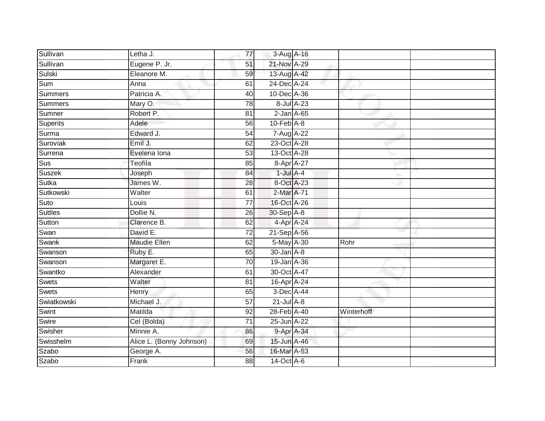| Sullivan       | Letha J.                 | 77              | 3-Aug A-16        |                  |            |  |
|----------------|--------------------------|-----------------|-------------------|------------------|------------|--|
| Sullivan       | Eugene P. Jr.            | 51              | 21-Nov A-29       |                  |            |  |
| Sulski         | Eleanore M.              | 59              | 13-Aug A-42       |                  |            |  |
| Sum            | Anna                     | 61              | 24-Dec A-24       |                  |            |  |
| Summers        | Patricia A.              | $\overline{40}$ | 10-Dec A-36       |                  |            |  |
| <b>Summers</b> | Mary O.                  | 78              |                   | $8$ -Jul $A$ -23 |            |  |
| Sumner         | Robert P.                | 81              | $2$ -Jan $A$ -65  |                  |            |  |
| Superits       | Adele                    | 56              | $10$ -Feb $A$ -8  |                  |            |  |
| Surma          | Edward J.                | 54              | 7-Aug A-22        |                  |            |  |
| Suroviak       | Emil J.                  | 62              | 23-Oct A-28       |                  |            |  |
| Surrena        | Evelena Iona             | 53              | 13-Oct A-28       |                  |            |  |
| Sus            | Teofila                  | 85              | 8-Apr A-27        |                  |            |  |
| Suszek         | Joseph                   | 84              | $1$ -Jul $A-4$    |                  |            |  |
| Sutka          | James W.                 | 28              | 8-Oct A-23        |                  |            |  |
| Sutkowski      | Walter                   | 61              | 2-Mar A-71        |                  |            |  |
| Suto           | Louis                    | $\overline{77}$ | 16-Oct A-26       |                  |            |  |
| Suttles        | Dollie N.                | $\overline{26}$ | 30-Sep A-8        |                  |            |  |
| Sutton         | Clarence B.              | 62              | 4-Apr A-24        |                  |            |  |
| Swan           | David E.                 | 72              | 21-Sep A-56       |                  |            |  |
| Swank          | <b>Maudie Ellen</b>      | 62              | 5-May A-30        |                  | Rohr       |  |
| Swanson        | Ruby E.                  | 65              | $30 - Jan$ A-8    |                  |            |  |
| Swanson        | Margaret E.              | 70              | 19-Jan A-36       |                  |            |  |
| Swantko        | Alexander                | 61              | 30-Oct A-47       |                  |            |  |
| Swets          | Walter                   | 81              | 16-Apr A-24       |                  |            |  |
| <b>Swets</b>   | Henry                    | 65              | 3-Dec A-44        |                  |            |  |
| Swiatkowski    | Michael J.               | $\overline{57}$ | $21$ -Jul A-8     |                  |            |  |
| Swint          | Matilda                  | 92              | 28-Feb A-40       |                  | Winterhoff |  |
| Swire          | Cel (Bolda)              | 71              | $25 - Jun$ $A-22$ |                  |            |  |
| Swisher        | Minnie A.                | 86              | 9-Apr A-34        |                  |            |  |
| Swisshelm      | Alice L. (Bonny Johnson) | 69              | 15-Jun A-46       |                  |            |  |
| Szabo          | George A.                | 56              | 16-Mar A-53       |                  |            |  |
| Szabo          | Frank                    | 88              | 14-Oct A-6        |                  |            |  |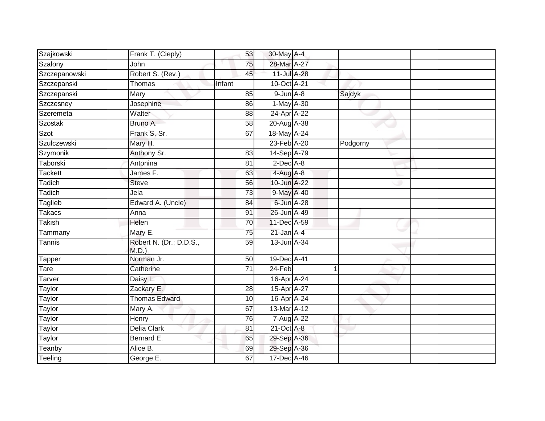| Szajkowski     | Frank T. (Cieply)               | 53              | 30-May A-4      |          |  |
|----------------|---------------------------------|-----------------|-----------------|----------|--|
| Szalony        | John                            | 75              | 28-Mar A-27     |          |  |
| Szczepanowski  | Robert S. (Rev.)                | 45              | 11-Jul A-28     |          |  |
| Szczepanski    | Thomas                          | Infant          | 10-Oct A-21     |          |  |
| Szczepanski    | Mary                            | 85              | $9$ -Jun $A-8$  | Sajdyk   |  |
| Szczesney      | Josephine                       | 86              | 1-May A-30      |          |  |
| Szeremeta      | Walter                          | 88              | 24-Apr A-22     |          |  |
| Szostak        | Bruno A.                        | 58              | 20-Aug A-38     |          |  |
| Szot           | Frank S. Sr.                    | 67              | 18-May A-24     |          |  |
| Szulczewski    | Mary H.                         |                 | 23-Feb A-20     | Podgorny |  |
| Szymonik       | Anthony Sr.                     | 83              | 14-Sep A-79     |          |  |
| Taborski       | Antonina                        | 81              | $2$ -Dec $A-8$  |          |  |
| <b>Tackett</b> | James F.                        | 63              | $4$ -Aug A-8    |          |  |
| Tadich         | <b>Steve</b>                    | 56              | 10-Jun A-22     |          |  |
| Tadich         | Jela                            | $\overline{73}$ | 9-May A-40      |          |  |
| Taglieb        | Edward A. (Uncle)               | 84              | 6-Jun A-28      |          |  |
| <b>Takacs</b>  | Anna                            | 91              | 26-Jun A-49     |          |  |
| <b>Takish</b>  | Helen                           | $\overline{70}$ | 11-Dec A-59     |          |  |
| Tammany        | Mary E.                         | 75              | $21$ -Jan $A-4$ |          |  |
| Tannis         | Robert N. (Dr.; D.D.S.,<br>M.D. | 59              | 13-Jun A-34     |          |  |
| Tapper         | Norman Jr.                      | 50              | 19-Dec A-41     |          |  |
| Tare           | Catherine                       | 71              | 24-Feb          | 1        |  |
| Tarver         | Daisy L.                        |                 | 16-Apr A-24     |          |  |
| Taylor         | Zackary E.                      | 28              | 15-Apr A-27     |          |  |
| Taylor         | <b>Thomas Edward</b>            | 10              | 16-Apr A-24     |          |  |
| Taylor         | Mary A.                         | 67              | 13-Mar A-12     |          |  |
| Taylor         | Henry                           | 76              | 7-Aug A-22      |          |  |
| Taylor         | Delia Clark                     | 81              | 21-Oct A-8      |          |  |
| Taylor         | Bernard E.                      | 65              | 29-Sep A-36     |          |  |
| Teanby         | Alice B.                        | 69              | 29-Sep A-36     |          |  |
| Teeling        | George E.                       | 67              | 17-Dec A-46     |          |  |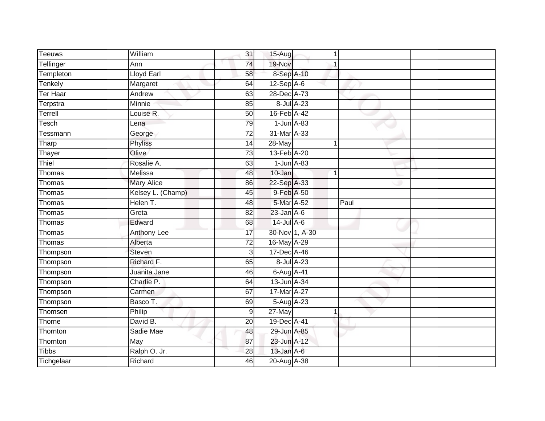| <b>Teeuws</b> | William           | 31              | $15-Aug$         | 1              |      |  |
|---------------|-------------------|-----------------|------------------|----------------|------|--|
| Tellinger     | Ann               | 74              | 19-Nov           |                |      |  |
| Templeton     | Lloyd Earl        | 58              | 8-Sep A-10       |                |      |  |
| Tenkely       | Margaret          | 64              | $12-SepA-6$      |                |      |  |
| Ter Haar      | Andrew            | 63              | 28-Dec A-73      |                |      |  |
| Terpstra      | Minnie            | 85              |                  | 8-Jul A-23     |      |  |
| Terrell       | Louise R.         | $\overline{50}$ | 16-Feb A-42      |                |      |  |
| Tesch         | Lena              | 79              | $1$ -Jun $A$ -83 |                |      |  |
| Tessmann      | George            | 72              | 31-Mar A-33      |                |      |  |
| Tharp         | <b>Phyliss</b>    | 14              | 28-May           |                |      |  |
| Thayer        | Olive             | 73              | 13-Feb A-20      |                |      |  |
| Thiel         | Rosalie A.        | 63              | $1$ -Jun $A$ -83 |                |      |  |
| Thomas        | Melissa           | 48              | $10 - Jan$       | 1              |      |  |
| Thomas        | <b>Mary Alice</b> | 86              | 22-Sep A-33      |                |      |  |
| Thomas        | Kelsey L. (Champ) | 45              | 9-Feb A-50       |                |      |  |
| Thomas        | Helen T.          | 48              | 5-Mar A-52       |                | Paul |  |
| Thomas        | Greta             | 82              | $23$ -Jan $A-6$  |                |      |  |
| Thomas        | Edward            | 68              | $14$ -Jul A-6    |                |      |  |
| Thomas        | Anthony Lee       | 17              |                  | 30-Nov 1, A-30 |      |  |
| Thomas        | Alberta           | 72              | 16-May A-29      |                |      |  |
| Thompson      | Steven            | 3               | 17-Dec A-46      |                |      |  |
| Thompson      | Richard F.        | 65              |                  | 8-Jul A-23     |      |  |
| Thompson      | Juanita Jane      | 46              | $6$ -Aug $A$ -41 |                |      |  |
| Thompson      | Charlie P.        | 64              | 13-Jun A-34      |                |      |  |
| Thompson      | Carmen            | 67              | 17-Mar A-27      |                |      |  |
| Thompson      | Basco T.          | 69              | $5-Aug$ A-23     |                |      |  |
| Thomsen       | Philip            | 9               | $27$ -May        | 1              |      |  |
| Thorne        | David B.          | 20              | 19-Dec A-41      |                |      |  |
| Thornton      | Sadie Mae         | 48              | 29-Jun A-85      |                |      |  |
| Thornton      | May               | 87              | 23-Jun A-12      |                |      |  |
| <b>Tibbs</b>  | Ralph O. Jr.      | 28              | $13$ -Jan $A-6$  |                |      |  |
| Tichgelaar    | Richard           | 46              | 20-Aug A-38      |                |      |  |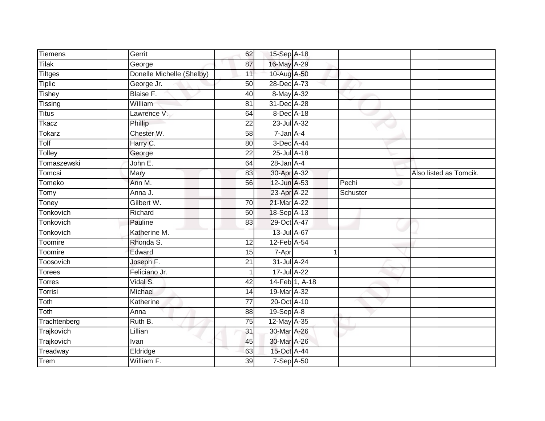| Tiemens      | Gerrit                    | 62              | 15-Sep A-18     |                |          |                        |
|--------------|---------------------------|-----------------|-----------------|----------------|----------|------------------------|
| Tilak        | George                    | 87              | 16-May A-29     |                |          |                        |
| Tiltges      | Donelle Michelle (Shelby) | 11              | 10-Aug A-50     |                |          |                        |
| Tiplic       | George Jr.                | 50              | 28-Dec A-73     |                |          |                        |
| Tishey       | Blaise F.                 | 40              | 8-May A-32      |                |          |                        |
| Tissing      | William                   | 81              | 31-Dec A-28     |                |          |                        |
| Titus        | Lawrence V.               | 64              | 8-Dec A-18      |                |          |                        |
| Tkacz        | Phillip                   | 22              | 23-Jul A-32     |                |          |                        |
| Tokarz       | Chester W.                | 58              | $7 - Jan A - 4$ |                |          |                        |
| Tolf         | Harry C.                  | 80              | 3-Dec A-44      |                |          |                        |
| Tolley       | George                    | 22              | 25-Jul A-18     |                |          |                        |
| Tomaszewski  | John E.                   | 64              | $28$ -Jan $A-4$ |                |          |                        |
| Tomcsi       | Mary                      | 83              | 30-Apr A-32     |                |          | Also listed as Tomcik. |
| Tomeko       | Ann M.                    | 56              | 12-Jun A-53     |                | Pechi    |                        |
| Tomy         | Anna J.                   |                 | 23-Apr A-22     |                | Schuster |                        |
| Toney        | Gilbert W.                | 70              | 21-Mar A-22     |                |          |                        |
| Tonkovich    | Richard                   | 50              | 18-Sep A-13     |                |          |                        |
| Tonkovich    | Pauline                   | 83              | 29-Oct A-47     |                |          |                        |
| Tonkovich    | Katherine M.              |                 | 13-Jul A-67     |                |          |                        |
| Toomire      | Rhonda S.                 | $\overline{12}$ | 12-Feb A-54     |                |          |                        |
| Toomire      | Edward                    | 15              | 7-Apr           | 1              |          |                        |
| Toosovich    | Joseph F.                 | 21              | 31-Jul A-24     |                |          |                        |
| Torees       | Feliciano Jr.             |                 | 17-Jul A-22     |                |          |                        |
| Torres       | Vidal S.                  | 42              |                 | 14-Feb 1, A-18 |          |                        |
| Torrisi      | Michael                   | 14              | 19-Mar A-32     |                |          |                        |
| Toth         | Katherine                 | 77              | 20-Oct A-10     |                |          |                        |
| Toth         | Anna                      | 88              | 19-Sep A-8      |                |          |                        |
| Trachtenberg | Ruth B.                   | 75              | 12-May A-35     |                |          |                        |
| Trajkovich   | Lillian                   | 31              | 30-Mar A-26     |                |          |                        |
| Trajkovich   | Ivan                      | 45              | 30-Mar A-26     |                |          |                        |
| Treadway     | Eldridge                  | 63              | 15-Oct A-44     |                |          |                        |
| Trem         | William F.                | $\overline{39}$ | 7-Sep A-50      |                |          |                        |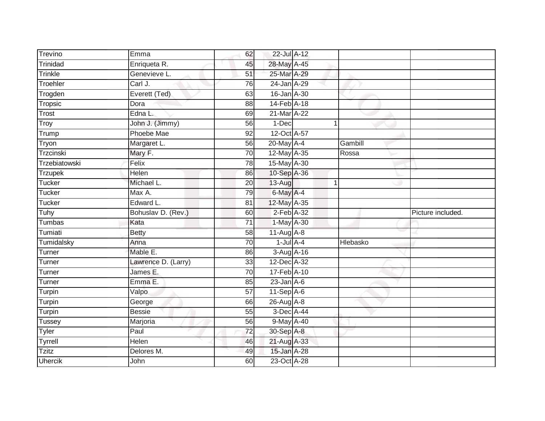| Trevino                        | Emma                | 62              | 22-Jul A-12                |   |          |                   |
|--------------------------------|---------------------|-----------------|----------------------------|---|----------|-------------------|
| Trinidad                       | Enriqueta R.        | 45              | 28-May A-45                |   |          |                   |
| Trinkle                        | Genevieve L.        | $\overline{51}$ | 25-Mar A-29                |   |          |                   |
| Troehler                       | Carl J.             | 76              | 24-Jan A-29                |   |          |                   |
| Trogden                        | Everett (Ted)       | 63              | 16-Jan A-30                |   |          |                   |
| Tropsic                        | Dora                | 88              | 14-Feb A-18                |   |          |                   |
| Trost                          | Edna L.             | 69              | 21-Mar A-22                |   |          |                   |
| $\overline{\text{Troy}}$       | John J. (Jimmy)     | 56              | 1-Dec                      |   |          |                   |
| Trump                          | <b>Phoebe Mae</b>   | 92              | 12-Oct A-57                |   |          |                   |
| Tryon                          | Margaret L.         | 56              | 20-May A-4                 |   | Gambill  |                   |
| Trzcinski                      | Mary F.             | 70              | 12-May A-35                |   | Rossa    |                   |
| Trzebiatowski                  | Felix               | 78              | 15-May A-30                |   |          |                   |
| <b>Trzupek</b>                 | Helen               | 86              | 10-Sep A-36                |   |          |                   |
| Tucker                         | Michael L.          | 20              | 13-Aug                     | 1 |          |                   |
| Tucker                         | Max A.              | 79              | 6-May A-4                  |   |          |                   |
| <b>Tucker</b>                  | Edward L.           | 81              | 12-May A-35                |   |          |                   |
|                                |                     |                 |                            |   |          |                   |
| Tuhy                           | Bohuslav D. (Rev.)  | 60              | $2$ -Feb $A-32$            |   |          | Picture included. |
| Tumbas                         | Kata                | $\overline{71}$ | 1-May A-30                 |   |          |                   |
| Tumiati                        | <b>Betty</b>        | 58              | 11-Aug A-8                 |   |          |                   |
| Tumidalsky                     | Anna                | 70              | $1$ -Jul $A-4$             |   | Hlebasko |                   |
| Turner                         | Mable E.            | 86              | $3-AugA-16$                |   |          |                   |
| Turner                         | Lawrence D. (Larry) | $\overline{33}$ | 12-Dec A-32                |   |          |                   |
| Turner                         | James E.            | 70              | 17-Feb A-10                |   |          |                   |
| Turner                         | Emma E.             | 85              | $23$ -Jan $A-6$            |   |          |                   |
| Turpin                         | Valpo               | 57              | $11-Sep$ A-6               |   |          |                   |
| Turpin                         | George              | 66              | 26-Aug A-8                 |   |          |                   |
| Turpin                         | <b>Bessie</b>       | $\overline{55}$ | 3-Dec A-44                 |   |          |                   |
| <b>Tussey</b>                  | Marjoria            | 56              | 9-May A-40                 |   |          |                   |
| Tyler                          | $\overline{Paul}$   | 72              | 30-Sep A-8                 |   |          |                   |
| Tyrrell                        | Helen               | 46              | 21-Aug A-33                |   |          |                   |
| <b>Tzitz</b><br><b>Uhercik</b> | Delores M.<br>John  | 49              | 15-Jan A-28<br>23-Oct A-28 |   |          |                   |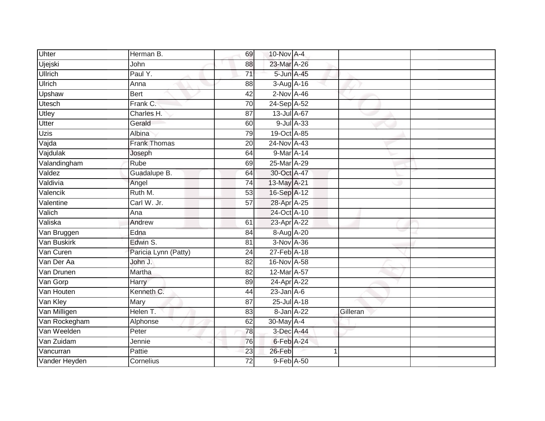| Uhter          | Herman B.            | 69              | 10-Nov A-4      |            |          |  |
|----------------|----------------------|-----------------|-----------------|------------|----------|--|
| Ujejski        | John                 | 88              | 23-Mar A-26     |            |          |  |
| <b>Ullrich</b> | Paul Y.              | $\overline{71}$ | 5-Jun A-45      |            |          |  |
| Ulrich         | Anna                 | 88              | 3-Aug A-16      |            |          |  |
| Upshaw         | <b>Bert</b>          | $\overline{42}$ | $2-Nov$ A-46    |            |          |  |
| <b>Utesch</b>  | Frank C.             | 70              | 24-Sep A-52     |            |          |  |
| Utley          | Charles H.           | 87              | 13-Jul A-67     |            |          |  |
| Utter          | Gerald               | 60              |                 | 9-Jul A-33 |          |  |
| Uzis           | Albina               | 79              | 19-Oct A-85     |            |          |  |
| Vajda          | <b>Frank Thomas</b>  | $\overline{20}$ | 24-Nov A-43     |            |          |  |
| Vajdulak       | Joseph               | 64              | 9-Mar A-14      |            |          |  |
| Valandingham   | Rube                 | 69              | 25-Mar A-29     |            |          |  |
| Valdez         | Guadalupe B.         | 64              | 30-Oct A-47     |            |          |  |
| Valdivia       | Angel                | $\overline{74}$ | 13-May A-21     |            |          |  |
| Valencik       | Ruth M.              | $\overline{53}$ | 16-Sep A-12     |            |          |  |
| Valentine      | Carl W. Jr.          | 57              | 28-Apr A-25     |            |          |  |
| Valich         | Ana                  |                 | 24-Oct A-10     |            |          |  |
| Valiska        | Andrew               | 61              | 23-Apr A-22     |            |          |  |
| Van Bruggen    | Edna                 | 84              | 8-Aug A-20      |            |          |  |
| Van Buskirk    | Edwin S.             | $\overline{81}$ | 3-Nov A-36      |            |          |  |
| Van Curen      | Paricia Lynn (Patty) | 24              | 27-Feb A-18     |            |          |  |
| Van Der Aa     | John J.              | $\overline{82}$ | 16-Nov A-58     |            |          |  |
| Van Drunen     | Martha               | 82              | 12-Mar A-57     |            |          |  |
| Van Gorp       | Harry                | 89              | 24-Apr A-22     |            |          |  |
| Van Houten     | Kenneth C.           | 44              | $23$ -Jan $A-6$ |            |          |  |
| Van Kley       | Mary                 | 87              | 25-Jul A-18     |            |          |  |
| Van Milligen   | Helen T.             | 83              | 8-Jan A-22      |            | Gilleran |  |
| Van Rockegham  | Alphonse             | 62              | 30-May A-4      |            |          |  |
| Van Weelden    | Peter                | 78              | 3-Dec A-44      |            |          |  |
| Van Zuidam     | Jennie               | 76              | 6-Feb A-24      |            |          |  |
| Vancurran      | Pattie               | 23              | 26-Feb          |            | 4        |  |
| Vander Heyden  | Cornelius            | $\overline{72}$ | 9-Feb A-50      |            |          |  |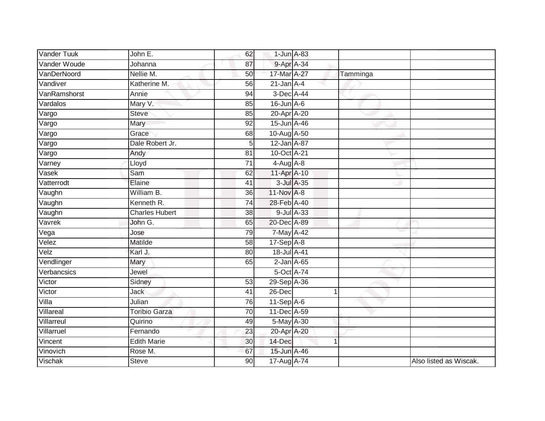| Vander Tuuk        | John E.               | 62              | $1$ -Jun $A$ -83 |          |                        |
|--------------------|-----------------------|-----------------|------------------|----------|------------------------|
| Vander Woude       | Johanna               | 87              | 9-Apr A-34       |          |                        |
| <b>VanDerNoord</b> | Nellie M.             | 50              | 17-Mar A-27      | Tamminga |                        |
| Vandiver           | Katherine M.          | 56              | $21$ -Jan $A-4$  |          |                        |
| VanRamshorst       | Annie                 | 94              | 3-Dec A-44       |          |                        |
| Vardalos           | Mary V.               | 85              | $16$ -Jun $A-6$  |          |                        |
| Vargo              | <b>Steve</b>          | 85              | 20-Apr A-20      |          |                        |
| Vargo              | Mary                  | 92              | 15-Jun A-46      |          |                        |
| Vargo              | Grace                 | 68              | 10-Aug A-50      |          |                        |
| Vargo              | Dale Robert Jr.       | 5               | 12-Jan A-87      |          |                        |
| Vargo              | Andy                  | 81              | 10-Oct A-21      |          |                        |
| Varney             | Lloyd                 | $\overline{71}$ | $4-Aug$ A-8      |          |                        |
| Vasek              | Sam                   | 62              | 11-Apr A-10      |          |                        |
| Vatterrodt         | Elaine                | 41              | 3-Jul A-35       |          |                        |
| Vaughn             | William B.            | 36              | 11-Nov A-8       |          |                        |
| Vaughn             | Kenneth R.            | 74              | 28-Feb A-40      |          |                        |
| Vaughn             | <b>Charles Hubert</b> | 38              | 9-Jul A-33       |          |                        |
| Vavrek             | John G.               | 65              | 20-Dec A-89      |          |                        |
| Vega               | Jose                  | 79              | 7-May A-42       |          |                        |
| Velez              | <b>Matilde</b>        | 58              | $17-Sep$ A-8     |          |                        |
| Velz               | Karl J.               | 80              | 18-Jul A-41      |          |                        |
| Vendlinger         | Mary                  | 65              | $2$ -Jan $A$ -65 |          |                        |
| Verbancsics        | Jewel                 |                 | 5-Oct A-74       |          |                        |
| Victor             | Sidney                | 53              | 29-Sep A-36      |          |                        |
| Victor             | <b>Jack</b>           | 41              | 26-Dec           |          |                        |
| $V$ illa           | Julian                | 76              | $11-Sep$ A-6     |          |                        |
| Villareal          | <b>Toribio Garza</b>  | $\overline{70}$ | 11-Dec A-59      |          |                        |
| Villarreul         | Quirino               | 49              | 5-May A-30       |          |                        |
| Villarruel         | Fernando              | 23              | 20-Apr A-20      |          |                        |
| Vincent            | <b>Edith Marie</b>    | 30              | 14-Dec           |          |                        |
| Vinovich           | Rose M.               | 67              | 15-Jun A-46      |          |                        |
| Vischak            | <b>Steve</b>          | 90              | 17-Aug A-74      |          | Also listed as Wiscak. |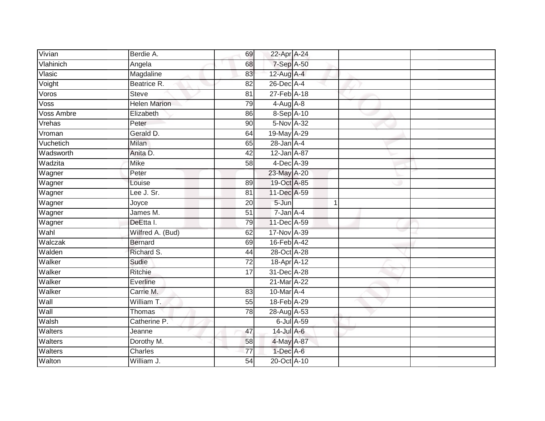| Vivian     | Berdie A.           | 69              | 22-Apr A-24                 |             |  |
|------------|---------------------|-----------------|-----------------------------|-------------|--|
| Vlahinich  | Angela              | 68              | 7-Sep A-50                  |             |  |
| Vlasic     | Magdaline           | 83              | 12-Aug A-4                  |             |  |
| Voight     | Beatrice R.         | 82              | 26-Dec A-4                  |             |  |
| Voros      | <b>Steve</b>        | $\overline{81}$ | 27-Feb A-18                 |             |  |
| Voss       | <b>Helen Marion</b> | 79              | $4-Aug$ $A-8$               |             |  |
| Voss Ambre | Elizabeth           | 86              | 8-Sep A-10                  |             |  |
| Vrehas     | Peter               | 90              | 5-Nov A-32                  |             |  |
| Vroman     | Gerald D.           | 64              | 19-May A-29                 |             |  |
| Vuchetich  | <b>Milan</b>        | 65              | $28$ -Jan $A-4$             |             |  |
| Wadsworth  | Anita D.            | 42              | 12-Jan A-87                 |             |  |
| Wadzita    | Mike                | 58              | 4-Dec A-39                  |             |  |
| Wagner     | Peter               |                 | 23-May A-20                 |             |  |
| Wagner     | Louise              | 89              | 19-Oct A-85                 |             |  |
| Wagner     | Lee J. Sr.          | 81              | 11-Dec A-59                 |             |  |
| Wagner     | Joyce               | 20              | 5-Jun                       | $\mathbf 1$ |  |
| Wagner     | James M.            | $\overline{51}$ | $7 - Jan A - 4$             |             |  |
| Wagner     | DeEtta I.           | 79              | 11-Dec A-59                 |             |  |
| Wahl       | Wilfred A. (Bud)    | 62              | 17-Nov A-39                 |             |  |
| Walczak    | <b>Bernard</b>      | 69              | 16-Feb A-42                 |             |  |
| Walden     | Richard S.          | 44              | 28-Oct A-28                 |             |  |
| Walker     | Sudie               | 72              | 18-Apr A-12                 |             |  |
| Walker     | Ritchie             | 17              | 31-Dec A-28                 |             |  |
| Walker     | Everline            |                 | 21-Mar A-22                 |             |  |
| Walker     | Carrie M.           | 83              | $10$ -Mar $\overline{A}$ -4 |             |  |
| Wall       | William T.          | 55              | 18-Feb A-29                 |             |  |
| Wall       | Thomas              | 78              | 28-Aug A-53                 |             |  |
| Walsh      | Catherine P.        |                 | 6-Jul A-59                  |             |  |
| Walters    | Jeanne              | 47              | 14-Jul A-6                  |             |  |
| Walters    | Dorothy M.          | 58              | 4-May A-87                  |             |  |
| Walters    | Charles             | $\overline{77}$ | $1-Dec$ A-6                 |             |  |
| Walton     | William J.          | $\overline{54}$ | 20-Oct A-10                 |             |  |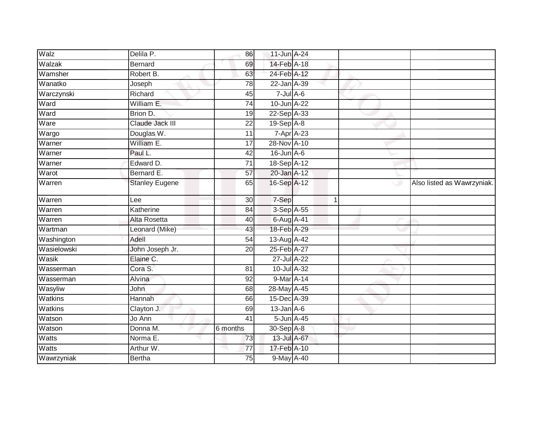| Walz         | Delila P.             | 86              | 11-Jun A-24      |             |   |                            |
|--------------|-----------------------|-----------------|------------------|-------------|---|----------------------------|
| Walzak       | <b>Bernard</b>        | 69              | 14-Feb A-18      |             |   |                            |
| Wamsher      | Robert B.             | 63              | 24-Feb A-12      |             |   |                            |
| Wanatko      | Joseph                | 78              | $22$ -Jan A-39   |             |   |                            |
| Warczynski   | Richard               | 45              | $7$ -Jul $A$ -6  |             |   |                            |
| Ward         | William E.            | $\overline{74}$ | 10-Jun A-22      |             |   |                            |
| Ward         | Brion D.              | 19              | 22-Sep A-33      |             |   |                            |
| Ware         | Claude Jack III       | 22              | $19-Sep$ A-8     |             |   |                            |
| Wargo        | Douglas W.            | 11              | $7 - Apr$ A-23   |             |   |                            |
| Warner       | William E.            | $\overline{17}$ | 28-Nov A-10      |             |   |                            |
| Warner       | Paul L.               | 42              | $16$ -Jun $A-6$  |             |   |                            |
| Warner       | Edward D.             | 71              | 18-Sep A-12      |             |   |                            |
| Warot        | Bernard E.            | 57              | $20$ -Jan $A-12$ |             |   |                            |
| Warren       | <b>Stanley Eugene</b> | 65              | 16-Sep A-12      |             | ت | Also listed as Wawrzyniak. |
| Warren       | Lee                   | $\overline{30}$ | 7-Sep            | $\mathbf 1$ |   |                            |
| Warren       | Katherine             | 84              | 3-Sep A-55       |             |   |                            |
| Warren       | Alta Rosetta          | 40              | 6-Aug A-41       |             |   |                            |
| Wartman      | Leonard (Mike)        | 43              | 18-Feb A-29      |             |   |                            |
| Washington   | Adell                 | 54              | $13-Aug$ A-42    |             |   |                            |
| Wasielowski  | John Joseph Jr.       | 20              | 25-Feb A-27      |             |   |                            |
| Wasik        | Elaine C.             |                 | 27-Jul A-22      |             |   |                            |
| Wasserman    | Cora S.               | 81              | 10-Jul A-32      |             |   |                            |
| Wasserman    | Alvina                | 92              | 9-Mar A-14       |             |   |                            |
| Wasyliw      | John                  | 68              | 28-May A-45      |             |   |                            |
| Watkins      | Hannah                | 66              | 15-Dec A-39      |             |   |                            |
| Watkins      | Clayton J.            | 69              | $13$ -Jan $A$ -6 |             |   |                            |
| Watson       | Jo Ann                | 41              | 5-Jun A-45       |             |   |                            |
| Watson       | Donna M.              | 6 months        | 30-Sep A-8       |             |   |                            |
| <b>Watts</b> | Norma E.              | 73              | 13-Jul A-67      |             |   |                            |
| Watts        | Arthur W.             | 77              | 17-Feb A-10      |             |   |                            |
| Wawrzyniak   | <b>Bertha</b>         | 75              | 9-May A-40       |             |   |                            |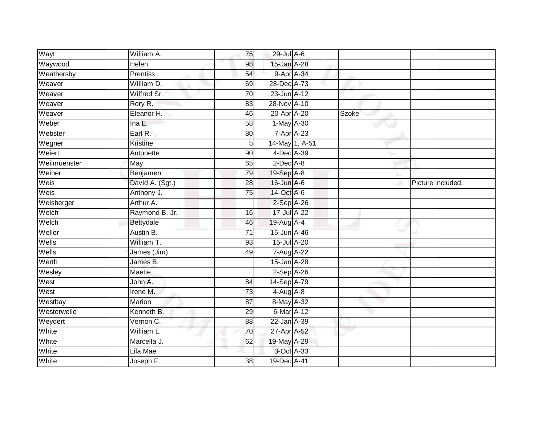| Wayt         | William A.      | 75             | 29-Jul A-6      |                |              |                   |
|--------------|-----------------|----------------|-----------------|----------------|--------------|-------------------|
| Waywood      | Helen           | 98             | 15-Jan A-28     |                |              |                   |
| Weathersby   | <b>Prentiss</b> | 54             |                 | 9-Apr A-34     |              |                   |
| Weaver       | William D.      | 69             | 28-Dec A-73     |                |              |                   |
| Weaver       | Wilfred Sr.     | 70             | 23-Jun A-12     |                |              |                   |
| Weaver       | Rory R.         | 83             | 28-Nov A-10     |                |              |                   |
| Weaver       | Eleanor H.      | 46             | 20-Apr A-20     |                | <b>Szoke</b> |                   |
| Weber        | Ina E.          | 58             | 1-May A-30      |                |              |                   |
| Webster      | Earl R.         | 80             |                 | 7-Apr A-23     |              |                   |
| Wegner       | <b>Kristine</b> | $\overline{5}$ |                 | 14-May 1, A-51 |              |                   |
| Weiert       | Antonette       | 90             | 4-Dec A-39      |                |              |                   |
| Weilmuenster | May             | 65             | $2$ -Dec $A$ -8 |                |              |                   |
| Weiner       | Benjamen        | 79             | 19-Sep A-8      |                |              |                   |
| Weis         | David A. (Sgt.) | 28             | 16-Jun A-6      |                |              | Picture included. |
| Weis         | Anthony J.      | 75             | 14-Oct A-6      |                |              |                   |
| Weisberger   | Arthur A.       |                | $2-Sep$ A-26    |                |              |                   |
| Welch        | Raymond B. Jr.  | 16             | 17-Jul A-22     |                |              |                   |
| Welch        | Bettydale       | 46             | 19-Aug A-4      |                |              |                   |
| Weller       | Austin B.       | 71             | 15-Jun A-46     |                |              |                   |
| Wells        | William T.      | 93             | 15-Jul A-20     |                |              |                   |
| Wells        | James (Jim)     | 49             | 7-Aug A-22      |                |              |                   |
| Werth        | James B.        |                | 15-Jan A-28     |                |              |                   |
| Wesley       | <b>Maetie</b>   |                | $2-Sep$ A-26    |                |              |                   |
| West         | John A.         | 84             | 14-Sep A-79     |                |              |                   |
| West         | Irene M.        | 73             | $4-AugA-8$      |                |              |                   |
| Westbay      | Marion          | 87             | 8-May A-32      |                |              |                   |
| Westerwelle  | Kenneth B.      | 29             | 6-Mar A-12      |                |              |                   |
| Weydert      | Vernon C.       | 88             | 22-Jan A-39     |                |              |                   |
| White        | William L.      | 70             | 27-Apr A-52     |                |              |                   |
| White        | Marcella J.     | 62             | 19-May A-29     |                |              |                   |
| White        | Lila Mae        |                |                 | 3-Oct A-33     |              |                   |
| White        | Joseph F.       | 38             | 19-Dec A-41     |                |              |                   |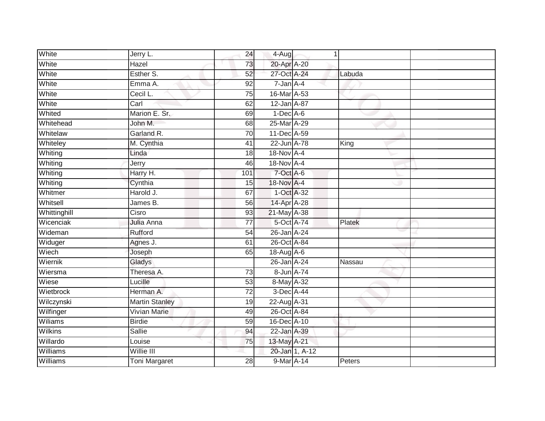| White          | Jerry L.              | 24              | 4-Aug            |                | $\overline{1}$ |  |
|----------------|-----------------------|-----------------|------------------|----------------|----------------|--|
| White          | Hazel                 | $\overline{73}$ | 20-Apr A-20      |                |                |  |
| White          | Esther S.             | 52              | 27-Oct A-24      |                | Labuda         |  |
| White          | Emma A.               | 92              | 7-Jan A-4        |                |                |  |
| White          | Cecil L.              | 75              | 16-Mar A-53      |                |                |  |
| White          | Carl                  | 62              | $12$ -Jan $A-87$ |                |                |  |
| Whited         | Marion E. Sr.         | 69              | $1-Dec$ A-6      |                |                |  |
| Whitehead      | John M.               | 68              | 25-Mar A-29      |                |                |  |
| Whitelaw       | Garland R.            | $\overline{70}$ | 11-Dec A-59      |                |                |  |
| Whiteley       | M. Cynthia            | 41              | 22-Jun A-78      |                | King           |  |
| Whiting        | Linda                 | 18              | 18-Nov A-4       |                |                |  |
| Whiting        | Jerry                 | 46              | 18-Nov A-4       |                |                |  |
| Whiting        | Harry H.              | 101             | 7-Oct A-6        |                |                |  |
| Whiting        | Cynthia               | 15              | 18-Nov A-4       |                |                |  |
| Whitmer        | Harold J.             | 67              | 1-Oct A-32       |                |                |  |
| Whitsell       | James B.              | 56              | 14-Apr A-28      |                |                |  |
| Whittinghill   | Cisro                 | 93              | 21-May A-38      |                |                |  |
| Wicenciak      | Julia Anna            | 77              | 5-Oct A-74       |                | Platek         |  |
| Wideman        | Rufford               | 54              | 26-Jan A-24      |                |                |  |
| Widuger        | Agnes J.              | 61              | 26-Oct A-84      |                |                |  |
| Wiech          | Joseph                | 65              | $18$ -Aug $A$ -6 |                |                |  |
| Wiernik        | Gladys                |                 | 26-Jan A-24      |                | Nassau         |  |
| Wiersma        | Theresa A.            | 73              | 8-Jun A-74       |                |                |  |
| Wiese          | Lucille               | 53              | 8-May A-32       |                |                |  |
| Wietbrock      | Herman A.             | 72              | 3-Dec A-44       |                |                |  |
| Wilczynski     | <b>Martin Stanley</b> | 19              | 22-Aug A-31      |                |                |  |
| Wilfinger      | <b>Vivian Marie</b>   | 49              | 26-Oct A-84      |                |                |  |
| Wiliams        | <b>Birdie</b>         | 59              | 16-Dec A-10      |                |                |  |
| <b>Wilkins</b> | Sallie                | 94              | 22-Jan A-39      |                |                |  |
| Willardo       | Louise                | 75              | 13-May A-21      |                |                |  |
| Williams       | Willie III            |                 |                  | 20-Jan 1, A-12 |                |  |
| Williams       | <b>Toni Margaret</b>  | 28              | 9-Mar A-14       |                | Peters         |  |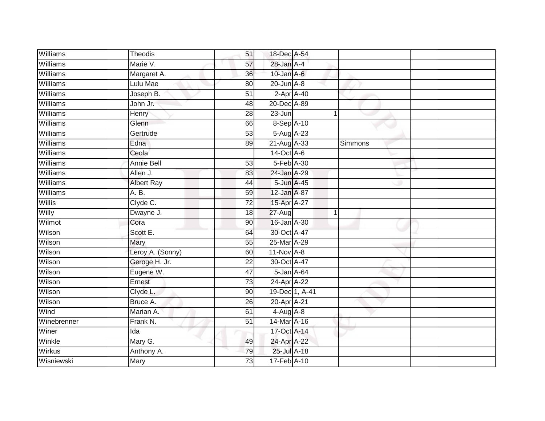| Williams    | Theodis           | 51              | 18-Dec A-54                  |             |         |  |
|-------------|-------------------|-----------------|------------------------------|-------------|---------|--|
| Williams    | Marie V.          | 57              | 28-Jan A-4                   |             |         |  |
| Williams    | Margaret A.       | 36              | $10$ -Jan $A-6$              |             |         |  |
| Williams    | Lulu Mae          | 80              | $20$ -Jun $A-8$              |             |         |  |
| Williams    | Joseph B.         | $\overline{51}$ | $2$ -Apr $A$ -40             |             |         |  |
| Williams    | John Jr.          | 48              | 20-Dec A-89                  |             |         |  |
| Williams    | Henry             | 28              | 23-Jun                       | 1           |         |  |
| Williams    | Glenn             | 66              | 8-Sep A-10                   |             |         |  |
| Williams    | Gertrude          | 53              | 5-Aug A-23                   |             |         |  |
| Williams    | Edna              | 89              | 21-Aug A-33                  |             | Simmons |  |
| Williams    | Ceola             |                 | 14-Oct A-6                   |             |         |  |
| Williams    | <b>Annie Bell</b> | 53              | 5-Feb A-30                   |             |         |  |
| Williams    | Allen J.          | 83              | 24-Jan A-29                  |             |         |  |
| Williams    | <b>Albert Ray</b> | 44              | 5-Jun A-45                   |             |         |  |
| Williams    | A. B.             | 59              | 12-Jan A-87                  |             |         |  |
| Willis      | Clyde C.          | 72              | 15-Apr A-27                  |             |         |  |
| Willy       | Dwayne J.         | 18              | $27 - Aug$                   | $\mathbf 1$ |         |  |
| Wilmot      | Cora              | 90              | 16-Jan A-30                  |             |         |  |
| Wilson      | Scott E.          | 64              | 30-Oct A-47                  |             |         |  |
| Wilson      | Mary              | 55              | 25-Mar A-29                  |             |         |  |
| Wilson      | Leroy A. (Sonny)  | 60              | $11-Nov$ A-8                 |             |         |  |
| Wilson      | Geroge H. Jr.     | $\overline{22}$ | 30-Oct A-47                  |             |         |  |
| Wilson      | Eugene W.         | 47              | 5-Jan A-64                   |             |         |  |
| Wilson      | Ernest            | $\overline{73}$ | 24-Apr A-22                  |             |         |  |
| Wilson      | Clyde L.          | 90              | 19-Dec 1, A-41               |             |         |  |
| Wilson      | Bruce A.          | 26              | 20-Apr A-21                  |             |         |  |
| Wind        | Marian A.         | 61              | $4-Aug$ $A-8$                |             |         |  |
| Winebrenner | Frank N.          | 51              | $14$ -Mar $\overline{A}$ -16 |             |         |  |
| Winer       | Ida               |                 | 17-Oct A-14                  |             |         |  |
| Winkle      | Mary G.           | 49              | 24-Apr A-22                  |             |         |  |
| Wirkus      | Anthony A.        | 79              | 25-Jul A-18                  |             |         |  |
| Wisniewski  | <b>Mary</b>       | $\overline{73}$ | 17-Feb A-10                  |             |         |  |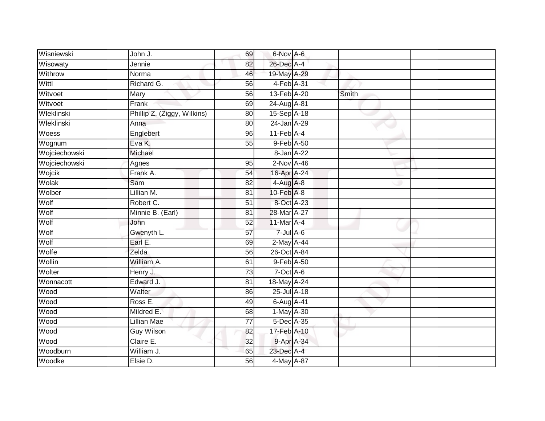| Wisniewski    | John J.                     | 69              | 6-Nov A-6         |       |  |
|---------------|-----------------------------|-----------------|-------------------|-------|--|
| Wisowaty      | Jennie                      | 82              | 26-Dec A-4        |       |  |
| Withrow       | Norma                       | 46              | 19-May A-29       |       |  |
| Wittl         | Richard G.                  | 56              | 4-Feb A-31        |       |  |
| Witvoet       | Mary                        | 56              | 13-Feb A-20       | Smith |  |
| Witvoet       | Frank                       | 69              | 24-Aug A-81       |       |  |
| Wleklinski    | Phillip Z. (Ziggy, Wilkins) | 80              | 15-Sep A-18       |       |  |
| Wleklinski    | Anna                        | 80              | 24-Jan A-29       |       |  |
| Woess         | Englebert                   | 96              | $11$ -Feb $A$ -4  |       |  |
| Wognum        | Eva K.                      | 55              | 9-Feb A-50        |       |  |
| Wojciechowski | Michael                     |                 | 8-Jan A-22        |       |  |
| Wojciechowski | Agnes                       | 95              | $2$ -Nov $A-46$   |       |  |
| Wojcik        | Frank A.                    | 54              | 16-Apr A-24       |       |  |
| Wolak         | Sam                         | 82              | $4-Aug$ $A-8$     |       |  |
| Wolber        | Lillian M.                  | 81              | 10-Feb A-8        |       |  |
| Wolf          | Robert C.                   | 51              | 8-Oct A-23        |       |  |
| Wolf          | Minnie B. (Earl)            | $\overline{81}$ | 28-Mar A-27       |       |  |
| Wolf          | John                        | 52              | 11-Mar A-4        |       |  |
| Wolf          | Gwenyth L.                  | 57              | $7 -$ Jul $A - 6$ |       |  |
| Wolf          | Earl E.                     | 69              | 2-May A-44        |       |  |
| Wolfe         | Zelda                       | 56              | 26-Oct A-84       |       |  |
| Wollin        | William A.                  | 61              | 9-Feb A-50        |       |  |
| Wolter        | Henry J.                    | 73              | 7-Oct A-6         |       |  |
| Wonnacott     | Edward J.                   | 81              | 18-May A-24       |       |  |
| Wood          | Walter                      | 86              | 25-Jul A-18       |       |  |
| Wood          | Ross E.                     | 49              | 6-Aug A-41        |       |  |
| Wood          | Mildred E.                  | 68              | 1-May A-30        |       |  |
| Wood          | Lillian Mae                 | $\overline{77}$ | 5-Dec A-35        |       |  |
| Wood          | <b>Guy Wilson</b>           | 82              | 17-Feb A-10       |       |  |
| <b>Wood</b>   | Claire E.                   | 32              | 9-Apr A-34        |       |  |
| Woodburn      | William J.                  | 65              | 23-Dec A-4        |       |  |
| Woodke        | Elsie D.                    | $\overline{56}$ | 4-May A-87        |       |  |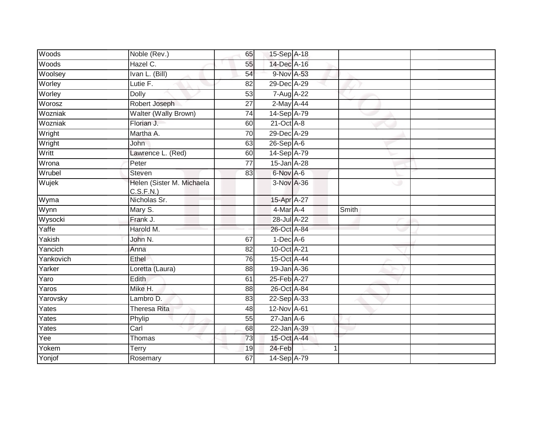| Woods     | Noble (Rev.)                           | 65              | 15-Sep A-18      |   |       |  |
|-----------|----------------------------------------|-----------------|------------------|---|-------|--|
| Woods     | Hazel C.                               | 55              | 14-Dec A-16      |   |       |  |
| Woolsey   | Ivan L. (Bill)                         | 54              | 9-Nov A-53       |   |       |  |
| Worley    | Lutie F.                               | 82              | 29-Dec A-29      |   |       |  |
| Worley    | <b>Dolly</b>                           | 53              | 7-Aug A-22       |   |       |  |
| Worosz    | Robert Joseph                          | 27              | 2-May A-44       |   |       |  |
| Wozniak   | Walter (Wally Brown)                   | $\overline{74}$ | 14-Sep A-79      |   |       |  |
| Wozniak   | Florian J.                             | 60              | $21$ -Oct $A-8$  |   |       |  |
| Wright    | Martha A.                              | 70              | 29-Dec A-29      |   |       |  |
| Wright    | John                                   | 63              | $26-Sep$ A-6     |   |       |  |
| Writt     | Lawrence L. (Red)                      | 60              | 14-Sep A-79      |   |       |  |
| Wrona     | Peter                                  | $\overline{77}$ | 15-Jan A-28      |   |       |  |
| Wrubel    | <b>Steven</b>                          | 83              | 6-Nov A-6        |   |       |  |
| Wujek     | Helen (Sister M. Michaela<br>C.S.F.N.) |                 | 3-Nov A-36       |   | وی    |  |
| Wyma      | Nicholas Sr.                           |                 | 15-Apr A-27      |   |       |  |
| Wynn      | Mary S.                                |                 | $4$ -Mar $A$ -4  |   | Smith |  |
| Wysocki   | Frank J.                               |                 | 28-Jul A-22      |   |       |  |
| Yaffe     | Harold M.                              |                 | 26-Oct A-84      |   |       |  |
| Yakish    | John N.                                | 67              | $1-Dec$ A-6      |   |       |  |
| Yancich   | Anna                                   | 82              | 10-Oct A-21      |   |       |  |
| Yankovich | Ethel                                  | 76              | 15-Oct A-44      |   |       |  |
| Yarker    | Loretta (Laura)                        | 88              | $19$ -Jan A-36   |   |       |  |
| Yaro      | Edith                                  | 61              | 25-Feb A-27      |   |       |  |
| Yaros     | Mike H.                                | 88              | 26-Oct A-84      |   |       |  |
| Yarovsky  | Lambro D.                              | 83              | 22-Sep A-33      |   |       |  |
| Yates     | <b>Theresa Rita</b>                    | 48              | 12-Nov A-61      |   |       |  |
| Yates     | Phylip                                 | 55              | $27 - Jan A - 6$ |   |       |  |
| Yates     | Carl                                   | 68              | 22-Jan A-39      |   |       |  |
| Yee       | Thomas                                 | 73              | 15-Oct A-44      |   |       |  |
| Yokem     | <b>Terry</b>                           | 19              | 24-Feb           | 1 |       |  |
| Yonjof    | Rosemary                               | 67              | 14-Sep A-79      |   |       |  |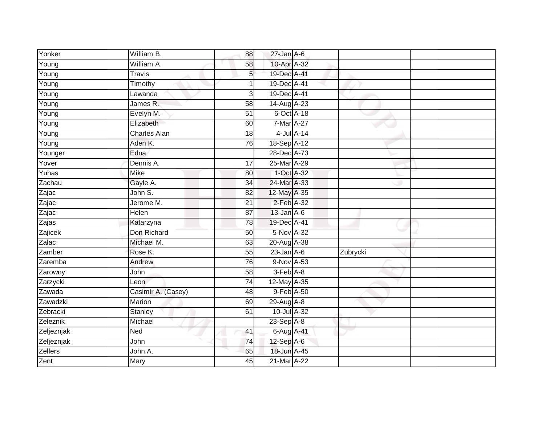| Yonker     | William B.          | 88              | $27$ -Jan A-6    |          |
|------------|---------------------|-----------------|------------------|----------|
| Young      | William A.          | 58              | 10-Apr A-32      |          |
| Young      | <b>Travis</b>       | 5               | 19-Dec A-41      |          |
| Young      | Timothy             |                 | 19-Dec A-41      |          |
| Young      | Lawanda             | 3               | 19-Dec A-41      |          |
| Young      | James R.            | 58              | 14-Aug A-23      |          |
| Young      | Evelyn M.           | $\overline{51}$ | $6$ -Oct $A$ -18 |          |
| Young      | Elizabeth           | 60              | 7-Mar A-27       |          |
| Young      | <b>Charles Alan</b> | 18              | $4$ -Jul $A$ -14 |          |
| Young      | Aden K.             | 76              | 18-Sep A-12      |          |
| Younger    | Edna                |                 | 28-Dec A-73      |          |
| Yover      | Dennis A.           | 17              | 25-Mar A-29      |          |
| Yuhas      | Mike                | 80              | 1-Oct A-32       |          |
| Zachau     | Gayle A.            | 34              | 24-Mar A-33      |          |
| Zajac      | John S.             | 82              | 12-May A-35      |          |
| Zajac      | Jerome M.           | 21              | 2-Feb A-32       |          |
| Zajac      | <b>Helen</b>        | $\overline{87}$ | $13$ -Jan $A$ -6 |          |
| Zajas      | Katarzyna           | 78              | 19-Dec A-41      |          |
| Zajicek    | Don Richard         | 50              | 5-Nov A-32       |          |
| Zalac      | Michael M.          | 63              | 20-Aug A-38      |          |
| Zamber     | Rose K.             | 55              | $23$ -Jan $A-6$  | Zubrycki |
| Zaremba    | Andrew              | 76              | 9-Nov A-53       |          |
| Zarowny    | John                | 58              | $3-Feb$ $A-8$    |          |
| Zarzycki   | Leon                | 74              | 12-May A-35      |          |
| Zawada     | Casimir A. (Casey)  | 48              | 9-Feb A-50       |          |
| Zawadzki   | Marion              | 69              | 29-Aug A-8       |          |
| Zebracki   | <b>Stanley</b>      | 61              | 10-Jul A-32      |          |
| Zeleznik   | Michael             |                 | $23-SepA-8$      |          |
| Zeljeznjak | <b>Ned</b>          | 41              | 6-Aug A-41       |          |
| Zeljeznjak | John                | 74              | 12-Sep A-6       |          |
| Zellers    | John A.             | 65              | 18-Jun A-45      |          |
| Zent       | Mary                | 45              | 21-Mar A-22      |          |